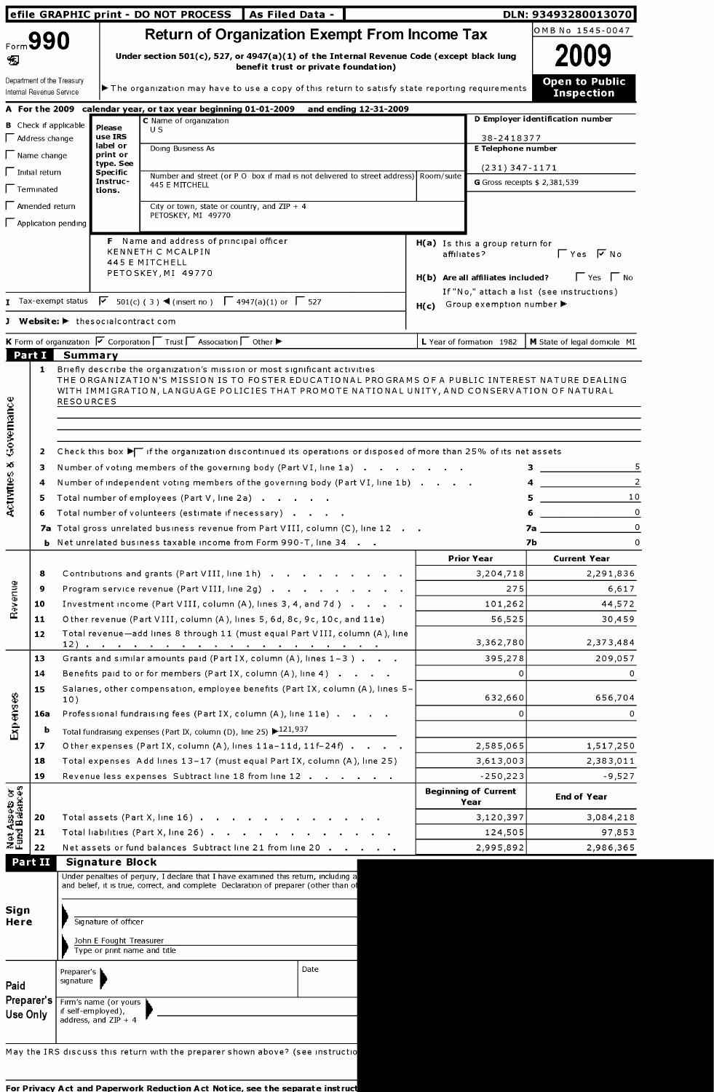| Form 990                                                    |                              |                                    |                                                                                                                              | <b>Return of Organization Exempt From Income Tax</b>                                                                             |                       |             |                                                   | OMB No 1545-0047                                                                                                                                                                                                                                                                                                                                                                                                                                                            |
|-------------------------------------------------------------|------------------------------|------------------------------------|------------------------------------------------------------------------------------------------------------------------------|----------------------------------------------------------------------------------------------------------------------------------|-----------------------|-------------|---------------------------------------------------|-----------------------------------------------------------------------------------------------------------------------------------------------------------------------------------------------------------------------------------------------------------------------------------------------------------------------------------------------------------------------------------------------------------------------------------------------------------------------------|
| Đ                                                           |                              |                                    |                                                                                                                              | Under section 501(c), 527, or 4947(a)(1) of the Internal Revenue Code (except black lung<br>benefit trust or private foundation) |                       |             |                                                   | 2009                                                                                                                                                                                                                                                                                                                                                                                                                                                                        |
| Internal Revenue Service                                    | Department of the Treasury   |                                    |                                                                                                                              | $\blacktriangleright$ The organization may have to use a copy of this return to satisfy state reporting requirements             |                       |             |                                                   | <b>Open to Public</b><br><b>Inspection</b>                                                                                                                                                                                                                                                                                                                                                                                                                                  |
|                                                             |                              |                                    | A For the 2009 calendar year, or tax year beginning 01-01-2009                                                               |                                                                                                                                  | and ending 12-31-2009 |             |                                                   | D Employer identification number                                                                                                                                                                                                                                                                                                                                                                                                                                            |
|                                                             | <b>B</b> Check if applicable | Please                             | C Name of organization<br>U S                                                                                                |                                                                                                                                  |                       |             |                                                   |                                                                                                                                                                                                                                                                                                                                                                                                                                                                             |
| $\Box$ Address change                                       |                              | use IRS<br>label or                | Doing Business As                                                                                                            |                                                                                                                                  |                       |             | 38-2418377<br>E Telephone number                  |                                                                                                                                                                                                                                                                                                                                                                                                                                                                             |
| $\sqrt{\phantom{a}}$ Name change                            |                              | print or<br>type. See              |                                                                                                                              |                                                                                                                                  |                       |             | $(231)$ 347-1171                                  |                                                                                                                                                                                                                                                                                                                                                                                                                                                                             |
| $\Box$ Initial return                                       |                              | <b>Specific</b><br>Instruc-        | 445 E MITCHELL                                                                                                               | Number and street (or P O box if mail is not delivered to street address) Room/suite                                             |                       |             | G Gross receipts $$2,381,539$                     |                                                                                                                                                                                                                                                                                                                                                                                                                                                                             |
| $\Box$ Terminated                                           |                              | tions.                             |                                                                                                                              |                                                                                                                                  |                       |             |                                                   |                                                                                                                                                                                                                                                                                                                                                                                                                                                                             |
| $\Box$ Amended return                                       |                              |                                    | City or town, state or country, and ZIP $+$ 4<br>PETOSKEY, MI 49770                                                          |                                                                                                                                  |                       |             |                                                   |                                                                                                                                                                                                                                                                                                                                                                                                                                                                             |
|                                                             | $\Box$ Application pending   |                                    |                                                                                                                              |                                                                                                                                  |                       |             |                                                   |                                                                                                                                                                                                                                                                                                                                                                                                                                                                             |
|                                                             |                              |                                    | F Name and address of principal officer<br>KENNETH C MCALPIN                                                                 |                                                                                                                                  |                       | affiliates? | $H(a)$ Is this a group return for                 | $\Gamma$ Yes $\Gamma$ No                                                                                                                                                                                                                                                                                                                                                                                                                                                    |
|                                                             |                              |                                    | 445 E MITCHELL<br>PETOSKEY, MI 49770                                                                                         |                                                                                                                                  |                       |             |                                                   |                                                                                                                                                                                                                                                                                                                                                                                                                                                                             |
|                                                             |                              |                                    |                                                                                                                              |                                                                                                                                  |                       |             | H(b) Are all affiliates included?                 | $\Gamma$ Yes $\Gamma$ No                                                                                                                                                                                                                                                                                                                                                                                                                                                    |
|                                                             | $I$ Tax-exempt status        |                                    | $\boxed{\triangledown}$ 501(c) (3) ◀ (insert no) $\boxed{\square}$ 4947(a)(1) or $\boxed{\square}$ 527                       |                                                                                                                                  |                       | H(c)        | Group exemption number ▶                          | If "No," attach a list (see instructions)                                                                                                                                                                                                                                                                                                                                                                                                                                   |
|                                                             |                              | J Website: I thesocialcontract com |                                                                                                                              |                                                                                                                                  |                       |             |                                                   |                                                                                                                                                                                                                                                                                                                                                                                                                                                                             |
|                                                             |                              |                                    | K Form of organization $\sqrt{ }$ Corporation $\sqrt{ }$ Trust $\sqrt{ }$ Association $\sqrt{ }$ Other $\blacktriangleright$ |                                                                                                                                  |                       |             | L Year of formation 1982                          | <b>M</b> State of legal domicile MI                                                                                                                                                                                                                                                                                                                                                                                                                                         |
| Part I                                                      | Summary                      |                                    |                                                                                                                              |                                                                                                                                  |                       |             |                                                   |                                                                                                                                                                                                                                                                                                                                                                                                                                                                             |
| Governance<br>2<br>$\kappa$<br>з                            |                              |                                    |                                                                                                                              | Number of voting members of the governing body (Part VI, line 1a)                                                                |                       |             |                                                   | 5                                                                                                                                                                                                                                                                                                                                                                                                                                                                           |
| Ê<br>4                                                      |                              |                                    |                                                                                                                              | Number of independent voting members of the governing body (Part VI, line 1b)                                                    |                       |             |                                                   | 2<br>4                                                                                                                                                                                                                                                                                                                                                                                                                                                                      |
| Activit<br>5                                                |                              |                                    | Total number of employees (Part V, line 2a)                                                                                  |                                                                                                                                  |                       |             |                                                   | $5$ $\overline{\phantom{a}}$ $\overline{\phantom{a}}$ $\overline{\phantom{a}}$ $\overline{\phantom{a}}$ $\overline{\phantom{a}}$ $\overline{\phantom{a}}$ $\overline{\phantom{a}}$ $\overline{\phantom{a}}$ $\overline{\phantom{a}}$ $\overline{\phantom{a}}$ $\overline{\phantom{a}}$ $\overline{\phantom{a}}$ $\overline{\phantom{a}}$ $\overline{\phantom{a}}$ $\overline{\phantom{a}}$ $\overline{\phantom{a}}$ $\overline{\phantom{a}}$ $\overline{\phantom{a}}$<br>10 |
| 6                                                           |                              |                                    |                                                                                                                              | Total number of volunteers (estimate if necessary)                                                                               |                       |             |                                                   | $\circ$<br>6<br><u> 1990 - Johann Barbara, martxa al</u>                                                                                                                                                                                                                                                                                                                                                                                                                    |
|                                                             |                              |                                    |                                                                                                                              | 7a Total gross unrelated business revenue from Part VIII, column (C), line 12                                                    |                       |             |                                                   |                                                                                                                                                                                                                                                                                                                                                                                                                                                                             |
|                                                             |                              |                                    |                                                                                                                              |                                                                                                                                  |                       |             |                                                   | <b>za di secolo di secolo di secolo di secolo di secolo di secolo di secolo di secolo di secolo di secolo di sec</b><br>7Ь                                                                                                                                                                                                                                                                                                                                                  |
|                                                             |                              |                                    |                                                                                                                              | <b>b</b> Net unrelated business taxable income from Form 990-T, line 34                                                          |                       |             | <b>Prior Year</b>                                 | <b>Current Year</b>                                                                                                                                                                                                                                                                                                                                                                                                                                                         |
| 8                                                           |                              |                                    |                                                                                                                              | Contributions and grants (Part VIII, line 1h)                                                                                    |                       |             | 3,204,718                                         |                                                                                                                                                                                                                                                                                                                                                                                                                                                                             |
| 9                                                           |                              |                                    |                                                                                                                              | Program service revenue (Part VIII, line 2g)                                                                                     |                       |             | 275                                               |                                                                                                                                                                                                                                                                                                                                                                                                                                                                             |
| 10                                                          |                              |                                    |                                                                                                                              | Investment income (Part VIII, column (A), lines 3, 4, and 7d)                                                                    |                       |             | 101,262                                           |                                                                                                                                                                                                                                                                                                                                                                                                                                                                             |
| 11                                                          |                              |                                    |                                                                                                                              | Other revenue (Part VIII, column (A), lines 5, 6d, 8c, 9c, 10c, and 11e)                                                         |                       |             | 56,525                                            |                                                                                                                                                                                                                                                                                                                                                                                                                                                                             |
| Revenue<br>12                                               |                              |                                    |                                                                                                                              | Total revenue-add lines 8 through 11 (must equal Part VIII, column (A), line                                                     |                       |             | 3,362,780                                         |                                                                                                                                                                                                                                                                                                                                                                                                                                                                             |
| 13                                                          |                              |                                    |                                                                                                                              | Grants and similar amounts paid (Part IX, column (A), lines 1-3)                                                                 |                       |             | 395,278                                           |                                                                                                                                                                                                                                                                                                                                                                                                                                                                             |
| 14                                                          |                              |                                    |                                                                                                                              | Benefits paid to or for members (Part IX, column (A), line 4)                                                                    |                       |             | $\Omega$                                          |                                                                                                                                                                                                                                                                                                                                                                                                                                                                             |
| 15                                                          | 10)                          |                                    |                                                                                                                              | Salaries, other compensation, employee benefits (Part IX, column (A), lines 5-                                                   |                       |             | 632,660                                           |                                                                                                                                                                                                                                                                                                                                                                                                                                                                             |
| 16a                                                         |                              |                                    |                                                                                                                              | Professional fundraising fees (Part IX, column (A), line 11e)                                                                    |                       |             | $\Omega$                                          |                                                                                                                                                                                                                                                                                                                                                                                                                                                                             |
|                                                             | b                            |                                    | Total fundraising expenses (Part IX, column (D), line 25) $\blacktriangleright$ 121,937                                      |                                                                                                                                  |                       |             |                                                   |                                                                                                                                                                                                                                                                                                                                                                                                                                                                             |
| 17                                                          |                              |                                    |                                                                                                                              | Other expenses (Part IX, column (A), lines 11a-11d, 11f-24f)                                                                     |                       |             | 2,585,065                                         |                                                                                                                                                                                                                                                                                                                                                                                                                                                                             |
| 18                                                          |                              |                                    |                                                                                                                              | Total expenses Add lines 13-17 (must equal Part IX, column (A), line 25)                                                         |                       |             | 3,613,003                                         |                                                                                                                                                                                                                                                                                                                                                                                                                                                                             |
| 19                                                          |                              |                                    |                                                                                                                              | Revenue less expenses Subtract line 18 from line 12                                                                              |                       |             | $-250,223$<br><b>Beginning of Current</b><br>Year | $\mathbf 0$<br>$\Omega$<br>2,291,836<br>6,617<br>44,572<br>30,459<br>2,373,484<br>209,057<br>0<br>656,704<br>0<br>1,517,250<br>2,383,011<br>$-9,527$<br><b>End of Year</b>                                                                                                                                                                                                                                                                                                  |
| 20                                                          |                              |                                    |                                                                                                                              | Total assets (Part X, line 16)                                                                                                   |                       |             | 3,120,397                                         |                                                                                                                                                                                                                                                                                                                                                                                                                                                                             |
| 21                                                          |                              |                                    |                                                                                                                              | Total liabilities (Part X, line 26)                                                                                              |                       |             | 124,505                                           | 3,084,218<br>97,853                                                                                                                                                                                                                                                                                                                                                                                                                                                         |
| Expenses<br>Net Assets or<br>Fund Balances<br>22<br>Part II |                              | <b>Signature Block</b>             |                                                                                                                              | Net assets or fund balances Subtract line 21 from line 20                                                                        |                       |             | 2,995,892                                         | 2,986,365                                                                                                                                                                                                                                                                                                                                                                                                                                                                   |

May the IRS discuss this return with the preparer shown above? (see instructio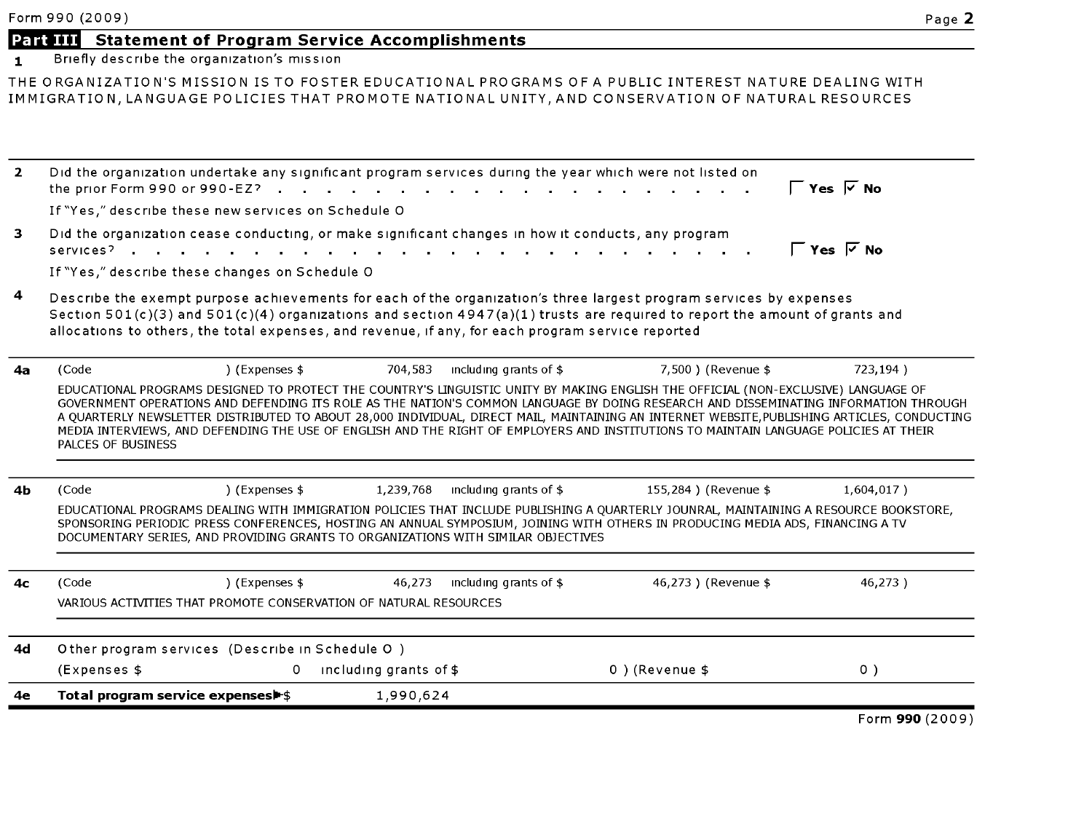# Part III Statement of Program Service Accomplishments

1 Briefly describe the organization's mission

THE ORGANIZATION'S MISSION IS TO FOSTER EDUCATIONAL PROGRAMS OF <sup>A</sup> PUBLIC INTEREST NATURE DEALING WITH IMMIGRATION, LANGUAGE POLICIES THAT PROMOTE NATIONAL UNITY, AND CONSERVATION OF NATURAL RESOURCES

| $\overline{2}$ | Did the organization undertake any significant program services during the year which were not listed on<br>the prior Form 990 or 990-EZ?                                                                                                                                                                                                                                                                                                                                                                                                                                                |                             | and the state of the state of the |                      | ΓYes ⊽ No           |
|----------------|------------------------------------------------------------------------------------------------------------------------------------------------------------------------------------------------------------------------------------------------------------------------------------------------------------------------------------------------------------------------------------------------------------------------------------------------------------------------------------------------------------------------------------------------------------------------------------------|-----------------------------|-----------------------------------|----------------------|---------------------|
|                | If "Yes," describe these new services on Schedule O                                                                                                                                                                                                                                                                                                                                                                                                                                                                                                                                      |                             |                                   |                      |                     |
| 3              | Did the organization cease conducting, or make significant changes in how it conducts, any program<br>services?                                                                                                                                                                                                                                                                                                                                                                                                                                                                          |                             |                                   |                      | ΓYes ⊽No            |
|                | If "Yes," describe these changes on Schedule O                                                                                                                                                                                                                                                                                                                                                                                                                                                                                                                                           |                             |                                   |                      |                     |
| 4              | Describe the exempt purpose achievements for each of the organization's three largest program services by expenses<br>Section 501(c)(3) and 501(c)(4) organizations and section 4947(a)(1) trusts are required to report the amount of grants and<br>allocations to others, the total expenses, and revenue, if any, for each program service reported                                                                                                                                                                                                                                   |                             |                                   |                      |                     |
| 4a             | ) (Expenses \$<br>(Code                                                                                                                                                                                                                                                                                                                                                                                                                                                                                                                                                                  | 704,583                     | including grants of $$$           | 7.500) (Revenue \$   | 723,194)            |
|                | EDUCATIONAL PROGRAMS DESIGNED TO PROTECT THE COUNTRY'S LINGUISTIC UNITY BY MAKING ENGLISH THE OFFICIAL (NON-EXCLUSIVE) LANGUAGE OF<br>GOVERNMENT OPERATIONS AND DEFENDING ITS ROLE AS THE NATION'S COMMON LANGUAGE BY DOING RESEARCH AND DISSEMINATING INFORMATION THROUGH<br>A QUARTERLY NEWSLETTER DISTRIBUTED TO ABOUT 28,000 INDIVIDUAL, DIRECT MAIL, MAINTAINING AN INTERNET WEBSITE,PUBLISHING ARTICLES, CONDUCTING<br>MEDIA INTERVIEWS, AND DEFENDING THE USE OF ENGLISH AND THE RIGHT OF EMPLOYERS AND INSTITUTIONS TO MAINTAIN LANGUAGE POLICIES AT THEIR<br>PALCES OF BUSINESS |                             |                                   |                      |                     |
| 4Ь             | ) (Expenses \$<br>(Code                                                                                                                                                                                                                                                                                                                                                                                                                                                                                                                                                                  | 1,239,768                   | including grants of \$            | 155,284) (Revenue \$ | $1,604,017$ )       |
|                | EDUCATIONAL PROGRAMS DEALING WITH IMMIGRATION POLICIES THAT INCLUDE PUBLISHING A QUARTERLY JOUNRAL, MAINTAINING A RESOURCE BOOKSTORE,<br>SPONSORING PERIODIC PRESS CONFERENCES, HOSTING AN ANNUAL SYMPOSIUM, JOINING WITH OTHERS IN PRODUCING MEDIA ADS, FINANCING A TV<br>DOCUMENTARY SERIES, AND PROVIDING GRANTS TO ORGANIZATIONS WITH SIMILAR OBJECTIVES                                                                                                                                                                                                                             |                             |                                   |                      |                     |
| 4 <sub>c</sub> | (Code<br>) (Expenses \$<br>VARIOUS ACTIVITIES THAT PROMOTE CONSERVATION OF NATURAL RESOURCES                                                                                                                                                                                                                                                                                                                                                                                                                                                                                             | 46,273                      | including grants of \$            | 46,273 ) (Revenue \$ | 46,273)             |
| 4d             | Other program services (Describe in Schedule O)                                                                                                                                                                                                                                                                                                                                                                                                                                                                                                                                          |                             |                                   |                      |                     |
|                | (Expenses \$                                                                                                                                                                                                                                                                                                                                                                                                                                                                                                                                                                             | including grants of \$<br>0 |                                   | 0) (Revenue \$       | 0)                  |
| 4e             | Total program service expenses                                                                                                                                                                                                                                                                                                                                                                                                                                                                                                                                                           | 1,990,624                   |                                   |                      |                     |
|                |                                                                                                                                                                                                                                                                                                                                                                                                                                                                                                                                                                                          |                             |                                   |                      | $Form$ QQN $(2000)$ |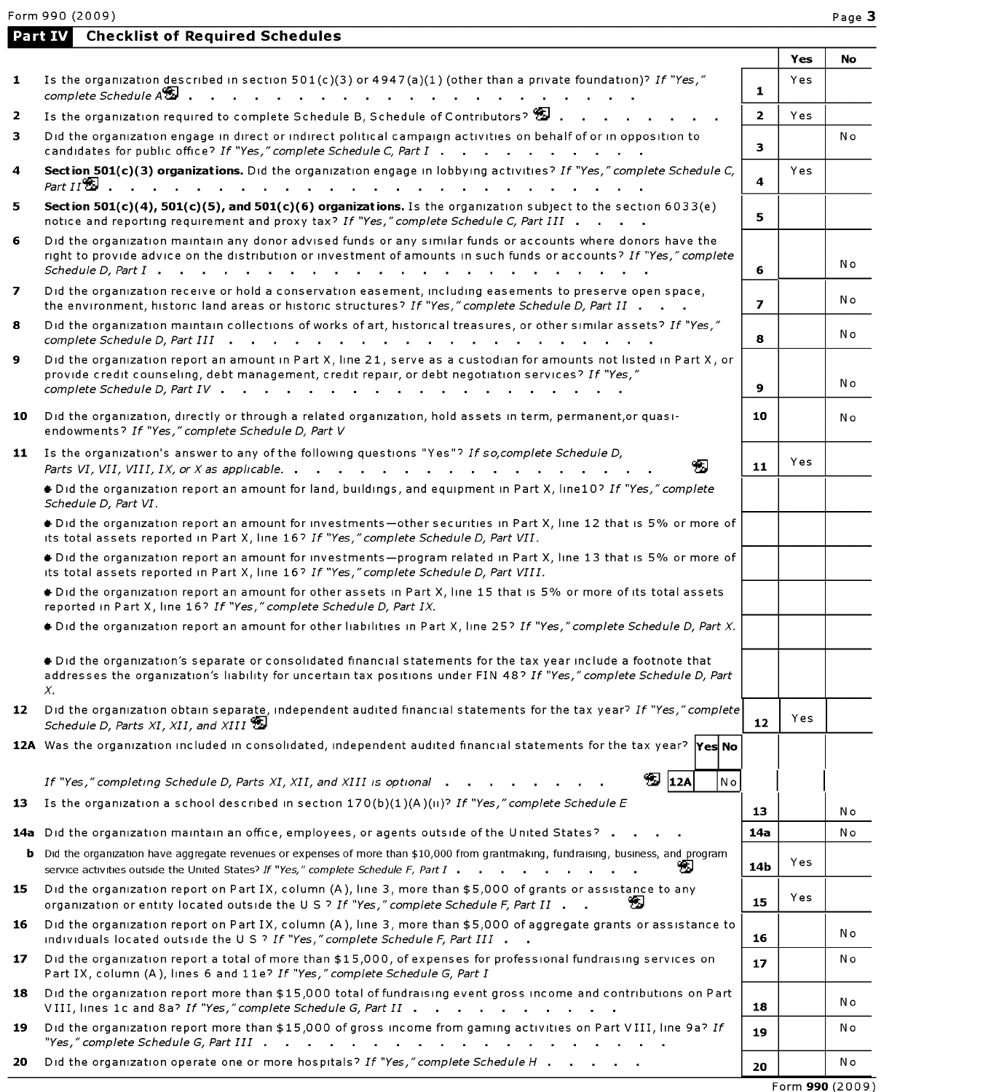Form 990 (2009) Page 3

|    | <b>Checklist of Required Schedules</b><br>Part IV                                                                                                                                                                                                                                                                                                                            |                         |     |     |
|----|------------------------------------------------------------------------------------------------------------------------------------------------------------------------------------------------------------------------------------------------------------------------------------------------------------------------------------------------------------------------------|-------------------------|-----|-----|
|    |                                                                                                                                                                                                                                                                                                                                                                              |                         | Yes | No  |
| 1  | Is the organization described in section $501(c)(3)$ or $4947(a)(1)$ (other than a private foundation)? If "Yes,"<br>complete Schedule $A\mathbb{Z}$ .<br>the contract of the contract of the contract of the contract of                                                                                                                                                    | $\mathbf{1}$            | Yes |     |
| 2  | Is the organization required to complete Schedule B, Schedule of Contributors?                                                                                                                                                                                                                                                                                               | $\mathbf{2}$            | Yes |     |
| 3  | Did the organization engage in direct or indirect political campaign activities on behalf of or in opposition to<br>candidates for public office? If "Yes," complete Schedule C, Part I                                                                                                                                                                                      | 3                       |     | N o |
| 4  | Section 501(c)(3) organizations. Did the organization engage in lobbying activities? If "Yes," complete Schedule C,<br>Part $II$ $\blacksquare$ .<br>and a straightful contract and a straight                                                                                                                                                                               | 4                       | Yes |     |
| 5. | Section 501(c)(4), 501(c)(5), and 501(c)(6) organizations. Is the organization subject to the section 6033(e)<br>notice and reporting requirement and proxy tax? If "Yes," complete Schedule C, Part III                                                                                                                                                                     | 5                       |     |     |
| 6  | Did the organization maintain any donor advised funds or any similar funds or accounts where donors have the<br>right to provide advice on the distribution or investment of amounts in such funds or accounts? If "Yes," complete<br>$S$ chedule D, Part $I$ $\cdots$ $\cdots$ $\cdots$ $\cdots$ $\cdots$ $\cdots$ $\cdots$ $\cdots$                                        | 6                       |     | No  |
| 7  | Did the organization receive or hold a conservation easement, including easements to preserve open space,<br>the environment, historic land areas or historic structures? If "Yes," complete Schedule D, Part II                                                                                                                                                             | $\overline{\mathbf{z}}$ |     | No  |
| 8  | Did the organization maintain collections of works of art, historical treasures, or other similar assets? If "Yes,"                                                                                                                                                                                                                                                          | 8                       |     | Νo  |
| 9  | Did the organization report an amount in Part X, line 21, serve as a custodian for amounts not listed in Part X, or<br>provide credit counseling, debt management, credit repair, or debt negotiation services? If "Yes,"<br>complete Schedule D, Part IV<br>the contract of the contract of the contract of the contract of the contract of the contract of the contract of | 9                       |     | Νo  |
| 10 | Did the organization, directly or through a related organization, hold assets in term, permanent, or quasi-<br>endowments? If "Yes," complete Schedule D, Part V                                                                                                                                                                                                             | 10                      |     | N o |
|    | 11 Is the organization's answer to any of the following questions "Yes"? If so, complete Schedule D,<br>القة<br>Parts VI, VII, VIII, IX, or X as applicable. $\cdot \cdot \cdot \cdot \cdot \cdot \cdot \cdot \cdot \cdot \cdot \cdot \cdot \cdot \cdot$                                                                                                                     | 11                      | Yes |     |
|    | + Did the organization report an amount for land, buildings, and equipment in Part X, line10? If "Yes," complete<br>Schedule D, Part VI.                                                                                                                                                                                                                                     |                         |     |     |
|    | . Did the organization report an amount for investments-other securities in Part X, line 12 that is 5% or more of<br>its total assets reported in Part X, line 16? If "Yes," complete Schedule D, Part VII.                                                                                                                                                                  |                         |     |     |
|    | . Did the organization report an amount for investments-program related in Part X, line 13 that is 5% or more of<br>its total assets reported in Part X, line 16? If "Yes," complete Schedule D, Part VIII.                                                                                                                                                                  |                         |     |     |
|    | Did the organization report an amount for other assets in Part X, line 15 that is 5% or more of its total assets<br>reported in Part X, line 16? If "Yes," complete Schedule D, Part IX.                                                                                                                                                                                     |                         |     |     |
|    | + Did the organization report an amount for other liabilities in Part X, line 25? If "Yes," complete Schedule D, Part X.                                                                                                                                                                                                                                                     |                         |     |     |
|    | + Did the organization's separate or consolidated financial statements for the tax year include a footnote that<br>addresses the organization's liability for uncertain tax positions under FIN 48? If "Yes," complete Schedule D, Part<br>Х.                                                                                                                                |                         |     |     |
| 12 | Did the organization obtain separate, independent audited financial statements for the tax year? If "Yes," complete<br>Schedule D, Parts XI, XII, and XIII                                                                                                                                                                                                                   | 12                      | Yes |     |
|    | 12A Was the organization included in consolidated, independent audited financial statements for the tax year? Yes No                                                                                                                                                                                                                                                         |                         |     |     |
|    | $\mathbf{E}$ 12A<br>N o<br>If "Yes," completing Schedule D, Parts XI, XII, and XIII is optional $\blacksquare$ .                                                                                                                                                                                                                                                             |                         |     |     |
| 13 | Is the organization a school described in section $170(b)(1)(A)(ii)^7$ If "Yes," complete Schedule E                                                                                                                                                                                                                                                                         | 13                      |     | N o |
|    | 14a Did the organization maintain an office, employees, or agents outside of the United States?                                                                                                                                                                                                                                                                              | 14a                     |     | N o |
|    | <b>b</b> Did the organization have aggregate revenues or expenses of more than \$10,000 from grantmaking, fundraising, business, and program<br>service activities outside the United States? If "Yes," complete Schedule F, Part I                                                                                                                                          | 14 <sub>b</sub>         | Yes |     |
| 15 | Did the organization report on Part IX, column (A), line 3, more than \$5,000 of grants or assistance to any<br>organization or entity located outside the U S ? If "Yes," complete Schedule F, Part II                                                                                                                                                                      | 15                      | Yes |     |
| 16 | Did the organization report on Part IX, column (A), line 3, more than \$5,000 of aggregate grants or assistance to<br>individuals located outside the U S ? If "Yes," complete Schedule F, Part III                                                                                                                                                                          | 16                      |     | Νo  |
| 17 | Did the organization report a total of more than \$15,000, of expenses for professional fundraising services on<br>Part IX, column (A), lines 6 and 11e? If "Yes," complete Schedule G, Part I                                                                                                                                                                               | 17                      |     | Νo  |
| 18 | Did the organization report more than \$15,000 total of fundraising event gross income and contributions on Part<br>VIII, lines 1c and 8a? If "Yes," complete Schedule G, Part II                                                                                                                                                                                            | 18                      |     | N o |
| 19 | Did the organization report more than \$15,000 of gross income from gaming activities on Part VIII, line 9a? If<br>"Yes," complete Schedule G, Part III $\ldots$ , $\ldots$ , $\ldots$ , $\ldots$ , $\ldots$ , $\ldots$ , $\ldots$ , $\ldots$                                                                                                                                | 19                      |     | Νo  |
| 20 | Did the organization operate one or more hospitals? If "Yes," complete Schedule H                                                                                                                                                                                                                                                                                            | 20                      |     | Νo  |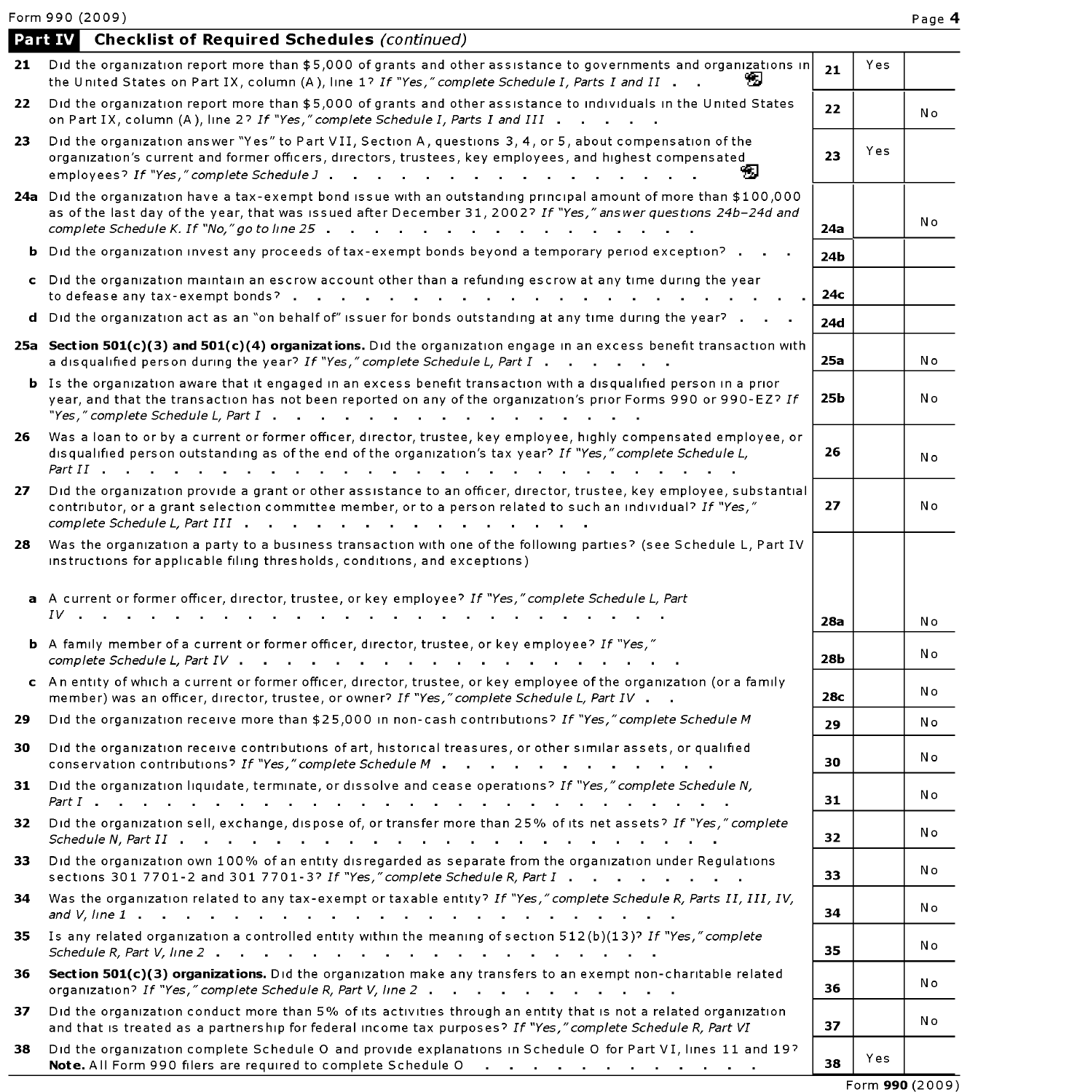Form 990 (2009) Page 4

|     | Form 990 (2009)                                                                                                                                                                                                                                                                                                                                        |     |     | Page 4          |
|-----|--------------------------------------------------------------------------------------------------------------------------------------------------------------------------------------------------------------------------------------------------------------------------------------------------------------------------------------------------------|-----|-----|-----------------|
|     | <b>Checklist of Required Schedules (continued)</b><br><b>Part IV</b>                                                                                                                                                                                                                                                                                   |     |     |                 |
|     | 21 Did the organization report more than \$5,000 of grants and other assistance to governments and organizations in<br>the United States on Part IX, column (A), line 1? If "Yes," complete Schedule I, Parts I and II<br>ъ                                                                                                                            | 21  | Yes |                 |
| 22  | Did the organization report more than \$5,000 of grants and other assistance to individuals in the United States<br>on Part IX, column (A), line 2? If "Yes," complete Schedule I, Parts I and III                                                                                                                                                     | 22  |     | Νo              |
| 23. | Did the organization answer "Yes" to Part VII, Section A, questions 3, 4, or 5, about compensation of the<br>organization's current and former officers, directors, trustees, key employees, and highest compensated<br>S<br>employees? If "Yes," complete Schedule J                                                                                  | 23  | Yes |                 |
|     | 24a Did the organization have a tax-exempt bond issue with an outstanding principal amount of more than \$100,000<br>as of the last day of the year, that was issued after December 31, 2002? If "Yes," answer questions 24b-24d and<br>complete Schedule K. If "No," go to line 25 \cdots response to response the set of the set of the set of the s | 24a |     | Νo              |
|     | <b>b</b> Did the organization invest any proceeds of tax-exempt bonds beyond a temporary period exception?                                                                                                                                                                                                                                             | 24b |     |                 |
|     | c Did the organization maintain an escrow account other than a refunding escrow at any time during the year<br>to defease any tax-exempt bonds?                                                                                                                                                                                                        | 24с |     |                 |
|     | d Did the organization act as an "on behalf of" issuer for bonds outstanding at any time during the year?                                                                                                                                                                                                                                              | 24d |     |                 |
|     | 25a Section 501(c)(3) and 501(c)(4) organizations. Did the organization engage in an excess benefit transaction with<br>a disqualified person during the year? If "Yes," complete Schedule L, Part I                                                                                                                                                   | 25a |     | Νo              |
|     | <b>b</b> Is the organization aware that it engaged in an excess benefit transaction with a disqualified person in a prior<br>year, and that the transaction has not been reported on any of the organization's prior Forms 990 or 990-EZ? If<br>"Yes," complete Schedule L, Part $I :  :  :  :  :  :  : $                                              | 25b |     | Νo              |
| 26. | Was a loan to or by a current or former officer, director, trustee, key employee, highly compensated employee, or<br>disqualified person outstanding as of the end of the organization's tax year? If "Yes," complete Schedule L,                                                                                                                      | 26  |     | Νo              |
| 27  | Did the organization provide a grant or other assistance to an officer, director, trustee, key employee, substantial<br>contributor, or a grant selection committee member, or to a person related to such an individual? If "Yes,"<br>complete Schedule L, Part III                                                                                   | 27  |     | Νo              |
| 28  | Was the organization a party to a business transaction with one of the following parties? (see Schedule L, Part IV<br>instructions for applicable filing thresholds, conditions, and exceptions)                                                                                                                                                       |     |     |                 |
|     | a A current or former officer, director, trustee, or key employee? If "Yes," complete Schedule L, Part<br>1V                                                                                                                                                                                                                                           | 28a |     | Νo              |
|     | b A family member of a current or former officer, director, trustee, or key employee? If "Yes,"                                                                                                                                                                                                                                                        | 28b |     | Νo              |
|     | c An entity of which a current or former officer, director, trustee, or key employee of the organization (or a family<br>member) was an officer, director, trustee, or owner? If "Yes," complete Schedule L, Part IV                                                                                                                                   | 28c |     | Νo              |
| 29  | Did the organization receive more than \$25,000 in non-cash contributions? If "Yes," complete Schedule M                                                                                                                                                                                                                                               | 29  |     | Νo              |
| 30  | Did the organization receive contributions of art, historical treasures, or other similar assets, or qualified<br>conservation contributions? If "Yes," complete Schedule M                                                                                                                                                                            | 30  |     | Νo              |
| 31  | Did the organization liquidate, terminate, or dissolve and cease operations? If "Yes," complete Schedule N,                                                                                                                                                                                                                                            | 31  |     | Νo              |
| 32  | Did the organization sell, exchange, dispose of, or transfer more than 25% of its net assets? If "Yes," complete<br>Schedule N, Part $II$ $\cdots$ $\cdots$ $\cdots$ $\cdots$ $\cdots$ $\cdots$ $\cdots$ $\cdots$ $\cdots$ $\cdots$ $\cdots$                                                                                                           | 32  |     | Νo              |
| 33. | Did the organization own 100% of an entity disregarded as separate from the organization under Regulations<br>sections 301 7701-2 and 301 7701-3? If "Yes," complete Schedule R, Part I                                                                                                                                                                | 33  |     | No              |
| 34  | Was the organization related to any tax-exempt or taxable entity? If "Yes," complete Schedule R, Parts II, III, IV,                                                                                                                                                                                                                                    | 34  |     | No              |
| 35  | Is any related organization a controlled entity within the meaning of section 512(b)(13)? If "Yes," complete                                                                                                                                                                                                                                           | 35  |     | Νo              |
| 36  | Section 501(c)(3) organizations. Did the organization make any transfers to an exempt non-charitable related<br>organization? If "Yes," complete Schedule R, Part V, line 2                                                                                                                                                                            | 36  |     | Νo              |
| 37  | Did the organization conduct more than 5% of its activities through an entity that is not a related organization<br>and that is treated as a partnership for federal income tax purposes? If "Yes," complete Schedule R, Part VI                                                                                                                       | 37  |     | Νo              |
| 38  | Did the organization complete Schedule O and provide explanations in Schedule O for Part VI, lines 11 and 19?<br>Note. All Form 990 filers are required to complete Schedule 0                                                                                                                                                                         | 38  | Yes |                 |
|     |                                                                                                                                                                                                                                                                                                                                                        |     |     | Form 990 (2009) |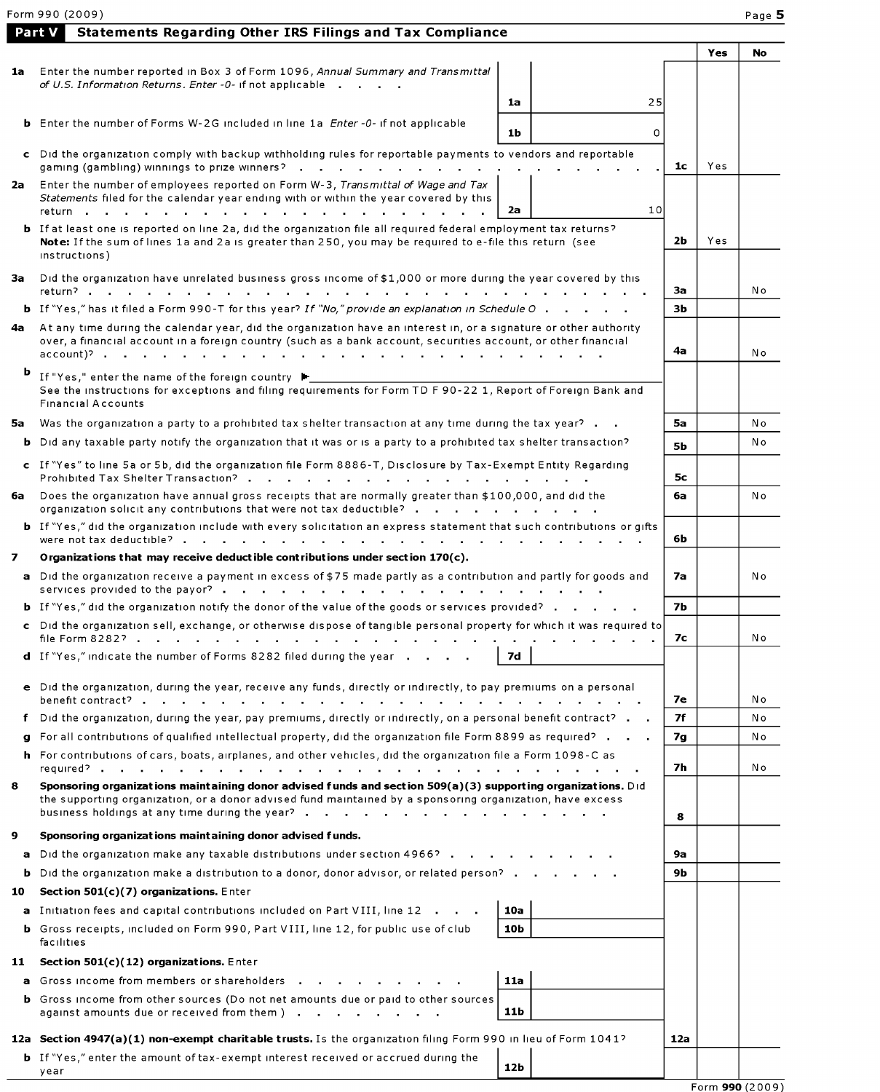|      | <b>Statements Regarding Other IRS Filings and Tax Compliance</b><br><b>Part V</b>                                                                                                                                                                   |                |     |     |
|------|-----------------------------------------------------------------------------------------------------------------------------------------------------------------------------------------------------------------------------------------------------|----------------|-----|-----|
|      |                                                                                                                                                                                                                                                     |                | Yes | No  |
| 1a   | Enter the number reported in Box 3 of Form 1096, Annual Summary and Transmittal                                                                                                                                                                     |                |     |     |
|      | of U.S. Information Returns. Enter -0- if not applicable                                                                                                                                                                                            |                |     |     |
|      | 25<br>1a                                                                                                                                                                                                                                            |                |     |     |
|      | <b>b</b> Enter the number of Forms W-2G included in line 1a <i>Enter -0-</i> if not applicable<br>1 <sub>b</sub><br>0                                                                                                                               |                |     |     |
|      |                                                                                                                                                                                                                                                     |                |     |     |
|      | c Did the organization comply with backup withholding rules for reportable payments to vendors and reportable<br>gaming (gambling) winnings to prize winners?                                                                                       | 1 <sub>c</sub> | Yes |     |
|      | 2a Enter the number of employees reported on Form W-3, Transmittal of Wage and Tax                                                                                                                                                                  |                |     |     |
|      | Statements filed for the calendar year ending with or within the year covered by this                                                                                                                                                               |                |     |     |
|      | 10<br>2a<br>return                                                                                                                                                                                                                                  |                |     |     |
|      | <b>b</b> If at least one is reported on line 2a, did the organization file all required federal employment tax returns?<br>Note: If the sum of lines 1a and 2a is greater than 250, you may be required to e-file this return (see<br>instructions) | 2Ь             | Yes |     |
| За   | Did the organization have unrelated business gross income of \$1,000 or more during the year covered by this<br>return?                                                                                                                             | За             |     | N o |
|      | <b>b</b> If "Yes," has it filed a Form 990-T for this year? If "No," provide an explanation in Schedule O.                                                                                                                                          | 3Ь             |     |     |
| 4a - | At any time during the calendar year, did the organization have an interest in, or a signature or other authority                                                                                                                                   |                |     |     |
|      | over, a financial account in a foreign country (such as a bank account, securities account, or other financial<br>account)?                                                                                                                         | 4а             |     | N o |
| b    | If "Yes," enter the name of the foreign country ▶                                                                                                                                                                                                   |                |     |     |
|      | See the instructions for exceptions and filing requirements for Form TD F 90-22 1, Report of Foreign Bank and                                                                                                                                       |                |     |     |
|      | <b>Financial Accounts</b>                                                                                                                                                                                                                           |                |     |     |
| 5a   | Was the organization a party to a prohibited tax shelter transaction at any time during the tax year?                                                                                                                                               | 5a             |     | N o |
| ь    | Did any taxable party notify the organization that it was or is a party to a prohibited tax shelter transaction?                                                                                                                                    | <b>5b</b>      |     | N o |
|      | c If "Yes" to line 5a or 5b, did the organization file Form 8886-T, Disclosure by Tax-Exempt Entity Regarding<br>Prohibited Tax Shelter Transaction?                                                                                                | 5с             |     |     |
| 6a   | Does the organization have annual gross receipts that are normally greater than \$100,000, and did the<br>organization solicit any contributions that were not tax deductible? $\cdot \cdot \cdot \cdot \cdot$                                      | 6a             |     | No  |
|      | <b>b</b> If "Yes," did the organization include with every solicitation an express statement that such contributions or gifts                                                                                                                       | 6b             |     |     |
| 7    | Organizations that may receive deductible contributions under section $170(c)$ .                                                                                                                                                                    |                |     |     |
|      | a Did the organization receive a payment in excess of \$75 made partly as a contribution and partly for goods and<br>services provided to the payor?.                                                                                               | 7а             |     | Νo  |
|      | <b>b</b> If "Yes," did the organization notify the donor of the value of the goods or services provided?                                                                                                                                            | <b>7b</b>      |     |     |
|      | c Did the organization sell, exchange, or otherwise dispose of tangible personal property for which it was required to<br>file Form 8282?<br>and the state of the state                                                                             | 7с             |     | No  |
|      | d If "Yes," indicate the number of Forms 8282 filed during the year<br><b>7d</b>                                                                                                                                                                    |                |     |     |
|      | e Did the organization, during the year, receive any funds, directly or indirectly, to pay premiums on a personal                                                                                                                                   | 7е             |     | N o |
| f    | Did the organization, during the year, pay premiums, directly or indirectly, on a personal benefit contract?                                                                                                                                        | 7f             |     | N o |
| q    | For all contributions of qualified intellectual property, did the organization file Form 8899 as required?                                                                                                                                          | 7g             |     | N o |
|      | h For contributions of cars, boats, airplanes, and other vehicles, did the organization file a Form 1098-C as                                                                                                                                       |                |     |     |
|      |                                                                                                                                                                                                                                                     | 7h             |     | No  |
| 8    | Sponsoring organizations maintaining donor advised funds and section 509(a)(3) supporting organizations. Did<br>the supporting organization, or a donor advised fund maintained by a sponsoring organization, have excess                           | 8              |     |     |
| 9    | Sponsoring organizations maintaining donor advised funds.                                                                                                                                                                                           |                |     |     |
| a    | Did the organization make any taxable distributions under section 4966?                                                                                                                                                                             | 9а             |     |     |
| b    | Did the organization make a distribution to a donor, donor advisor, or related person?                                                                                                                                                              | 9 <b>b</b>     |     |     |
| 10   | Section $501(c)(7)$ organizations. Enter                                                                                                                                                                                                            |                |     |     |
|      | a Initiation fees and capital contributions included on Part VIII, line 12<br>10a                                                                                                                                                                   |                |     |     |
|      | <b>b</b> Gross receipts, included on Form 990, Part VIII, line 12, for public use of club<br>10b                                                                                                                                                    |                |     |     |
|      | facilities                                                                                                                                                                                                                                          |                |     |     |
| 11   | Section 501(c)(12) organizations. Enter                                                                                                                                                                                                             |                |     |     |
|      | a Gross income from members or shareholders<br>11a<br>the contract of the contract of the contract of the contract of the contract of the contract of the contract of                                                                               |                |     |     |
|      | <b>b</b> Gross income from other sources (Do not net amounts due or paid to other sources<br>11b<br>against amounts due or received from them )                                                                                                     |                |     |     |
|      | 12a Section 4947(a)(1) non-exempt charitable trusts. Is the organization filing Form 990 in lieu of Form 1041?                                                                                                                                      | 12a            |     |     |
|      | <b>b</b> If "Yes," enter the amount of tax-exempt interest received or accrued during the                                                                                                                                                           |                |     |     |
|      | 12 <sub>b</sub><br>year                                                                                                                                                                                                                             |                |     |     |

 $\frac{1}{5}$  Form **990** (2009)

| Form 990 (2009)<br>Page 5 |
|---------------------------|
|                           |

| <b>17t V</b> Statements Regarding Other IRS Filings and Tax Compliance |  |
|------------------------------------------------------------------------|--|
|------------------------------------------------------------------------|--|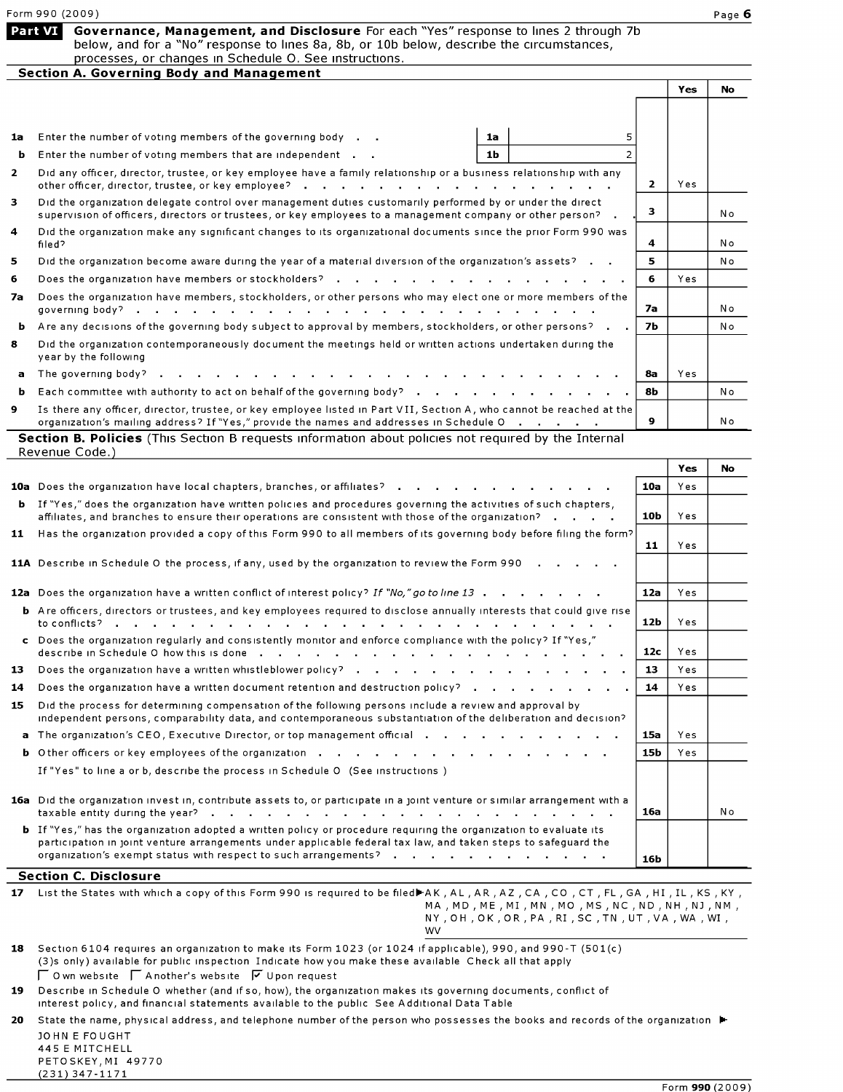| <b>Part VI</b> Governance, Management, and Disclosure For each "Yes" response to lines 2 through 7b |
|-----------------------------------------------------------------------------------------------------|
| below, and for a "No" response to lines 8a, 8b, or 10b below, describe the circumstances,           |
| processes, or changes in Schedule O. See instructions.                                              |
| Constitute A. Constitution Barbon and Management.                                                   |

| <b>Section A. Governing Body and Management</b> |                                                                                                                                                                                                                                   |   |    |      |           |
|-------------------------------------------------|-----------------------------------------------------------------------------------------------------------------------------------------------------------------------------------------------------------------------------------|---|----|------|-----------|
|                                                 |                                                                                                                                                                                                                                   |   |    | Yes  | <b>No</b> |
|                                                 |                                                                                                                                                                                                                                   |   |    |      |           |
| 1a                                              | Enter the number of voting members of the governing body<br>1a                                                                                                                                                                    | 5 |    |      |           |
| ь                                               | Enter the number of voting members that are independent<br>1 <b>b</b>                                                                                                                                                             |   |    |      |           |
| $\overline{2}$                                  | Did any officer, director, trustee, or key employee have a family relationship or a business relationship with any                                                                                                                |   | 2  | Yes. |           |
| 3                                               | Did the organization delegate control over management duties customarily performed by or under the direct<br>supervision of officers, directors or trustees, or key employees to a management company or other person? .          |   | з  |      | N o       |
| $\overline{\mathbf{4}}$                         | Did the organization make any significant changes to its organizational documents since the prior Form 990 was<br>filed?                                                                                                          |   | 4  |      | N o       |
| 5                                               | Did the organization become aware during the year of a material diversion of the organization's assets?                                                                                                                           |   | 5. |      | No        |
| 6                                               |                                                                                                                                                                                                                                   |   | 6. | Yes  |           |
| 7а                                              | Does the organization have members, stockholders, or other persons who may elect one or more members of the<br>governing body?<br>and a series of the contract of the contract of the contract of the contract of the contract of |   | 7а |      | N o       |
| ь                                               | Are any decisions of the governing body subject to approval by members, stockholders, or other persons?                                                                                                                           |   | 7Ь |      | No        |
| 8                                               | Did the organization contemporaneously document the meetings held or written actions undertaken during the<br>year by the following                                                                                               |   |    |      |           |
| a                                               |                                                                                                                                                                                                                                   |   | 8a | Yes  |           |
| b.                                              | Each committee with authority to act on behalf of the governing body?                                                                                                                                                             |   | 8Ь |      | No        |
| 9                                               | Is there any officer, director, trustee, or key employee listed in Part VII, Section A, who cannot be reached at the<br>organization's mailing address? If "Yes," provide the names and addresses in Schedule O                   |   | 9. |      | N o       |

| <b>Section B. Policies</b> (This Section B requests information about policies not required by the Internal |  |
|-------------------------------------------------------------------------------------------------------------|--|
| Revenue Code.)                                                                                              |  |

|    |                                                                                                                                                                                                                                                                                                                                                                     |                 | Yes  | <b>No</b> |
|----|---------------------------------------------------------------------------------------------------------------------------------------------------------------------------------------------------------------------------------------------------------------------------------------------------------------------------------------------------------------------|-----------------|------|-----------|
|    | 10a Does the organization have local chapters, branches, or affiliates?                                                                                                                                                                                                                                                                                             | 10a             | Yes. |           |
|    | <b>b</b> If "Yes," does the organization have written policies and procedures governing the activities of such chapters,<br>$affilates$ , and branches to ensure their operations are consistent with those of the organization? $\cdot \cdot \cdot$                                                                                                                | 10 <sub>b</sub> | Yes  |           |
| 11 | Has the organization provided a copy of this Form 990 to all members of its governing body before filing the form?                                                                                                                                                                                                                                                  | 11              | Yes  |           |
|    | 11A Describe in Schedule O the process, if any, used by the organization to review the Form 990                                                                                                                                                                                                                                                                     |                 |      |           |
|    | 12a Does the organization have a written conflict of interest policy? If "No," go to line 13                                                                                                                                                                                                                                                                        | 12a             | Yes  |           |
|    | <b>b</b> Are officers, directors or trustees, and key employees required to disclose annually interests that could give rise                                                                                                                                                                                                                                        | 12 <sub>b</sub> | Yes. |           |
|    | c Does the organization requiarly and consistently monitor and enforce compliance with the policy? If "Yes,"                                                                                                                                                                                                                                                        | 12 <sub>c</sub> | Yes  |           |
| 13 |                                                                                                                                                                                                                                                                                                                                                                     | 13              | Yes. |           |
| 14 | Does the organization have a written document retention and destruction policy? $\cdots$ , $\cdots$ , $\cdots$ , $\cdots$                                                                                                                                                                                                                                           | 14              | Yes  |           |
| 15 | Did the process for determining compensation of the following persons include a review and approval by<br>independent persons, comparability data, and contemporaneous substantiation of the deliberation and decision?                                                                                                                                             |                 |      |           |
| a  | The organization's CEO, Executive Director, or top management official                                                                                                                                                                                                                                                                                              | 15a             | Yes. |           |
|    |                                                                                                                                                                                                                                                                                                                                                                     | 15b             | Yes. |           |
|    | If "Yes" to line a or b, describe the process in Schedule O (See instructions)                                                                                                                                                                                                                                                                                      |                 |      |           |
|    | 16a Did the organization invest in, contribute assets to, or participate in a joint venture or similar arrangement with a                                                                                                                                                                                                                                           | 16a             |      | N o       |
|    | <b>b</b> If "Yes," has the organization adopted a written policy or procedure requiring the organization to evaluate its<br>participation in joint venture arrangements under applicable federal tax law, and taken steps to safeguard the<br>organization's exempt status with respect to such arrangements? $\cdots$ $\cdots$ $\cdots$ $\cdots$ $\cdots$ $\cdots$ | 16b             |      |           |
|    | <b>Section C. Disclosure</b>                                                                                                                                                                                                                                                                                                                                        |                 |      |           |

| 17 | List the States with which a copy of this Form 990 is required to be filed⊫AK, AL, AR, AZ, CA, CO, CT, FL, GA, HI, IL, KS, KY, |
|----|--------------------------------------------------------------------------------------------------------------------------------|
|    | MA , MD , ME , MI , MN , MO , MS , NC , ND , NH , NJ , NM ,                                                                    |
|    | NY , OH , OK , OR , PA , RI , SC , TN , UT , VA , WA , WI ,                                                                    |
|    | WV                                                                                                                             |
|    |                                                                                                                                |

- $\bf 18$   $\,$  Section 6 $\rm 104$  requires an organization to make its Form  $\rm 1023$  (or  $\rm 1024$  if applicable), 990, and 990-T (50 $\rm 1(c)$ (3)s only) available for public inspection Indicate how you make these available Check all that apply  $\sqrt{\phantom{a}}$  O wn website  $\sqrt{\phantom{a}}$  Another's website  $\sqrt{\phantom{a}}$  Upon request
- 19 Describe in Schedule O whether (and if so, how), the organization makes its governing documents, conflict of interest policy , and financial statements available to the public See Additional Data Table
- 20 State the name, physical address, and telephone number of the person who possesses the books and records of the organization  $\blacktriangleright$ JOHN <sup>E</sup> FOUGHT

| 445 E MITCHELL     |  |
|--------------------|--|
| PETOSKEY, MI 49770 |  |
| $(231)$ 347-1171   |  |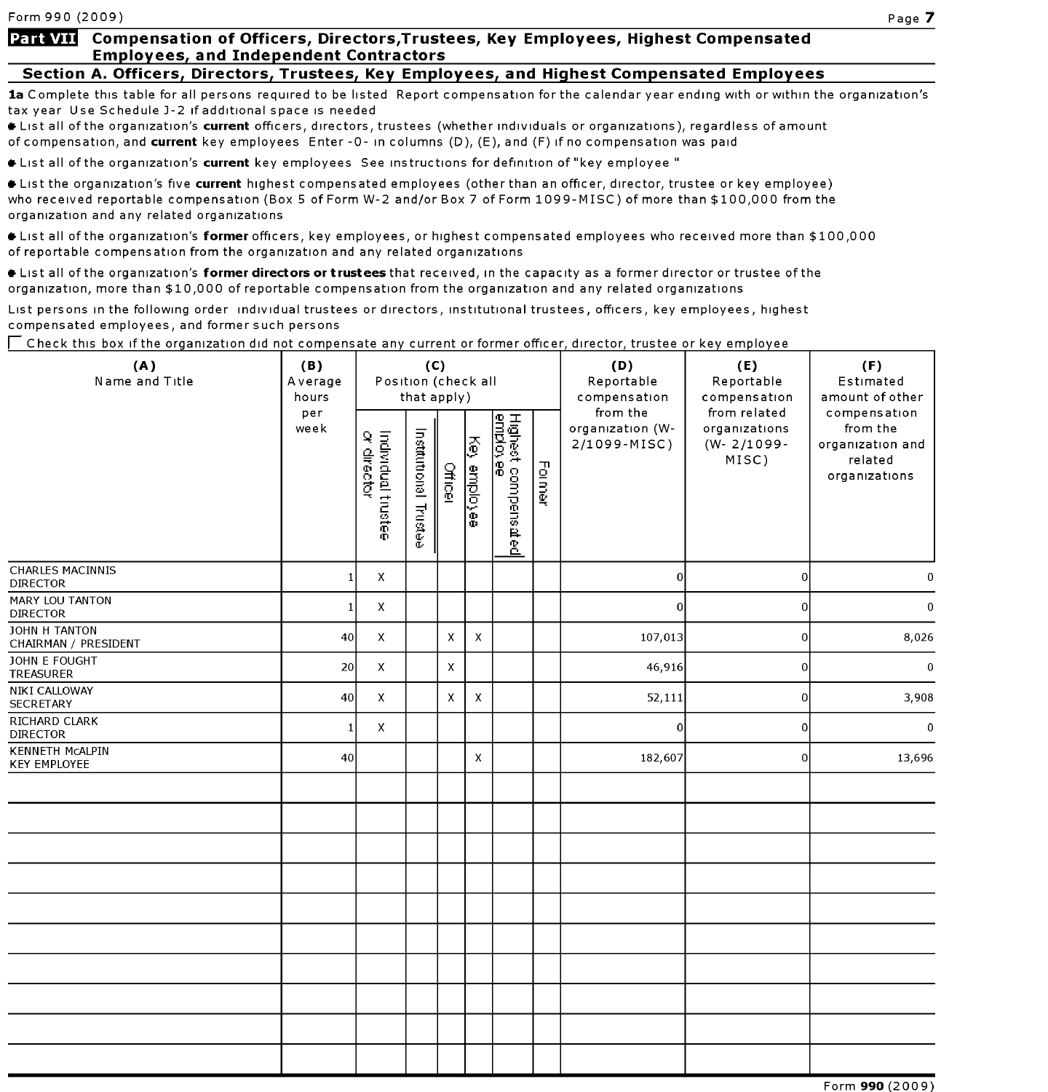# Section A. Officers, Directors, Trustees, Key Employees, and Highest Compensated Employees

1a Complete this table for all persons required to be listed Report compensation for the calendar year ending with or within the organization's tax year Use Schedule J-2 if additional space is needed

+ List all of the organization's current officers, directors, trustees (whether individuals or organizations), regardless of amount of compensation, and current key employees Enter - 0- in columns (D), (E), and (F) if no compensation was paid

**\*** List all of the organization's current key employees See instructions for definition of "key employee "

**\*** List the organization's five current highest compensated employees (other than an officer, director, trustee or key employee) who received reportable compensation (Box <sup>5</sup> of Form W-2 and/or Box <sup>7</sup> of Form 1099-MISC) of more than \$100,000 from the organization and any related organizations

\* List all of the organization's former officers, key employees, or highest compensated employees who received more than \$100,000 of reportable compensation from the organization and any related organizations

Itst all of the organization's former directors or trustees that received, in the capacity as a former director or trustee of the organization, more than \$10,000 of reportable compensation from the organization and any related organizations

List persons in the following order individual trustees or directors, institutional trustees, officers, key employees, highest compensated employees, and former such persons

 $\Box$  Check this box if the organization did not compensate any current or former officer, director, trustee or key employee

| (A)<br>Name and Title                         | (B)<br>Average<br>hours | (C)<br>Position (check all<br>that apply) |                       |                |                    |                                        |               | (D)<br>Reportable<br>compensation            | (E)<br>Reportable<br>compensation                         | (F)<br>Estimated<br>amount of other                                      |  |
|-----------------------------------------------|-------------------------|-------------------------------------------|-----------------------|----------------|--------------------|----------------------------------------|---------------|----------------------------------------------|-----------------------------------------------------------|--------------------------------------------------------------------------|--|
|                                               | per<br>week             | Individual trustee<br>or director         | Institutional Trustee | <b>Officer</b> | ķ<br>enployee      | Highest compensated<br><u>employee</u> | <b>Former</b> | from the<br>organization (W-<br>2/1099-MISC) | from related<br>organizations<br>$(W - 2/1099 -$<br>MISC) | compensation<br>from the<br>organization and<br>related<br>organizations |  |
| <b>CHARLES MACINNIS</b><br><b>DIRECTOR</b>    | $\mathbf{1}$            | $\pmb{\times}$                            |                       |                |                    |                                        |               | $\circ$                                      | $\overline{0}$                                            | $\Omega$                                                                 |  |
| MARY LOU TANTON<br><b>DIRECTOR</b>            | $\mathbf{1}$            | X                                         |                       |                |                    |                                        |               | $\mathbf 0$                                  | $\overline{0}$                                            | $\mathbf 0$                                                              |  |
| JOHN H TANTON<br>CHAIRMAN / PRESIDENT         | 40                      | X                                         |                       | $\pmb{\times}$ | $\mathsf X$        |                                        |               | 107,013                                      | $\vert$ 0                                                 | 8,026                                                                    |  |
| JOHN E FOUGHT<br>TREASURER                    | 20                      | X                                         |                       | $\mathsf{x}$   |                    |                                        |               | 46,916                                       | $\vert$ 0                                                 | $\mathbf 0$                                                              |  |
| NIKI CALLOWAY<br><b>SECRETARY</b>             | 40                      | $\mathsf{x}$                              |                       | X              | $\mathsf X$        |                                        |               | 52,111                                       | $\overline{0}$                                            | 3,908                                                                    |  |
| RICHARD CLARK<br><b>DIRECTOR</b>              | $\mathbf{1}$            | X                                         |                       |                |                    |                                        |               | $\circ$                                      | $\overline{0}$                                            | $\mathbf 0$                                                              |  |
| <b>KENNETH MCALPIN</b><br><b>KEY EMPLOYEE</b> | 40                      |                                           |                       |                | $\pmb{\mathsf{X}}$ |                                        |               | 182,607                                      | $\overline{0}$                                            | 13,696                                                                   |  |
|                                               |                         |                                           |                       |                |                    |                                        |               |                                              |                                                           |                                                                          |  |
|                                               |                         |                                           |                       |                |                    |                                        |               |                                              |                                                           |                                                                          |  |
|                                               |                         |                                           |                       |                |                    |                                        |               |                                              |                                                           |                                                                          |  |
|                                               |                         |                                           |                       |                |                    |                                        |               |                                              |                                                           |                                                                          |  |
|                                               |                         |                                           |                       |                |                    |                                        |               |                                              |                                                           |                                                                          |  |
|                                               |                         |                                           |                       |                |                    |                                        |               |                                              |                                                           |                                                                          |  |
|                                               |                         |                                           |                       |                |                    |                                        |               |                                              |                                                           |                                                                          |  |
|                                               |                         |                                           |                       |                |                    |                                        |               |                                              |                                                           |                                                                          |  |
|                                               |                         |                                           |                       |                |                    |                                        |               |                                              |                                                           |                                                                          |  |
|                                               |                         |                                           |                       |                |                    |                                        |               |                                              |                                                           |                                                                          |  |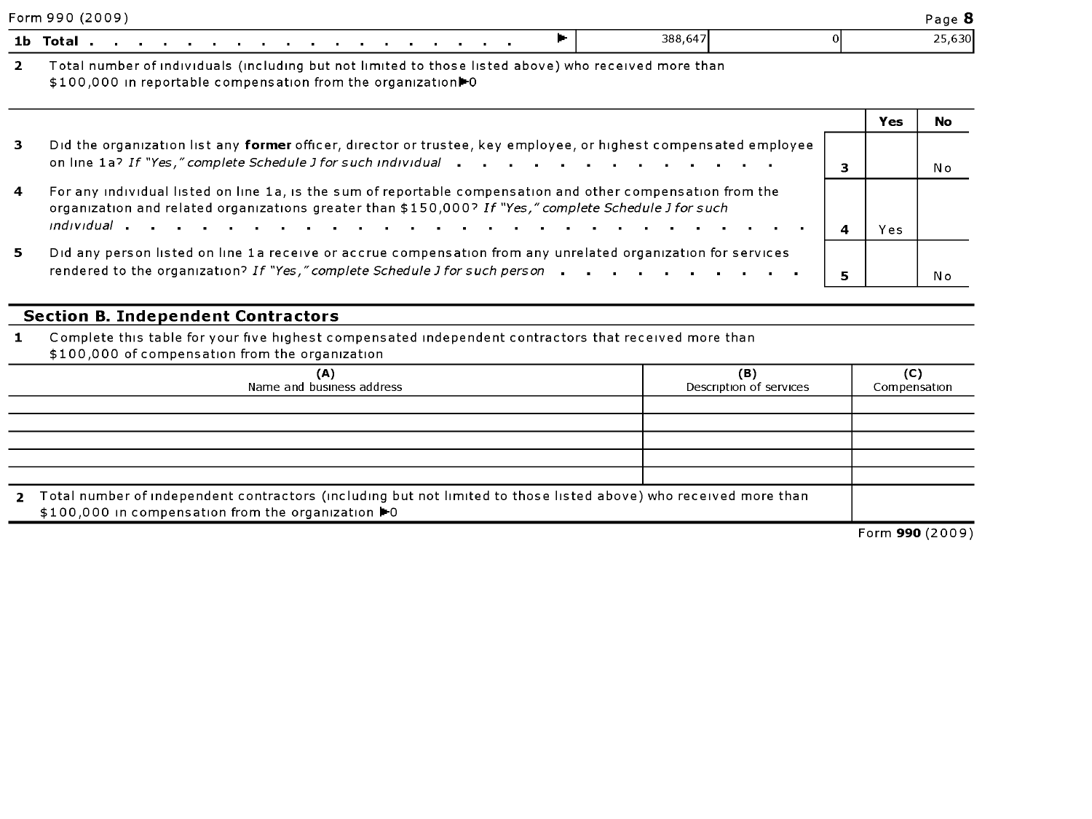|   | Form 990 (2009)                                                                                                                                                                                                                      |   |     | Page 8 |
|---|--------------------------------------------------------------------------------------------------------------------------------------------------------------------------------------------------------------------------------------|---|-----|--------|
|   | 388,647<br>1b Total                                                                                                                                                                                                                  |   |     | 25,630 |
| 2 | Total number of individuals (including but not limited to those listed above) who received more than<br>\$100,000 in reportable compensation from the organization to                                                                |   |     |        |
|   |                                                                                                                                                                                                                                      |   | Yes | No     |
| 3 | Did the organization list any former officer, director or trustee, key employee, or highest compensated employee<br>on line 1a? If "Yes," complete Schedule J for such individual                                                    | 3 |     | N o    |
| 4 | For any individual listed on line 1a, is the sum of reportable compensation and other compensation from the<br>organization and related organizations greater than \$150,000? If "Yes," complete Schedule J for such<br>individual a |   |     |        |
|   |                                                                                                                                                                                                                                      | 4 | Yes |        |
| 5 | Did any person listed on line 1a receive or accrue compensation from any unrelated organization for services<br>rendered to the organization? If "Yes," complete Schedule J for such person                                          | 5 |     | Νo     |

# Section B. Independent Contractors

1 Complete this table for your five highest compensated independent contractors that received more than \$100,000 of compensation from the organization

| (A)<br>Name and business address                                                                                                                                                       | (B)<br>Description of services | (C)<br>Compensation |  |  |  |  |
|----------------------------------------------------------------------------------------------------------------------------------------------------------------------------------------|--------------------------------|---------------------|--|--|--|--|
|                                                                                                                                                                                        |                                |                     |  |  |  |  |
|                                                                                                                                                                                        |                                |                     |  |  |  |  |
|                                                                                                                                                                                        |                                |                     |  |  |  |  |
|                                                                                                                                                                                        |                                |                     |  |  |  |  |
|                                                                                                                                                                                        |                                |                     |  |  |  |  |
| Total number of independent contractors (including but not limited to those listed above) who received more than<br>$2^{\circ}$<br>\$100,000 in compensation from the organization ▶ 0 |                                |                     |  |  |  |  |
|                                                                                                                                                                                        |                                | Form 990 (2009)     |  |  |  |  |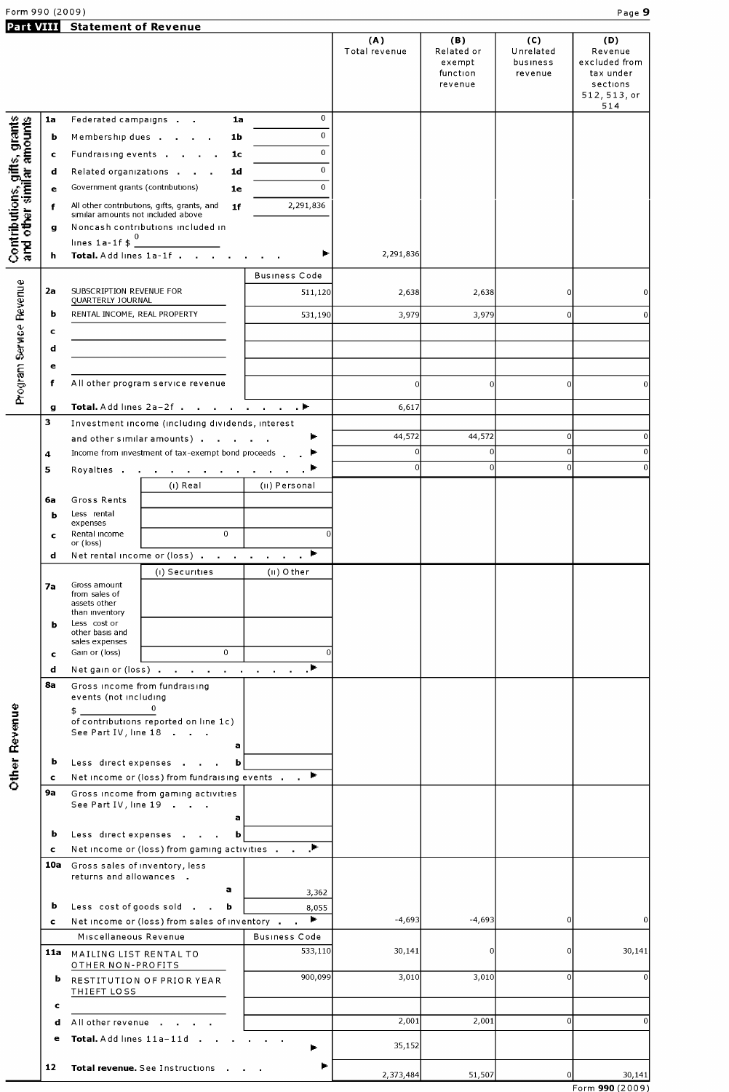# Part VIII Statement of Revenue

|                                                           |         |                                                                     |                                                     |                | (A)<br>Total revenue | (B)<br>Related or<br>exempt<br>function<br>revenue | (C)<br>Unrelated<br>business<br>revenue | (D)<br>Revenue<br>excluded from<br>tax under<br>sections<br>512, 513, or<br>514 |
|-----------------------------------------------------------|---------|---------------------------------------------------------------------|-----------------------------------------------------|----------------|----------------------|----------------------------------------------------|-----------------------------------------|---------------------------------------------------------------------------------|
|                                                           | 1a      | Federated campaigns                                                 | 1a                                                  | $\overline{0}$ |                      |                                                    |                                         |                                                                                 |
| Contributions, gifts, grants<br>and other similar amounts | ь       |                                                                     | Membership dues<br>1b                               | $\overline{0}$ |                      |                                                    |                                         |                                                                                 |
|                                                           | c       |                                                                     | Fundraising events<br>1c                            | $\overline{0}$ |                      |                                                    |                                         |                                                                                 |
|                                                           | d       |                                                                     | Related organizations<br>1d                         | $\mathbf{0}$   |                      |                                                    |                                         |                                                                                 |
|                                                           | e       | Government grants (contributions)                                   | 1e                                                  | $\Omega$       |                      |                                                    |                                         |                                                                                 |
|                                                           | f       |                                                                     | All other contributions, gifts, grants, and<br>1f   | 2,291,836      |                      |                                                    |                                         |                                                                                 |
|                                                           | g       | similar amounts not included above                                  | Noncash contributions included in                   |                |                      |                                                    |                                         |                                                                                 |
|                                                           |         | lines 1a-1f $\frac{0}{2}$                                           |                                                     |                |                      |                                                    |                                         |                                                                                 |
|                                                           | h.      |                                                                     | Total. Add lines 1a-1f                              | ►              | 2,291,836            |                                                    |                                         |                                                                                 |
|                                                           |         |                                                                     |                                                     | Business Code  |                      |                                                    |                                         |                                                                                 |
|                                                           | 2a      | SUBSCRIPTION REVENUE FOR                                            |                                                     | 511,120        | 2,638                | 2,638                                              | 0                                       | $\mathbf 0$                                                                     |
|                                                           |         | QUARTERLY JOURNAL                                                   |                                                     |                |                      |                                                    |                                         |                                                                                 |
|                                                           | b       | RENTAL INCOME, REAL PROPERTY                                        |                                                     | 531,190        | 3,979                | 3,979                                              | $\Omega$                                | $\mathbf 0$                                                                     |
|                                                           | c       |                                                                     |                                                     |                |                      |                                                    |                                         |                                                                                 |
|                                                           | d       |                                                                     |                                                     |                |                      |                                                    |                                         |                                                                                 |
|                                                           | е       |                                                                     |                                                     |                |                      |                                                    |                                         |                                                                                 |
| Program Service Revenue                                   | f       |                                                                     | All other program service revenue                   |                | $\Omega$             | $\overline{0}$                                     | $\overline{0}$                          | $\mathbf 0$                                                                     |
|                                                           | g       |                                                                     | Total. Add lines 2a-2f ▶                            |                | 6.617                |                                                    |                                         |                                                                                 |
|                                                           | 3       |                                                                     | Investment income (including dividends, interest    |                |                      |                                                    |                                         |                                                                                 |
|                                                           |         |                                                                     | and other similar amounts)                          |                | 44,572               | 44,572                                             | $\overline{0}$                          | $\mathbf 0$                                                                     |
|                                                           | 4       |                                                                     | Income from investment of tax-exempt bond proceeds  |                | 0l                   | $\overline{0}$                                     | $\overline{0}$                          | $\mathbf 0$                                                                     |
|                                                           | 5.      |                                                                     | Royalties                                           |                | $\Omega$             | $\overline{0}$                                     | $\overline{0}$                          | $\overline{0}$                                                                  |
|                                                           |         |                                                                     | (ı) Real                                            | (ii) Personal  |                      |                                                    |                                         |                                                                                 |
|                                                           | 6а      | Gross Rents                                                         |                                                     |                |                      |                                                    |                                         |                                                                                 |
|                                                           | ь       | Less rental<br>expenses                                             |                                                     |                |                      |                                                    |                                         |                                                                                 |
|                                                           | c       | Rental income                                                       | $\mathbf{0}$                                        |                |                      |                                                    |                                         |                                                                                 |
|                                                           | d       | or (loss)                                                           | Net rental income or (loss) ▶                       |                |                      |                                                    |                                         |                                                                                 |
|                                                           |         |                                                                     | (i) Securities                                      | (II) Other     |                      |                                                    |                                         |                                                                                 |
|                                                           | 7а      | Gross amount<br>from sales of<br>assets other                       |                                                     |                |                      |                                                    |                                         |                                                                                 |
|                                                           | ь       | than inventory<br>Less cost or<br>other basis and<br>sales expenses |                                                     |                |                      |                                                    |                                         |                                                                                 |
|                                                           | c       | Gain or (loss)                                                      | $\mathbf{0}$                                        |                |                      |                                                    |                                         |                                                                                 |
|                                                           | d       |                                                                     | Net gain or (loss)                                  |                |                      |                                                    |                                         |                                                                                 |
|                                                           | 8а      | Gross income from fundraising<br>events (not including              |                                                     |                |                      |                                                    |                                         |                                                                                 |
| <b>Other Revenue</b>                                      |         | \$_<br>See Part IV, line 18                                         | 0<br>of contributions reported on line 1c)          |                |                      |                                                    |                                         |                                                                                 |
|                                                           |         |                                                                     | a                                                   |                |                      |                                                    |                                         |                                                                                 |
|                                                           | b       |                                                                     | Less direct expenses<br>b                           |                |                      |                                                    |                                         |                                                                                 |
|                                                           | c       |                                                                     | Net income or (loss) from fundraising events $\Box$ |                |                      |                                                    |                                         |                                                                                 |
|                                                           | 9а      | See Part IV, line 19                                                | Gross income from gaming activities<br>a            |                |                      |                                                    |                                         |                                                                                 |
|                                                           | b       |                                                                     | Less direct expenses<br>b                           |                |                      |                                                    |                                         |                                                                                 |
|                                                           | c       |                                                                     | Net income or (loss) from gaming activities         |                |                      |                                                    |                                         |                                                                                 |
|                                                           |         | 10a Gross sales of inventory, less<br>returns and allowances .      | а                                                   |                |                      |                                                    |                                         |                                                                                 |
|                                                           | b       |                                                                     | Less cost of goods sold b                           | 3,362<br>8,055 |                      |                                                    |                                         |                                                                                 |
|                                                           | c       |                                                                     | Net income or (loss) from sales of inventory        | ÷.             | $-4.693$             | $-4,693$                                           | $\overline{0}$                          | $\mathbf{0}$                                                                    |
|                                                           |         | Miscellaneous Revenue                                               |                                                     | Business Code  |                      |                                                    |                                         |                                                                                 |
|                                                           |         | 11a MAILING LIST RENTAL TO<br>OTHER NON-PROFITS                     |                                                     | 533,110        | 30,141               | $\overline{0}$                                     |                                         | 30,141                                                                          |
|                                                           | b       | THIEFT LOSS                                                         | RESTITUTION OF PRIOR YEAR                           | 900,099        | 3,010                | 3,010                                              | $\overline{0}$                          | $\mathbf{0}$                                                                    |
|                                                           | c       |                                                                     |                                                     |                | 2,001                |                                                    | $\overline{0}$                          | $\mathbf 0$                                                                     |
|                                                           | d       | All other revenue                                                   | $\sim$ 100 $\pm$                                    |                |                      | 2,001                                              |                                         |                                                                                 |
|                                                           | е<br>12 | Total. Add lines 11a-11d .                                          | Total revenue. See Instructions .                   | r              | 35,152               |                                                    |                                         |                                                                                 |
|                                                           |         |                                                                     |                                                     |                | 2,373,484            | 51,507                                             | $\overline{0}$                          | 30,141                                                                          |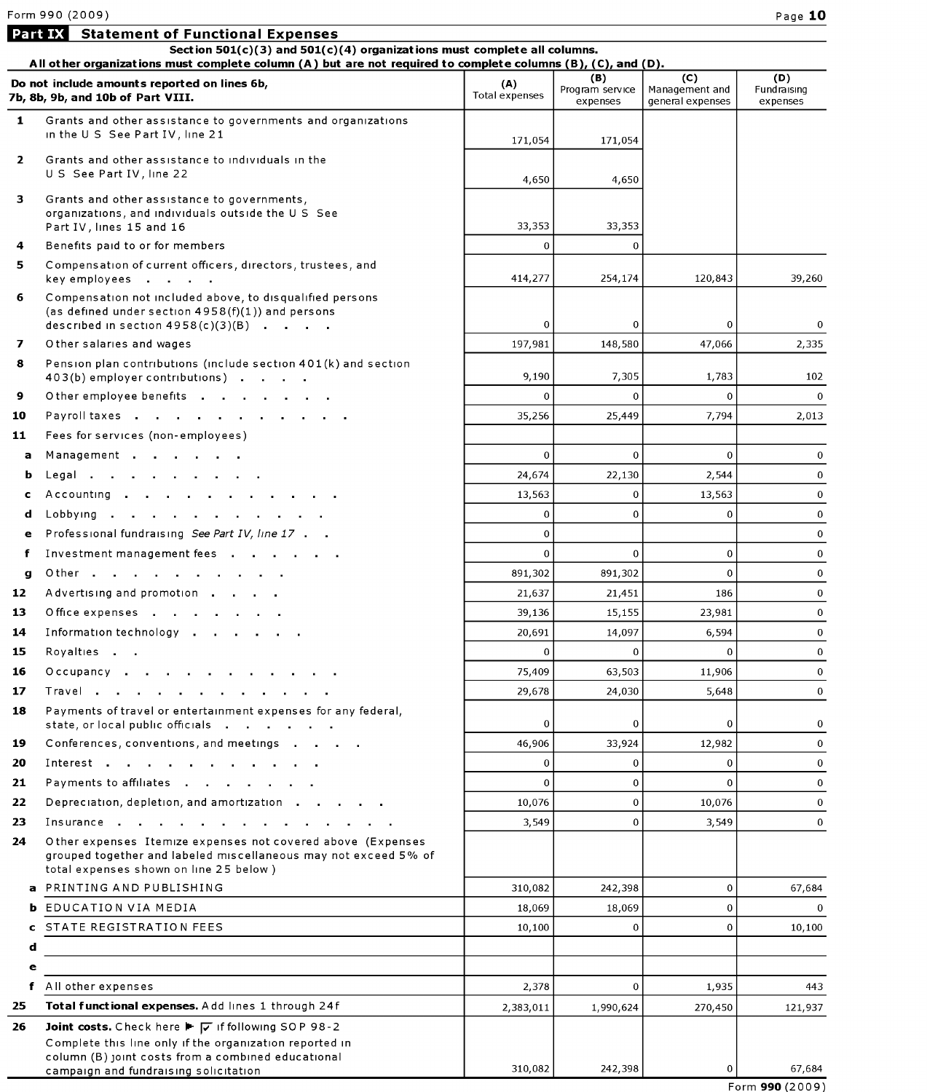Part IX Statement of Functional Expenses

|              | All other organizations must complete column (A) but are not required to complete columns (B), (C), and (D).                                                                          |                       |                                    |                                           |                                |
|--------------|---------------------------------------------------------------------------------------------------------------------------------------------------------------------------------------|-----------------------|------------------------------------|-------------------------------------------|--------------------------------|
|              | Do not include amounts reported on lines 6b,<br>7b, 8b, 9b, and 10b of Part VIII.                                                                                                     | (A)<br>Total expenses | (B)<br>Program service<br>expenses | (C)<br>Management and<br>general expenses | (D)<br>Fundraising<br>expenses |
| $\mathbf{1}$ | Grants and other assistance to governments and organizations<br>in the U S See Part IV, line 21                                                                                       | 171,054               | 171,054                            |                                           |                                |
| $\mathbf{2}$ | Grants and other assistance to individuals in the<br>U S See Part IV, line 22                                                                                                         | 4,650                 | 4,650                              |                                           |                                |
| 3            | Grants and other assistance to governments,<br>organizations, and individuals outside the U S See<br>Part IV, lines 15 and 16                                                         | 33,353                | 33,353                             |                                           |                                |
| 4            | Benefits paid to or for members                                                                                                                                                       | $\overline{0}$        | $\Omega$                           |                                           |                                |
| 5.           | Compensation of current officers, directors, trustees, and<br>key employees                                                                                                           | 414,277               | 254,174                            | 120,843                                   | 39,260                         |
| 6            | Compensation not included above, to disqualified persons<br>(as defined under section $4958(f)(1)$ ) and persons<br>described in section $4958(c)(3)(B)$                              | $\mathbf 0$           | 0                                  | $\Omega$                                  | $\mathbf{0}$                   |
| 7            | O ther salaries and wages                                                                                                                                                             | 197,981               | 148,580                            | 47,066                                    | 2,335                          |
| 8            | Pension plan contributions (include section 401(k) and section<br>403(b) employer contributions)                                                                                      | 9,190                 | 7,305                              | 1,783                                     | 102                            |
| 9            | Other employee benefits                                                                                                                                                               | $\Omega$              | $\mathbf 0$                        | $\bf{0}$                                  | $\mathbf{0}$                   |
| 10           | Payroll taxes                                                                                                                                                                         | 35,256                | 25,449                             | 7,794                                     | 2,013                          |
| 11           | Fees for services (non-employees)                                                                                                                                                     |                       |                                    |                                           |                                |
| a            | Management                                                                                                                                                                            | $\overline{0}$        | $\mathbf{0}$                       | $\overline{0}$                            | $\mathbf{0}$                   |
| b            | Legal                                                                                                                                                                                 | 24,674                | 22,130                             | 2,544                                     | $\mathbf 0$                    |
| c            | Accounting                                                                                                                                                                            | 13,563                | $\mathbf 0$                        | 13,563                                    | $\mathbf{0}$                   |
| d            | Lobbying                                                                                                                                                                              | $\Omega$              | $\Omega$                           | $\Omega$                                  | $\mathbf{0}$                   |
| е            | Professional fundraising See Part IV, line 17                                                                                                                                         | $\overline{0}$        |                                    |                                           | $\mathbf{0}$                   |
| f            | Investment management fees                                                                                                                                                            | $\mathbf{0}$          | $\mathbf 0$                        | $\mathbf 0$                               | $\mathbf 0$                    |
| g            | Other                                                                                                                                                                                 | 891,302               | 891,302                            | $\overline{0}$                            | $\mathbf{0}$                   |
| 12           | Advertising and promotion                                                                                                                                                             | 21,637                | 21,451                             | 186                                       | $\mathbf{0}$                   |
| 13           | Office expenses                                                                                                                                                                       | 39,136                | 15,155                             | 23,981                                    | $\mathbf{0}$                   |
| 14           | Information technology                                                                                                                                                                | 20,691                | 14,097                             | 6,594                                     | $\mathbf 0$                    |
| 15           | Royalties                                                                                                                                                                             | $\Omega$              | $\Omega$                           | $\Omega$                                  | $\mathbf 0$                    |
| 16           |                                                                                                                                                                                       | 75,409                | 63,503                             | 11,906                                    | $\mathbf{0}$                   |
|              | Occupancy $\cdots$ $\cdots$ $\cdots$                                                                                                                                                  |                       |                                    |                                           | $\mathbf 0$                    |
| 17           | Travel                                                                                                                                                                                | 29,678                | 24,030                             | 5,648                                     |                                |
| 18           | Payments of travel or entertainment expenses for any federal,<br>state, or local public officials                                                                                     | 0                     | $\mathbf 0$                        | $\mathbf 0$                               | 0                              |
| 19           | Conferences, conventions, and meetings                                                                                                                                                | 46,906                | 33,924                             | 12,982                                    | $\mathbf{0}$                   |
| 20           |                                                                                                                                                                                       | $\Omega$              | $\Omega$                           | $\Omega$                                  | $\Omega$                       |
| 21           | Payments to affiliates                                                                                                                                                                | $\mathbf 0$           | 0                                  | $\Omega$                                  | $\mathbf{0}$                   |
| 22           | Depreciation, depletion, and amortization                                                                                                                                             | 10,076                | 0                                  | 10,076                                    | $\mathbf 0$                    |
| 23<br>24     | Insurance<br>Other expenses Itemize expenses not covered above (Expenses<br>grouped together and labeled miscellaneous may not exceed 5% of<br>total expenses shown on line 25 below) | 3,549                 | 0                                  | 3,549                                     | $\mathbf{0}$                   |
|              | PRINTING AND PUBLISHING                                                                                                                                                               | 310,082               | 242,398                            | $\bf{0}$                                  | 67,684                         |
| ь            | EDUCATION VIA MEDIA                                                                                                                                                                   | 18,069                | 18,069                             | $\bf{0}$                                  | $\Omega$                       |
| c            | STATE REGISTRATION FEES                                                                                                                                                               | 10,100                | $\mathbf{0}$                       | $\bf{0}$                                  | 10,100                         |
| d            |                                                                                                                                                                                       |                       |                                    |                                           |                                |
| e            |                                                                                                                                                                                       |                       |                                    |                                           |                                |
| f            | All other expenses                                                                                                                                                                    | 2,378                 | $\Omega$                           | 1,935                                     | 443                            |
| 25           | Total functional expenses. Add lines 1 through 24f                                                                                                                                    | 2,383,011             | 1,990,624                          | 270,450                                   | 121,937                        |
| 26           | Joint costs. Check here F $\boxed{\smash{v}}$ if following SOP 98-2                                                                                                                   |                       |                                    |                                           |                                |
|              | Complete this line only if the organization reported in<br>column (B) joint costs from a combined educational<br>campaign and fundraising solicitation                                | 310,082               | 242,398                            | $\bf{0}$                                  | 67.684                         |
|              |                                                                                                                                                                                       |                       |                                    |                                           | Form 990 (2009)                |

Section  $501(c)(3)$  and  $501(c)(4)$  organizations must complete all columns.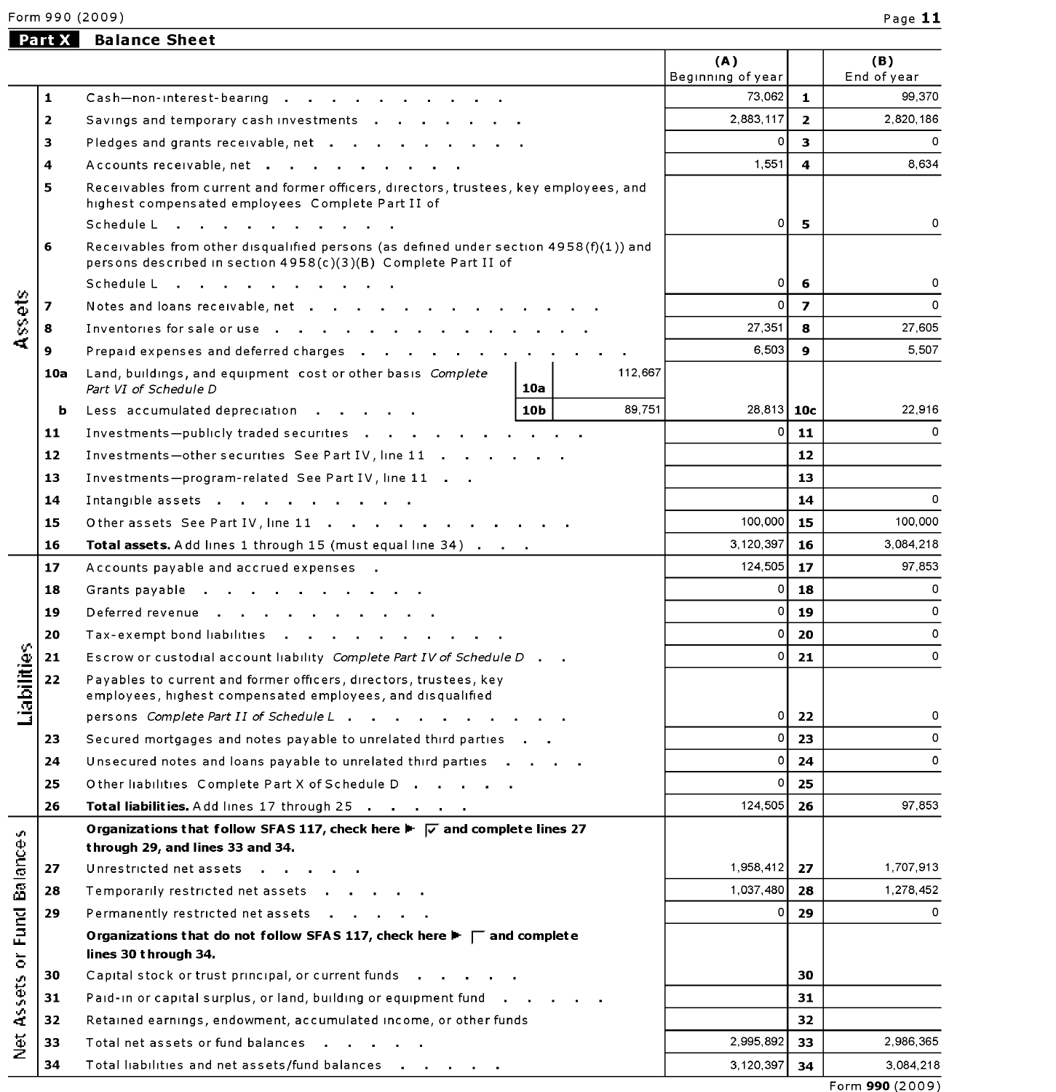Form 990 (2009) Page 11

# Part X Balance Sheet

|                              |                         |                                                                                                                                                         | (A)<br>Beginning of year |                | (B)<br>End of year |
|------------------------------|-------------------------|---------------------------------------------------------------------------------------------------------------------------------------------------------|--------------------------|----------------|--------------------|
|                              | 1                       | $\mathsf{Cash}\text{-non-interest\text{-}bearing}$                                                                                                      | 73,062                   | $\mathbf{1}$   | 99,370             |
|                              | $\overline{\mathbf{2}}$ | Savings and temporary cash investments                                                                                                                  | 2,883,117                | $\overline{2}$ | 2,820,186          |
|                              | 3                       | Pledges and grants receivable, net                                                                                                                      | 0                        | 3              | 0                  |
|                              | 4                       | Accounts receivable, net                                                                                                                                | 1,551                    | 4              | 8,634              |
|                              | 5                       | Receivables from current and former officers, directors, trustees, key employees, and                                                                   |                          |                |                    |
|                              |                         | highest compensated employees Complete Part II of                                                                                                       |                          |                |                    |
|                              |                         | Schedule L<br>and the state of the state of the state of                                                                                                | οI                       | 5              | 0                  |
|                              | 6                       | Receivables from other disqualified persons (as defined under section 4958(f)(1)) and<br>persons described in section 4958(c)(3)(B) Complete Part II of |                          |                |                    |
|                              |                         | Schedule Line Richard Line Line Richard Line Richard Line Richard Line Richard Line Richard Line Richard Line                                           | 0                        | 6              | 0                  |
| Assets                       | 7                       | Notes and loans receivable, net                                                                                                                         | $\Omega$                 | $\overline{z}$ | $\Omega$           |
|                              | 8                       | Inventories for sale or use                                                                                                                             | 27,351                   | 8              | 27,605             |
|                              | 9                       | Prepaid expenses and deferred charges                                                                                                                   | 6,503                    | 9              | 5,507              |
|                              | 10a                     | 112,667<br>Land, buildings, and equipment cost or other basis Complete<br>10a<br>Part VI of Schedule D                                                  |                          |                |                    |
|                              | ь                       | 89,751<br>10 <sub>b</sub><br>Less accumulated depreciation                                                                                              | 28.813   10c             |                | 22,916             |
|                              | 11                      | Investments-publicly traded securities                                                                                                                  | $\Omega$                 | 11             | 0                  |
|                              | 12                      | Investments-other securities See Part IV, line 11                                                                                                       |                          | 12             |                    |
|                              | 13                      | Investments-program-related See Part IV, line 11                                                                                                        |                          | 13             |                    |
|                              | 14                      | Intangible assets                                                                                                                                       |                          | 14             | 0                  |
|                              | 15                      | Other assets See Part IV, line 11                                                                                                                       | 100,000                  | 15             | 100,000            |
|                              | 16                      | Total assets. Add lines 1 through 15 (must equal line 34)                                                                                               | 3,120,397                | 16             | 3,084,218          |
|                              | 17                      | Accounts payable and accrued expenses.                                                                                                                  | 124,505                  | 17             | 97,853             |
|                              | 18                      | Grants payable                                                                                                                                          | $\circ$                  | 18             | $\circ$            |
|                              | 19                      | Deferred revenue                                                                                                                                        | $\circ$                  | 19             | $\Omega$           |
|                              | 20                      | Tax-exempt bond liabilities                                                                                                                             | $\circ$                  | 20             | 0                  |
|                              | 21                      | Escrow or custodial account liability Complete Part IV of Schedule D.                                                                                   | $\circ$                  | 21             | 0                  |
| Liabilities                  | 22                      | Payables to current and former officers, directors, trustees, key<br>employees, highest compensated employees, and disqualified                         |                          |                |                    |
|                              |                         | persons Complete Part II of Schedule L                                                                                                                  | 0                        | 22             | 0                  |
|                              | 23                      | Secured mortgages and notes payable to unrelated third parties                                                                                          | 0                        | 23             | 0                  |
|                              | 24                      | Unsecured notes and loans payable to unrelated third parties                                                                                            | 0                        | 24             |                    |
|                              | 25                      | Other liabilities Complete Part X of Schedule D                                                                                                         | $\Omega$                 | 25             |                    |
|                              | 26                      | Total liabilities. Add lines 17 through 25                                                                                                              | 124,505                  | 26             | 97,853             |
| v.                           |                         | Organizations that follow SFAS 117, check here $\blacktriangleright \blacktriangleright \blacktriangleright$ and complete lines 27                      |                          |                |                    |
| Balance                      |                         | through 29, and lines 33 and 34.                                                                                                                        |                          |                |                    |
|                              | 27                      | Unrestricted net assets                                                                                                                                 | 1,958,412                | 27             | 1,707,913          |
|                              | 28                      | Temporarily restricted net assets                                                                                                                       | 1,037,480                | 28             | 1,278,452          |
| <b>Fund</b>                  | 29                      | Permanently restricted net assets                                                                                                                       | 0                        | 29             | 0                  |
| $\overleftarrow{\mathrm{o}}$ |                         | Organizations that do not follow SFAS 117, check here $\blacktriangleright \sqsubset \Box$ and complete<br>lines 30 through 34.                         |                          |                |                    |
|                              | 30                      | Capital stock or trust principal, or current funds                                                                                                      |                          | 30             |                    |
| Assets                       | 31                      | Paid-in or capital surplus, or land, building or equipment fund                                                                                         |                          | 31             |                    |
|                              | 32                      | Retained earnings, endowment, accumulated income, or other funds                                                                                        |                          | 32             |                    |
| Net                          | 33                      | Total net assets or fund balances                                                                                                                       | 2,995,892                | 33             | 2,986,365          |
|                              | 34                      | Total liabilities and net assets/fund balances                                                                                                          | 3, 120, 397              | 34             | 3,084,218          |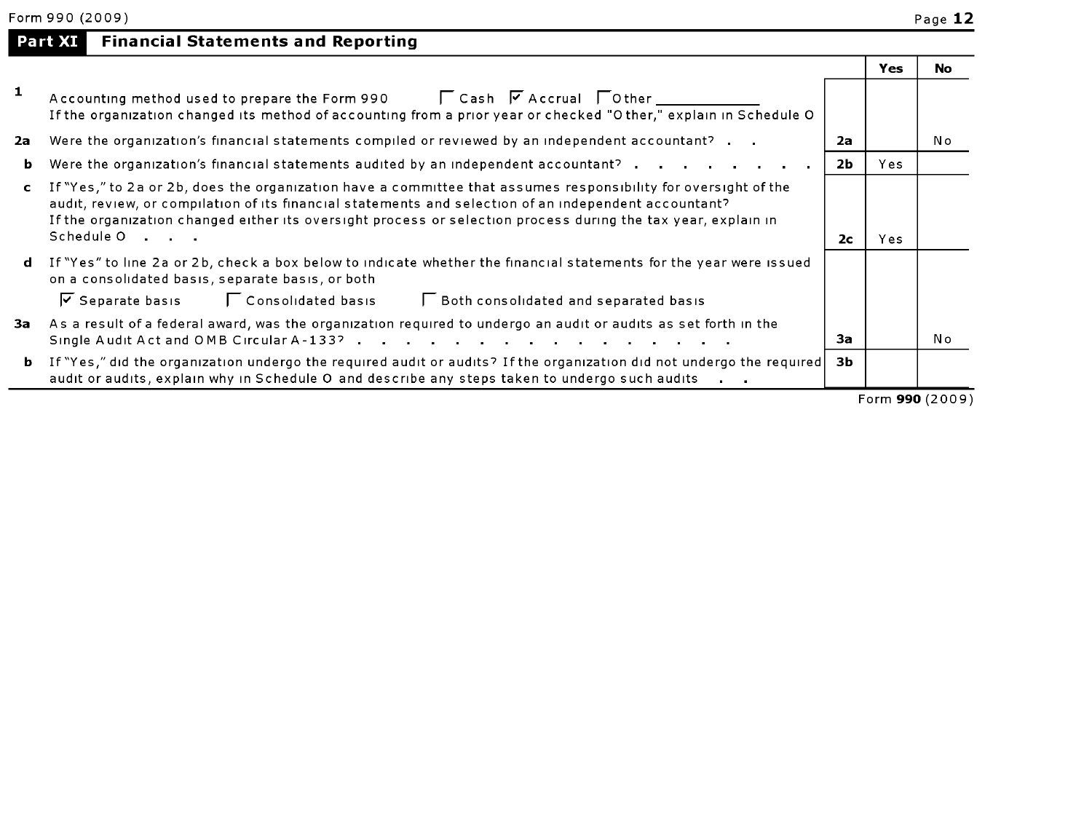|  | <b>Part XI</b> Financial Statements and Reporting |  |
|--|---------------------------------------------------|--|
|  |                                                   |  |

|              |                                                                                                                                                                                                                                                                                                                                                        |                | Yes | No              |
|--------------|--------------------------------------------------------------------------------------------------------------------------------------------------------------------------------------------------------------------------------------------------------------------------------------------------------------------------------------------------------|----------------|-----|-----------------|
|              | Accounting method used to prepare the Form 990 $\Box$ Cash $\Box$ Accrual $\Box$ Other $\Box$<br>If the organization changed its method of accounting from a prior year or checked "Other," explain in Schedule O                                                                                                                                      |                |     |                 |
| 2a           | Were the organization's financial statements compiled or reviewed by an independent accountant?                                                                                                                                                                                                                                                        | 2a             |     | No              |
| ь            | Were the organization's financial statements audited by an independent accountant? $\cdots$ , $\cdots$ , $\cdots$                                                                                                                                                                                                                                      | 2Ь             | Yes |                 |
| $\mathbf{c}$ | If "Yes," to 2a or 2b, does the organization have a committee that assumes responsibility for oversight of the<br>audit, review, or compilation of its financial statements and selection of an independent accountant?<br>If the organization changed either its oversight process or selection process during the tax year, explain in<br>Schedule 0 | 2 <sub>c</sub> | Yes |                 |
| d            | If "Yes" to line 2a or 2b, check a box below to indicate whether the financial statements for the year were issued<br>on a consolidated basis, separate basis, or both<br>$\triangledown$ Separate basis $\triangledown$ Consolidated basis<br>Both consolidated and separated basis                                                                   |                |     |                 |
| За           | As a result of a federal award, was the organization required to undergo an audit or audits as set forth in the<br>Single Audit Act and OMB Circular A-133?                                                                                                                                                                                            | За             |     | No              |
| b.           | If "Yes," did the organization undergo the required audit or audits? If the organization did not undergo the required<br>audit or audits, explain why in Schedule O and describe any steps taken to undergo such audits                                                                                                                                | 3b             |     |                 |
|              |                                                                                                                                                                                                                                                                                                                                                        |                |     | Form 990 (2009) |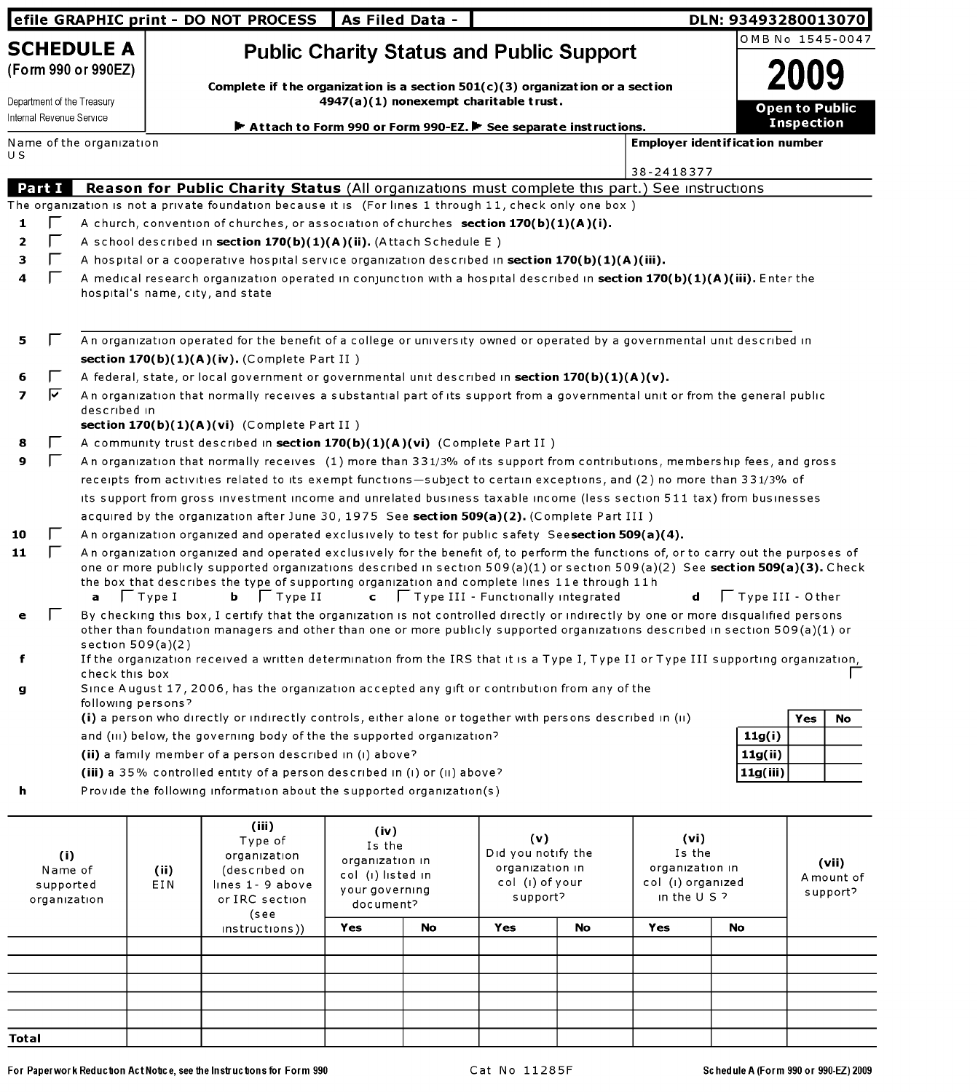|                                             |               |                                                        |                                                                                                                                                                                                 | efile GRAPHIC print - DO NOT PROCESS                                                                                                                                                                                                                                                                                                                                                       | <b>As Filed Data -</b>                 |                                                                             |     |                                                                          |            |                                       | DLN: 93493280013070   |
|---------------------------------------------|---------------|--------------------------------------------------------|-------------------------------------------------------------------------------------------------------------------------------------------------------------------------------------------------|--------------------------------------------------------------------------------------------------------------------------------------------------------------------------------------------------------------------------------------------------------------------------------------------------------------------------------------------------------------------------------------------|----------------------------------------|-----------------------------------------------------------------------------|-----|--------------------------------------------------------------------------|------------|---------------------------------------|-----------------------|
|                                             |               | <b>SCHEDULE A</b><br>(Form 990 or 990EZ)               |                                                                                                                                                                                                 | <b>Public Charity Status and Public Support</b>                                                                                                                                                                                                                                                                                                                                            |                                        |                                                                             |     |                                                                          |            |                                       | OMB No 1545-0047      |
|                                             |               | Department of the Treasury<br>Internal Revenue Service |                                                                                                                                                                                                 | Complete if the organization is a section $501(c)(3)$ organization or a section                                                                                                                                                                                                                                                                                                            | 4947(a)(1) nonexempt charitable trust. |                                                                             |     |                                                                          |            |                                       | <b>Open to Public</b> |
|                                             |               |                                                        |                                                                                                                                                                                                 | Attach to Form 990 or Form 990-EZ. F See separate instructions.                                                                                                                                                                                                                                                                                                                            |                                        |                                                                             |     |                                                                          |            |                                       | <b>Inspection</b>     |
| U S                                         |               | Name of the organization                               |                                                                                                                                                                                                 |                                                                                                                                                                                                                                                                                                                                                                                            |                                        |                                                                             |     |                                                                          |            | <b>Employer identification number</b> |                       |
|                                             |               |                                                        |                                                                                                                                                                                                 |                                                                                                                                                                                                                                                                                                                                                                                            |                                        |                                                                             |     |                                                                          | 38-2418377 |                                       |                       |
|                                             | <b>Part I</b> |                                                        |                                                                                                                                                                                                 | Reason for Public Charity Status (All organizations must complete this part.) See instructions                                                                                                                                                                                                                                                                                             |                                        |                                                                             |     |                                                                          |            |                                       |                       |
|                                             |               |                                                        |                                                                                                                                                                                                 | The organization is not a private foundation because it is (For lines 1 through 11, check only one box)                                                                                                                                                                                                                                                                                    |                                        |                                                                             |     |                                                                          |            |                                       |                       |
| 1                                           |               |                                                        |                                                                                                                                                                                                 | A church, convention of churches, or association of churches section $170(b)(1)(A)(i)$ .                                                                                                                                                                                                                                                                                                   |                                        |                                                                             |     |                                                                          |            |                                       |                       |
| 2                                           |               |                                                        |                                                                                                                                                                                                 | A school described in section 170(b)(1)(A)(ii). (Attach Schedule E)                                                                                                                                                                                                                                                                                                                        |                                        |                                                                             |     |                                                                          |            |                                       |                       |
| з                                           |               |                                                        |                                                                                                                                                                                                 | A hospital or a cooperative hospital service organization described in section $170(b)(1)(A)(iii)$ .                                                                                                                                                                                                                                                                                       |                                        |                                                                             |     |                                                                          |            |                                       |                       |
| 4                                           |               |                                                        |                                                                                                                                                                                                 | A medical research organization operated in conjunction with a hospital described in section 170(b)(1)(A)(iii). Enter the<br>hospital's name, city, and state                                                                                                                                                                                                                              |                                        |                                                                             |     |                                                                          |            |                                       |                       |
| 5                                           |               |                                                        |                                                                                                                                                                                                 | An organization operated for the benefit of a college or university owned or operated by a governmental unit described in<br>section $170(b)(1)(A)(iv)$ . (Complete Part II)                                                                                                                                                                                                               |                                        |                                                                             |     |                                                                          |            |                                       |                       |
| 6                                           |               |                                                        |                                                                                                                                                                                                 | A federal, state, or local government or governmental unit described in section $170(b)(1)(A)(v)$ .                                                                                                                                                                                                                                                                                        |                                        |                                                                             |     |                                                                          |            |                                       |                       |
| 7                                           | ⊽             | described in                                           |                                                                                                                                                                                                 | An organization that normally receives a substantial part of its support from a governmental unit or from the general public<br>section $170(b)(1)(A)(vi)$ (Complete Part II)                                                                                                                                                                                                              |                                        |                                                                             |     |                                                                          |            |                                       |                       |
| 8                                           |               |                                                        |                                                                                                                                                                                                 | A community trust described in section 170(b)(1)(A)(vi) (Complete Part II)                                                                                                                                                                                                                                                                                                                 |                                        |                                                                             |     |                                                                          |            |                                       |                       |
| 9                                           |               |                                                        |                                                                                                                                                                                                 | An organization that normally receives (1) more than 331/3% of its support from contributions, membership fees, and gross                                                                                                                                                                                                                                                                  |                                        |                                                                             |     |                                                                          |            |                                       |                       |
|                                             |               |                                                        |                                                                                                                                                                                                 | receipts from activities related to its exempt functions-subject to certain exceptions, and (2) no more than 331/3% of                                                                                                                                                                                                                                                                     |                                        |                                                                             |     |                                                                          |            |                                       |                       |
|                                             |               |                                                        |                                                                                                                                                                                                 | its support from gross investment income and unrelated business taxable income (less section 511 tax) from businesses                                                                                                                                                                                                                                                                      |                                        |                                                                             |     |                                                                          |            |                                       |                       |
|                                             |               |                                                        |                                                                                                                                                                                                 | acquired by the organization after June 30, 1975 See section 509(a)(2). (Complete Part III)                                                                                                                                                                                                                                                                                                |                                        |                                                                             |     |                                                                          |            |                                       |                       |
| 10                                          |               |                                                        |                                                                                                                                                                                                 | An organization organized and operated exclusively to test for public safety Seesection 509(a)(4).                                                                                                                                                                                                                                                                                         |                                        |                                                                             |     |                                                                          |            |                                       |                       |
| 11                                          |               | a                                                      | $ $ Type I                                                                                                                                                                                      | An organization organized and operated exclusively for the benefit of, to perform the functions of, or to carry out the purposes of<br>one or more publicly supported organizations described in section 509(a)(1) or section 509(a)(2) See section 509(a)(3). Check<br>the box that describes the type of supporting organization and complete lines 11e through 11h<br>$ $ Type II<br>ь. |                                        |                                                                             |     | $\mathsf{c}$ $\Box$ Type III - Functionally integrated                   | d          | $\Gamma$ Type III - Other             |                       |
| е                                           |               | section $509(a)(2)$                                    |                                                                                                                                                                                                 | By checking this box, I certify that the organization is not controlled directly or indirectly by one or more disqualified persons<br>other than foundation managers and other than one or more publicly supported organizations described in section 509(a)(1) or                                                                                                                         |                                        |                                                                             |     |                                                                          |            |                                       |                       |
|                                             |               | check this box                                         |                                                                                                                                                                                                 | If the organization received a written determination from the IRS that it is a Type I, Type II or Type III supporting organization,<br>Since August 17, 2006, has the organization accepted any gift or contribution from any of the                                                                                                                                                       |                                        |                                                                             |     |                                                                          |            |                                       |                       |
| g                                           |               | following persons?                                     |                                                                                                                                                                                                 |                                                                                                                                                                                                                                                                                                                                                                                            |                                        |                                                                             |     |                                                                          |            |                                       |                       |
|                                             |               |                                                        |                                                                                                                                                                                                 | (i) a person who directly or indirectly controls, either alone or together with persons described in (ii)                                                                                                                                                                                                                                                                                  |                                        |                                                                             |     |                                                                          |            |                                       | Yes<br>No             |
|                                             |               |                                                        |                                                                                                                                                                                                 | and (III) below, the governing body of the the supported organization?                                                                                                                                                                                                                                                                                                                     |                                        |                                                                             |     |                                                                          |            | 11g(i)                                |                       |
|                                             |               |                                                        |                                                                                                                                                                                                 | (ii) a family member of a person described in (i) above?                                                                                                                                                                                                                                                                                                                                   |                                        |                                                                             |     |                                                                          |            | 11g(ii)                               |                       |
|                                             |               |                                                        |                                                                                                                                                                                                 | (iii) a 35% controlled entity of a person described in (i) or (ii) above?                                                                                                                                                                                                                                                                                                                  |                                        |                                                                             |     |                                                                          |            | 11g(iii)                              |                       |
| h                                           |               |                                                        |                                                                                                                                                                                                 | Provide the following information about the supported organization(s)                                                                                                                                                                                                                                                                                                                      |                                        |                                                                             |     |                                                                          |            |                                       |                       |
| (i)<br>Name of<br>supported<br>organization |               |                                                        | (iii)<br>(iv)<br>Type of<br>Is the<br>organization<br>organization in<br>(described on<br>(ii)<br>col (i) listed in<br>EIN<br>lines 1- 9 above<br>your governing<br>or IRC section<br>document? |                                                                                                                                                                                                                                                                                                                                                                                            |                                        | (v)<br>Did you notify the<br>organization in<br>col (i) of your<br>support? |     | (vi)<br>Is the<br>organization in<br>col (i) organized<br>in the $U S$ ? |            | (vii)<br>A mount of<br>support?       |                       |
|                                             |               |                                                        |                                                                                                                                                                                                 | (see<br>instructions)                                                                                                                                                                                                                                                                                                                                                                      | Yes                                    | No                                                                          | Yes | No                                                                       | <b>Yes</b> | No                                    |                       |
|                                             |               |                                                        |                                                                                                                                                                                                 |                                                                                                                                                                                                                                                                                                                                                                                            |                                        |                                                                             |     |                                                                          |            |                                       |                       |
|                                             |               |                                                        |                                                                                                                                                                                                 |                                                                                                                                                                                                                                                                                                                                                                                            |                                        |                                                                             |     |                                                                          |            |                                       |                       |
|                                             |               |                                                        |                                                                                                                                                                                                 |                                                                                                                                                                                                                                                                                                                                                                                            |                                        |                                                                             |     |                                                                          |            |                                       |                       |
|                                             |               |                                                        |                                                                                                                                                                                                 |                                                                                                                                                                                                                                                                                                                                                                                            |                                        |                                                                             |     |                                                                          |            |                                       |                       |
|                                             |               |                                                        |                                                                                                                                                                                                 |                                                                                                                                                                                                                                                                                                                                                                                            |                                        |                                                                             |     |                                                                          |            |                                       |                       |
| Total                                       |               |                                                        |                                                                                                                                                                                                 |                                                                                                                                                                                                                                                                                                                                                                                            |                                        |                                                                             |     |                                                                          |            |                                       |                       |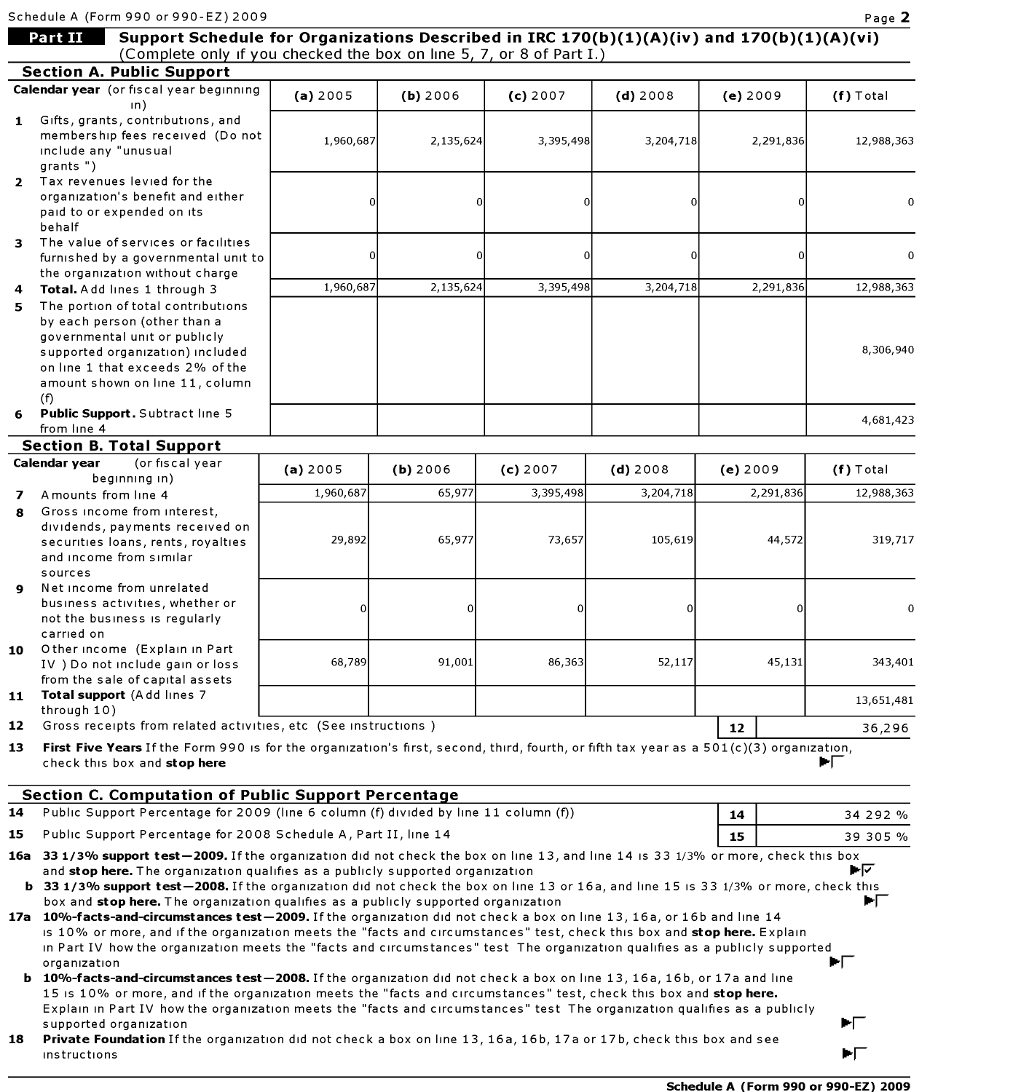| Part II       | Support Schedule for Organizations Described in IRC 170(b)(1)(A)(iv) and 170(b)(1)(A)(vi)<br>(Complete only if you checked the box on line 5, 7, or 8 of Part I.)                                                                           |              |           |           |            |                |              |
|---------------|---------------------------------------------------------------------------------------------------------------------------------------------------------------------------------------------------------------------------------------------|--------------|-----------|-----------|------------|----------------|--------------|
|               | <b>Section A. Public Support</b>                                                                                                                                                                                                            |              |           |           |            |                |              |
|               | Calendar year (or fiscal year beginning                                                                                                                                                                                                     | (a) 2005     | (b) 2006  | (c) 2007  | $(d)$ 2008 | (e) 2009       | $(f)$ Total  |
| 1             | ın)<br>Gifts, grants, contributions, and<br>membership fees received (Do not<br>include any "unusual<br>grants")                                                                                                                            | 1,960,687    | 2,135,624 | 3,395,498 | 3,204,718  | 2,291,836      | 12,988,363   |
| behalf        | 2 Tax revenues levied for the<br>organization's benefit and either<br>paid to or expended on its                                                                                                                                            | 0            | 0         |           | $\Omega$   | $\overline{0}$ | 0            |
| з.            | The value of services or facilities<br>furnished by a governmental unit to<br>the organization without charge                                                                                                                               | <sub>0</sub> | 0         |           | $\Omega$   | $\Omega$       | $\mathbf{0}$ |
| 4             | Total. Add lines 1 through 3                                                                                                                                                                                                                | 1,960,687    | 2,135,624 | 3,395,498 | 3,204,718  | 2,291,836      | 12,988,363   |
| 5.            | The portion of total contributions<br>by each person (other than a<br>governmental unit or publicly<br>supported organization) included<br>on line 1 that exceeds 2% of the<br>amount shown on line 11, column                              |              |           |           |            |                | 8,306,940    |
| (f)<br>6      | Public Support. Subtract line 5<br>from line 4                                                                                                                                                                                              |              |           |           |            |                | 4,681,423    |
|               | <b>Section B. Total Support</b>                                                                                                                                                                                                             |              |           |           |            |                |              |
| Calendar year | (or fiscal year<br>beginning in)                                                                                                                                                                                                            | (a) 2005     | (b) 2006  | (c) 2007  | $(d)$ 2008 | (e) 2009       | $(f)$ Total  |
| 7             | A mounts from line 4                                                                                                                                                                                                                        | 1,960,687    | 65,977    | 3,395,498 | 3,204,718  | 2,291,836      | 12,988,363   |
| 8             | Gross income from interest,<br>dividends, payments received on<br>securities loans, rents, royalties<br>and income from similar<br>sources                                                                                                  | 29,892       | 65,977    | 73,657    | 105,619    | 44,572         | 319,717      |
| 9             | Net income from unrelated<br>business activities, whether or<br>not the business is regularly<br>carried on                                                                                                                                 | 0            |           |           | 0          | 0              | 0            |
| 10            | Other income (Explain in Part<br>IV ) Do not include gain or loss<br>from the sale of capital assets                                                                                                                                        | 68,789       | 91,001    | 86,363    | 52,117     | 45,131         | 343,401      |
|               | Total support (Add lines 7<br>through 10)                                                                                                                                                                                                   |              |           |           |            |                | 13,651,481   |
| 11            |                                                                                                                                                                                                                                             |              |           |           |            | 12             | 36,296<br>▶Г |
| 12<br>13      | Gross receipts from related activities, etc (See instructions)<br>First Five Years If the Form 990 is for the organization's first, second, third, fourth, or fifth tax year as a $501(c)(3)$ organization,<br>check this box and stop here |              |           |           |            |                |              |
|               |                                                                                                                                                                                                                                             |              |           |           |            |                |              |
|               | <b>Section C. Computation of Public Support Percentage</b><br>Public Support Percentage for 2009 (line 6 column (f) divided by line 11 column (f))                                                                                          |              |           |           |            | 14             | 34 292 %     |
| 14<br>15      | Public Support Percentage for 2008 Schedule A, Part II, line 14                                                                                                                                                                             |              |           |           |            | 15             | 39 305 %     |

organization<br>**b 10%-facts-and-circumstances test—2008.** If the organization did not check a box on line 13, 16a, 16b, or 17a and line 15 is 10% or more, and if the organization meets the "facts and circumstances" test, check this box and stop here. Explain in Part IV how the organization meets the "facts and circumstances" test The organization qualifies as <sup>a</sup> publicly supported organization **F-1** 

**18 Private Foundation** If the organization did not check a box on line 13, 16a, 16b, 17a or 17b, check this box and see instructions  $\blacksquare$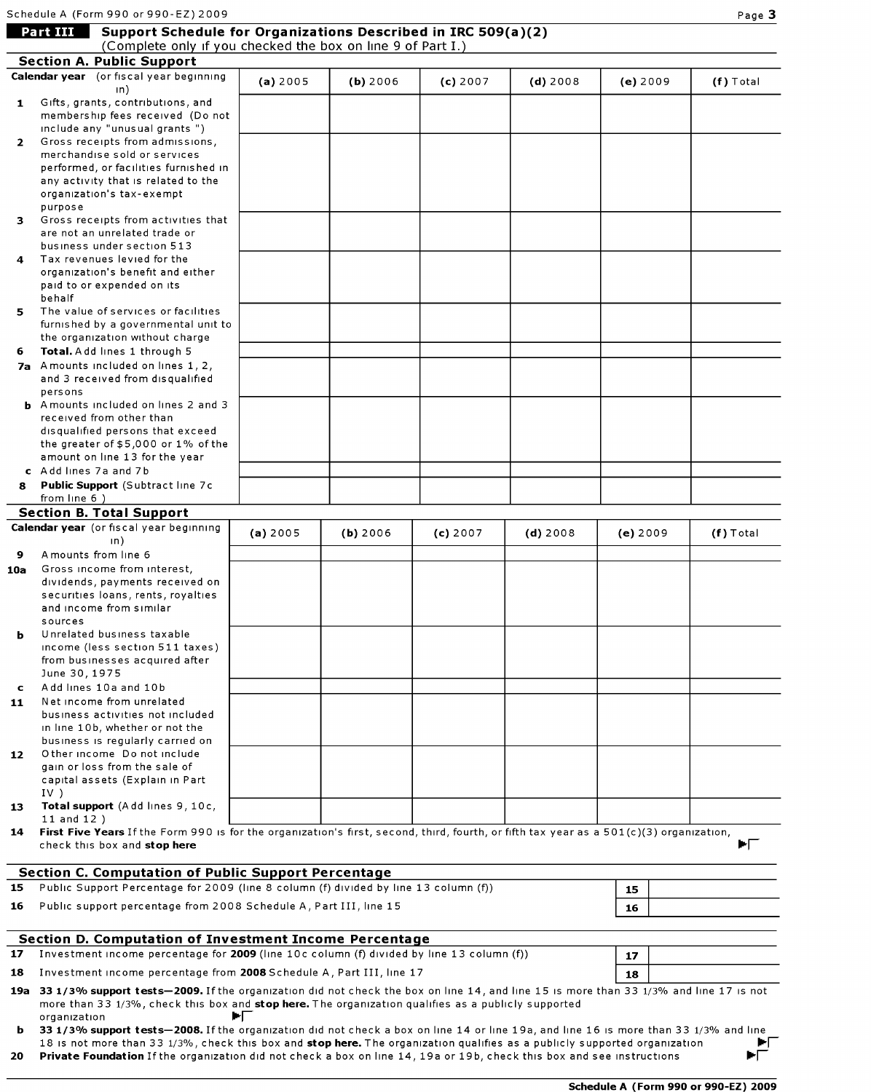|                 | Support Schedule for Organizations Described in IRC 509(a)(2)<br>Part III<br>(Complete only if you checked the box on line 9 of Part I.) |                                                                                                                                                                                                                                                                                      |          |          |          |            |          |             |  |
|-----------------|------------------------------------------------------------------------------------------------------------------------------------------|--------------------------------------------------------------------------------------------------------------------------------------------------------------------------------------------------------------------------------------------------------------------------------------|----------|----------|----------|------------|----------|-------------|--|
|                 |                                                                                                                                          | <b>Section A. Public Support</b>                                                                                                                                                                                                                                                     |          |          |          |            |          |             |  |
|                 |                                                                                                                                          | Calendar year (or fiscal year beginning                                                                                                                                                                                                                                              | (a) 2005 | (b) 2006 | (c) 2007 | $(d)$ 2008 | (e) 2009 | $(f)$ Total |  |
|                 |                                                                                                                                          | $\ln$ )<br>Gifts, grants, contributions, and                                                                                                                                                                                                                                         |          |          |          |            |          |             |  |
| 1               |                                                                                                                                          | membership fees received (Do not                                                                                                                                                                                                                                                     |          |          |          |            |          |             |  |
|                 |                                                                                                                                          | include any "unusual grants")                                                                                                                                                                                                                                                        |          |          |          |            |          |             |  |
| $\overline{2}$  |                                                                                                                                          | Gross receipts from admissions,                                                                                                                                                                                                                                                      |          |          |          |            |          |             |  |
|                 |                                                                                                                                          | merchandise sold or services                                                                                                                                                                                                                                                         |          |          |          |            |          |             |  |
|                 |                                                                                                                                          | performed, or facilities furnished in<br>any activity that is related to the                                                                                                                                                                                                         |          |          |          |            |          |             |  |
|                 | purpose                                                                                                                                  | organization's tax-exempt                                                                                                                                                                                                                                                            |          |          |          |            |          |             |  |
| з.              |                                                                                                                                          | Gross receipts from activities that<br>are not an unrelated trade or                                                                                                                                                                                                                 |          |          |          |            |          |             |  |
|                 |                                                                                                                                          | business under section 513                                                                                                                                                                                                                                                           |          |          |          |            |          |             |  |
| 4               | behalf                                                                                                                                   | Tax revenues levied for the<br>organization's benefit and either<br>paid to or expended on its                                                                                                                                                                                       |          |          |          |            |          |             |  |
| 5.              |                                                                                                                                          | The value of services or facilities<br>furnished by a governmental unit to                                                                                                                                                                                                           |          |          |          |            |          |             |  |
| 6               |                                                                                                                                          | the organization without charge<br>Total. Add lines 1 through 5                                                                                                                                                                                                                      |          |          |          |            |          |             |  |
|                 |                                                                                                                                          | 7a Amounts included on lines 1, 2,<br>and 3 received from disqualified                                                                                                                                                                                                               |          |          |          |            |          |             |  |
|                 | persons                                                                                                                                  |                                                                                                                                                                                                                                                                                      |          |          |          |            |          |             |  |
|                 |                                                                                                                                          | <b>b</b> Amounts included on lines 2 and 3                                                                                                                                                                                                                                           |          |          |          |            |          |             |  |
|                 |                                                                                                                                          | received from other than                                                                                                                                                                                                                                                             |          |          |          |            |          |             |  |
|                 |                                                                                                                                          | disqualified persons that exceed<br>the greater of $$5,000$ or $1\%$ of the                                                                                                                                                                                                          |          |          |          |            |          |             |  |
|                 |                                                                                                                                          | amount on line 13 for the year                                                                                                                                                                                                                                                       |          |          |          |            |          |             |  |
|                 |                                                                                                                                          | c Add lines 7a and 7b                                                                                                                                                                                                                                                                |          |          |          |            |          |             |  |
| 8               |                                                                                                                                          | Public Support (Subtract line 7c                                                                                                                                                                                                                                                     |          |          |          |            |          |             |  |
|                 | from line 6)                                                                                                                             |                                                                                                                                                                                                                                                                                      |          |          |          |            |          |             |  |
|                 |                                                                                                                                          | <b>Section B. Total Support</b>                                                                                                                                                                                                                                                      |          |          |          |            |          |             |  |
|                 |                                                                                                                                          | Calendar year (or fiscal year beginning                                                                                                                                                                                                                                              | (a) 2005 | (b) 2006 | (c) 2007 | $(d)$ 2008 | (e) 2009 | $(f)$ Total |  |
| 9               |                                                                                                                                          | $\ln$ )<br>A mounts from line 6                                                                                                                                                                                                                                                      |          |          |          |            |          |             |  |
| 10a             |                                                                                                                                          | Gross income from interest,                                                                                                                                                                                                                                                          |          |          |          |            |          |             |  |
|                 |                                                                                                                                          | dividends, payments received on                                                                                                                                                                                                                                                      |          |          |          |            |          |             |  |
|                 |                                                                                                                                          | securities loans, rents, royalties                                                                                                                                                                                                                                                   |          |          |          |            |          |             |  |
|                 |                                                                                                                                          | and income from similar                                                                                                                                                                                                                                                              |          |          |          |            |          |             |  |
|                 | sources                                                                                                                                  |                                                                                                                                                                                                                                                                                      |          |          |          |            |          |             |  |
| ь               |                                                                                                                                          | Unrelated business taxable<br>income (less section 511 taxes)                                                                                                                                                                                                                        |          |          |          |            |          |             |  |
|                 |                                                                                                                                          | from businesses acquired after                                                                                                                                                                                                                                                       |          |          |          |            |          |             |  |
|                 | June 30, 1975                                                                                                                            |                                                                                                                                                                                                                                                                                      |          |          |          |            |          |             |  |
| c               |                                                                                                                                          | Add lines 10a and 10b                                                                                                                                                                                                                                                                |          |          |          |            |          |             |  |
| 11              |                                                                                                                                          | Net income from unrelated                                                                                                                                                                                                                                                            |          |          |          |            |          |             |  |
|                 |                                                                                                                                          | business activities not included                                                                                                                                                                                                                                                     |          |          |          |            |          |             |  |
|                 |                                                                                                                                          | in line 10b, whether or not the                                                                                                                                                                                                                                                      |          |          |          |            |          |             |  |
| 12 <sub>1</sub> |                                                                                                                                          | business is regularly carried on<br>Other income Do not include                                                                                                                                                                                                                      |          |          |          |            |          |             |  |
|                 |                                                                                                                                          | gain or loss from the sale of                                                                                                                                                                                                                                                        |          |          |          |            |          |             |  |
|                 |                                                                                                                                          | capital assets (Explain in Part                                                                                                                                                                                                                                                      |          |          |          |            |          |             |  |
|                 | IV)                                                                                                                                      |                                                                                                                                                                                                                                                                                      |          |          |          |            |          |             |  |
| 13.             | $11$ and $12$ )                                                                                                                          | Total support (Add lines 9, 10c,                                                                                                                                                                                                                                                     |          |          |          |            |          |             |  |
| 14              |                                                                                                                                          | First Five Years If the Form 990 is for the organization's first, second, third, fourth, or fifth tax year as a 501(c)(3) organization,                                                                                                                                              |          |          |          |            |          |             |  |
|                 |                                                                                                                                          | check this box and stop here                                                                                                                                                                                                                                                         |          |          |          |            |          | E.          |  |
|                 |                                                                                                                                          |                                                                                                                                                                                                                                                                                      |          |          |          |            |          |             |  |
|                 |                                                                                                                                          | <b>Section C. Computation of Public Support Percentage</b>                                                                                                                                                                                                                           |          |          |          |            |          |             |  |
| 15              |                                                                                                                                          | Public Support Percentage for 2009 (line 8 column (f) divided by line 13 column (f))                                                                                                                                                                                                 |          |          |          |            | 15       |             |  |
| 16              |                                                                                                                                          | Public support percentage from 2008 Schedule A, Part III, line 15                                                                                                                                                                                                                    |          |          |          |            | 16       |             |  |
| 17              |                                                                                                                                          | <b>Section D. Computation of Investment Income Percentage</b><br>Investment income percentage for 2009 (line 10c column (f) divided by line 13 column (f))                                                                                                                           |          |          |          |            |          |             |  |
|                 |                                                                                                                                          |                                                                                                                                                                                                                                                                                      |          |          |          |            | 17       |             |  |
| 18              |                                                                                                                                          | Investment income percentage from 2008 Schedule A, Part III, line 17                                                                                                                                                                                                                 |          |          |          |            | 18       |             |  |
|                 |                                                                                                                                          | 19a 33 1/3% support tests-2009. If the organization did not check the box on line 14, and line 15 is more than 33 1/3% and line 17 is not                                                                                                                                            |          |          |          |            |          |             |  |
|                 | organization                                                                                                                             | more than 33 1/3%, check this box and stop here. The organization qualifies as a publicly supported                                                                                                                                                                                  | PI.      |          |          |            |          |             |  |
|                 |                                                                                                                                          | <b>b</b> 33 1/3% support tests-2008. If the organization did not check a box on line 14 or line 19a, and line 16 is more than 33 1/3% and line<br>18 is not more than 33,1/2%, check this hovered <b>stop here</b> . The organization qualifies as a publicly supported organization |          |          |          |            |          |             |  |

18 is not more than 33 1/3%, check this box and stop here. The organization qualifies as a publicly supported organization  $\blacktriangleright\blacktriangleright$ <br>Private Foundation If the organization did not check a box on line 14, 19a or 19b, ch 20 Private Foundation If the organization did not check a box on line 14, 19a or 19b, check this box and see instructions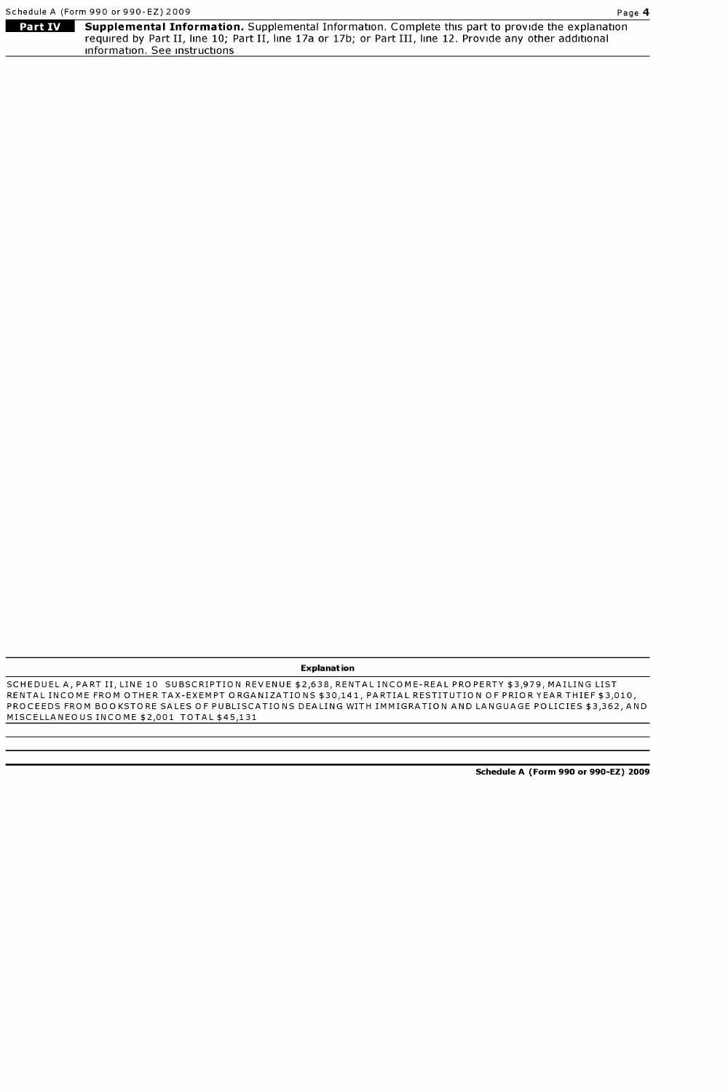|         | Schedule A (Form 990 or 990-EZ) 2009<br>Page 4                                                             |  |
|---------|------------------------------------------------------------------------------------------------------------|--|
| Part IV | <b>Supplemental Information.</b> Supplemental Information. Complete this part to provide the explanation   |  |
|         | required by Part II, line 10; Part II, line 17a or 17b; or Part III, line 12. Provide any other additional |  |

information. See instructions

#### Explanation

SCHEDUEL A, PART II, LINE 10 SUBSCRIPTION REVENUE \$2,638, RENTAL INCOME-REAL PROPERTY \$3,979, MAILING LIST RENTAL INCOME FROM OTHER TAX-EXEMPT ORGANIZATIONS \$30,141, PARTIAL RESTITUTION OF PRIOR YEAR THIEF \$3,010, PROCEEDS FROM BOOKSTORE SALES OF PUBLISCATIONS DEALING WITH IMMIGRATION AND LANGUAGE POLICIES \$3,362, AND MISCELLANEOUS INCOME \$2,001 TOTAL \$45,131

Schedule A (Form 990 or 990-EZ) 2009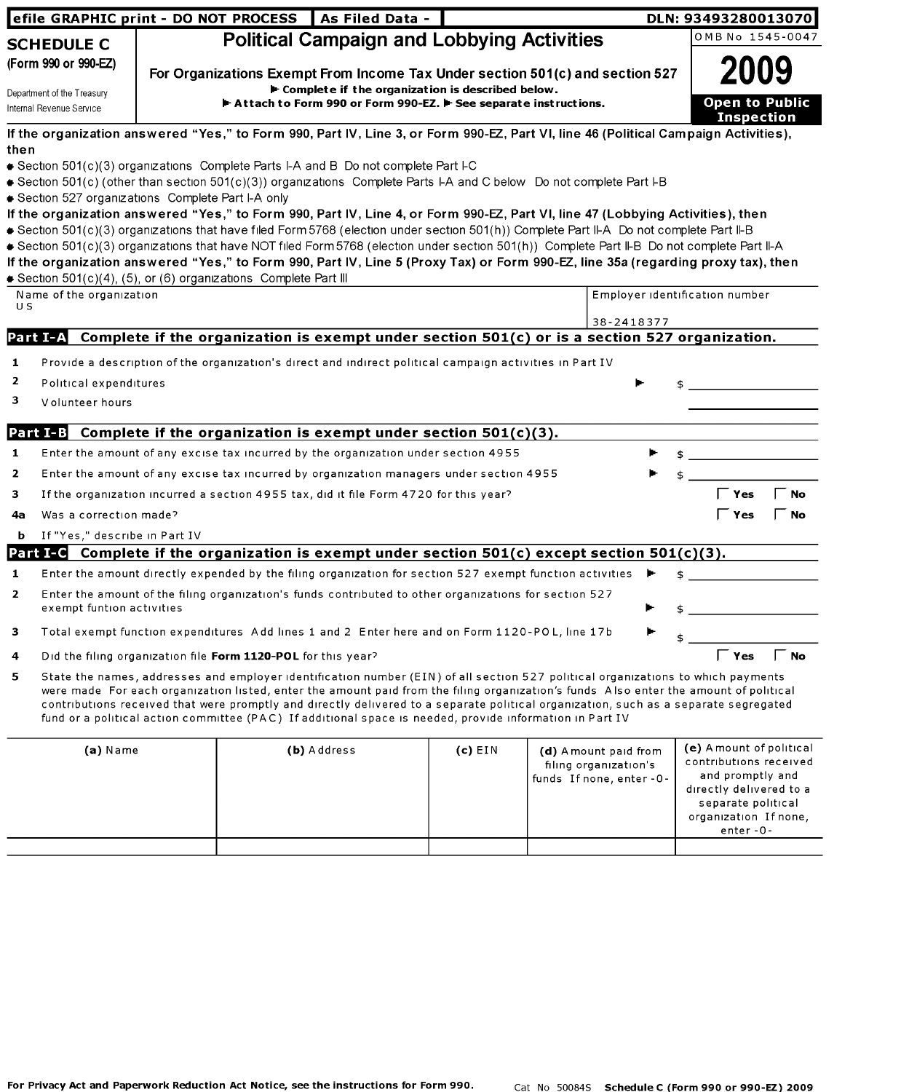|                                                        | efile GRAPHIC print - DO NOT PROCESS   As Filed Data -                                                                                                                                                                                                                                                                                                                                                                                                                                                                                                                                                                        |           |                                                                             | DLN: 93493280013070                                                                                                     |
|--------------------------------------------------------|-------------------------------------------------------------------------------------------------------------------------------------------------------------------------------------------------------------------------------------------------------------------------------------------------------------------------------------------------------------------------------------------------------------------------------------------------------------------------------------------------------------------------------------------------------------------------------------------------------------------------------|-----------|-----------------------------------------------------------------------------|-------------------------------------------------------------------------------------------------------------------------|
| <b>SCHEDULE C</b>                                      | <b>Political Campaign and Lobbying Activities</b>                                                                                                                                                                                                                                                                                                                                                                                                                                                                                                                                                                             |           |                                                                             | OMB No 1545-0047                                                                                                        |
| (Form 990 or 990-EZ)                                   | For Organizations Exempt From Income Tax Under section 501(c) and section 527                                                                                                                                                                                                                                                                                                                                                                                                                                                                                                                                                 |           |                                                                             |                                                                                                                         |
| Department of the Treasury<br>Internal Revenue Service | E Complete if the organization is described below.<br>Attach to Form 990 or Form 990-EZ. F See separate instructions.                                                                                                                                                                                                                                                                                                                                                                                                                                                                                                         |           |                                                                             | Open to Public<br><b>Inspection</b>                                                                                     |
|                                                        | If the organization answered "Yes," to Form 990, Part IV, Line 3, or Form 990-EZ, Part VI, line 46 (Political Campaign Activities),                                                                                                                                                                                                                                                                                                                                                                                                                                                                                           |           |                                                                             |                                                                                                                         |
| then                                                   | ● Section 501(c)(3) organizations Complete Parts I-A and B Do not complete Part I-C                                                                                                                                                                                                                                                                                                                                                                                                                                                                                                                                           |           |                                                                             |                                                                                                                         |
|                                                        | Section 501(c) (other than section 501(c)(3)) organizations Complete Parts I-A and C below Do not complete Part I-B                                                                                                                                                                                                                                                                                                                                                                                                                                                                                                           |           |                                                                             |                                                                                                                         |
| Section 527 organizations Complete Part I-A only       |                                                                                                                                                                                                                                                                                                                                                                                                                                                                                                                                                                                                                               |           |                                                                             |                                                                                                                         |
|                                                        | If the organization answered "Yes," to Form 990, Part IV, Line 4, or Form 990-EZ, Part VI, line 47 (Lobbying Activities), then<br>Section 501(c)(3) organizations that have filed Form 5768 (election under section 501(h)) Complete Part II-A Do not complete Part II-B<br>Section 501(c)(3) organizations that have NOT filed Form 5768 (election under section 501(h)) Complete Part II-B Do not complete Part II-A<br>If the organization answered "Yes," to Form 990, Part IV, Line 5 (Proxy Tax) or Form 990-EZ, line 35a (regarding proxy tax), then<br>Section 501(c)(4), (5), or (6) organizations Complete Part III |           |                                                                             |                                                                                                                         |
| Name of the organization                               |                                                                                                                                                                                                                                                                                                                                                                                                                                                                                                                                                                                                                               |           |                                                                             | Employer identification number                                                                                          |
| U S                                                    |                                                                                                                                                                                                                                                                                                                                                                                                                                                                                                                                                                                                                               |           | 38-2418377                                                                  |                                                                                                                         |
| Part I-A                                               | Complete if the organization is exempt under section 501(c) or is a section 527 organization.                                                                                                                                                                                                                                                                                                                                                                                                                                                                                                                                 |           |                                                                             |                                                                                                                         |
| 1                                                      | Provide a description of the organization's direct and indirect political campaign activities in Part IV                                                                                                                                                                                                                                                                                                                                                                                                                                                                                                                      |           |                                                                             |                                                                                                                         |
| 2<br>Political expenditures                            |                                                                                                                                                                                                                                                                                                                                                                                                                                                                                                                                                                                                                               |           |                                                                             |                                                                                                                         |
| з<br>Volunteer hours                                   |                                                                                                                                                                                                                                                                                                                                                                                                                                                                                                                                                                                                                               |           |                                                                             |                                                                                                                         |
|                                                        |                                                                                                                                                                                                                                                                                                                                                                                                                                                                                                                                                                                                                               |           |                                                                             |                                                                                                                         |
| <b>Part I-B</b>                                        | Complete if the organization is exempt under section $501(c)(3)$ .                                                                                                                                                                                                                                                                                                                                                                                                                                                                                                                                                            |           |                                                                             |                                                                                                                         |
| 1                                                      | Enter the amount of any excise tax incurred by the organization under section 4955                                                                                                                                                                                                                                                                                                                                                                                                                                                                                                                                            |           |                                                                             |                                                                                                                         |
| 2                                                      | Enter the amount of any excise tax incurred by organization managers under section 4955                                                                                                                                                                                                                                                                                                                                                                                                                                                                                                                                       |           |                                                                             |                                                                                                                         |
| з                                                      | If the organization incurred a section 4955 tax, did it file Form 4720 for this year?                                                                                                                                                                                                                                                                                                                                                                                                                                                                                                                                         |           |                                                                             | $\mathsf{\Gamma}$ Yes<br>$\overline{\phantom{a}}$ No                                                                    |
| Was a correction made?<br>4a                           |                                                                                                                                                                                                                                                                                                                                                                                                                                                                                                                                                                                                                               |           |                                                                             | <b>Yes</b><br>Γ No                                                                                                      |
| If "Yes," describe in Part IV<br>b                     |                                                                                                                                                                                                                                                                                                                                                                                                                                                                                                                                                                                                                               |           |                                                                             |                                                                                                                         |
|                                                        | Part I-G Complete if the organization is exempt under section 501(c) except section 501(c)(3).                                                                                                                                                                                                                                                                                                                                                                                                                                                                                                                                |           |                                                                             |                                                                                                                         |
| 1                                                      | Enter the amount directly expended by the filing organization for section 527 exempt function activities                                                                                                                                                                                                                                                                                                                                                                                                                                                                                                                      |           |                                                                             |                                                                                                                         |
| $\mathbf{z}$<br>exempt funtion activities              | Enter the amount of the filing organization's funds contributed to other organizations for section 527                                                                                                                                                                                                                                                                                                                                                                                                                                                                                                                        |           |                                                                             |                                                                                                                         |
| з                                                      | Total exempt function expenditures Add lines 1 and 2 Enter here and on Form 1120-POL, line 17b                                                                                                                                                                                                                                                                                                                                                                                                                                                                                                                                |           |                                                                             |                                                                                                                         |
| 4                                                      | Did the filing organization file Form 1120-POL for this year?                                                                                                                                                                                                                                                                                                                                                                                                                                                                                                                                                                 |           |                                                                             | $\Gamma$ No<br>$\overline{\phantom{a}}$ Yes                                                                             |
| 5                                                      | State the names, addresses and employer identification number (EIN) of all section 527 political organizations to which payments<br>were made For each organization listed, enter the amount paid from the filing organization's funds Also enter the amount of political<br>contributions received that were promptly and directly delivered to a separate political organization, such as a separate segregated<br>fund or a political action committee (PAC) If additional space is needed, provide information in Part IV                                                                                                 |           |                                                                             |                                                                                                                         |
| $(a)$ Name                                             | (b) Address                                                                                                                                                                                                                                                                                                                                                                                                                                                                                                                                                                                                                   | $(c)$ EIN | (d) A mount paid from<br>filing organization's<br>funds If none, enter - 0- | (e) A mount of political<br>contributions received<br>and promptly and<br>directly delivered to a<br>separate political |

organization If none, enter -0-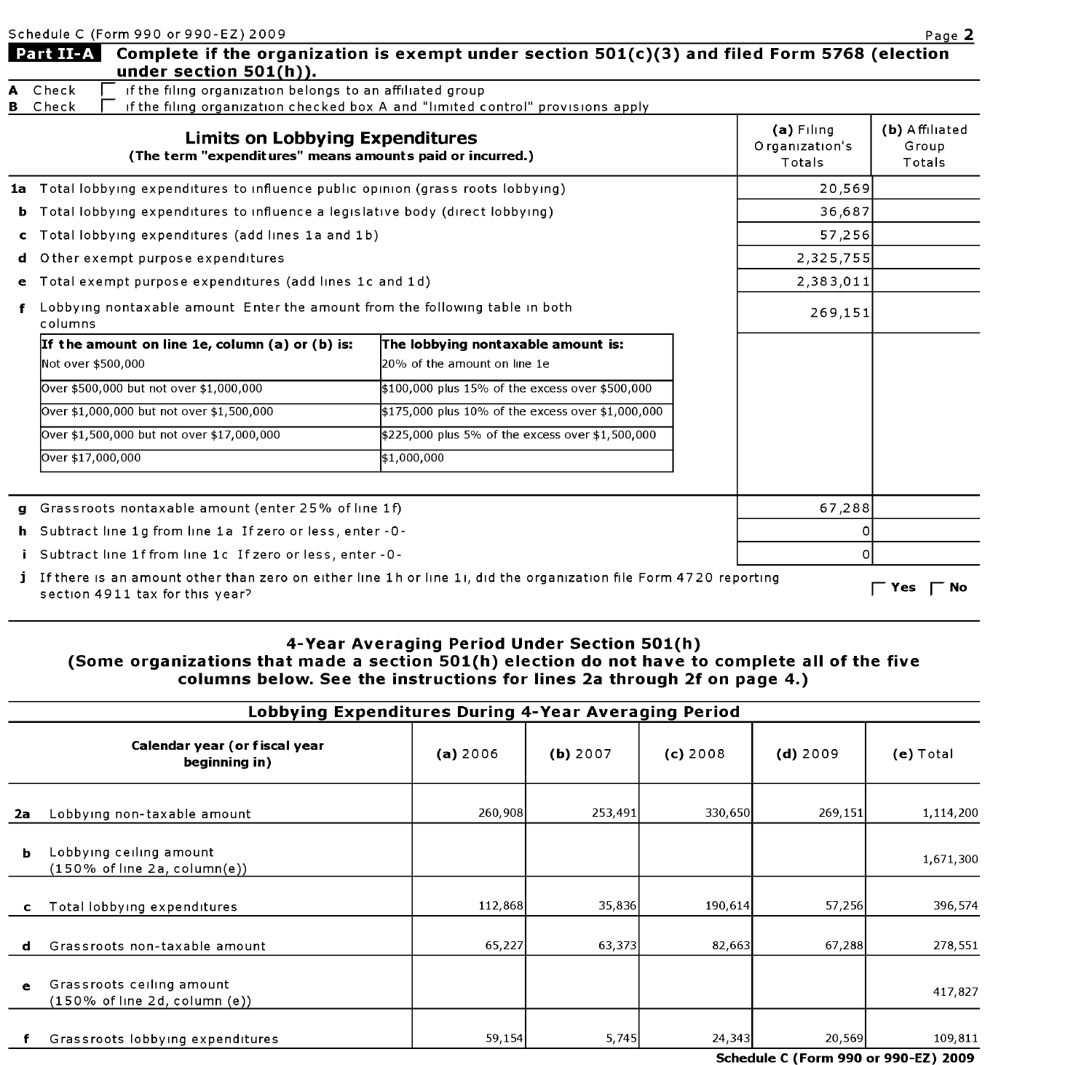| Schedule C (Form 990 or 990-EZ) 2009 |  |  |
|--------------------------------------|--|--|
|                                      |  |  |

|   | Schedule C (Form 990 or 990-EZ) 2009                                                                                                                                                                                                                                                                                                                                                                                                                                                                                                                                                                                                                                                                                                                                                                                                                                                                                                                                                                                                                                                                                                                                                                                                                   |                                          |                                   | Page 2                               |
|---|--------------------------------------------------------------------------------------------------------------------------------------------------------------------------------------------------------------------------------------------------------------------------------------------------------------------------------------------------------------------------------------------------------------------------------------------------------------------------------------------------------------------------------------------------------------------------------------------------------------------------------------------------------------------------------------------------------------------------------------------------------------------------------------------------------------------------------------------------------------------------------------------------------------------------------------------------------------------------------------------------------------------------------------------------------------------------------------------------------------------------------------------------------------------------------------------------------------------------------------------------------|------------------------------------------|-----------------------------------|--------------------------------------|
|   | Part II-A<br>under section $501(h)$ ).                                                                                                                                                                                                                                                                                                                                                                                                                                                                                                                                                                                                                                                                                                                                                                                                                                                                                                                                                                                                                                                                                                                                                                                                                 |                                          |                                   |                                      |
|   | A Check<br><b>B</b> Check                                                                                                                                                                                                                                                                                                                                                                                                                                                                                                                                                                                                                                                                                                                                                                                                                                                                                                                                                                                                                                                                                                                                                                                                                              |                                          |                                   |                                      |
|   | Complete if the organization is exempt under section $501(c)(3)$ and filed Form 5768 (election<br>if the filing organization belongs to an affiliated group<br>if the filing organization checked box A and "limited control" provisions apply<br><b>Limits on Lobbying Expenditures</b><br>(The term "expenditures" means amounts paid or incurred.)<br>1a Total lobbying expenditures to influence public opinion (grass roots lobbying)<br><b>b</b> Total lobbying expenditures to influence a legislative body (direct lobbying)<br><b>e</b> Total exempt purpose expenditures (add lines 1c and 1d)<br>Lobbying nontaxable amount Enter the amount from the following table in both<br>The lobbying nontaxable amount is:<br>20% of the amount on line 1e<br>\$100,000 plus 15% of the excess over \$500,000<br>\$175,000 plus 10% of the excess over \$1,000,000<br>\$225,000 plus 5% of the excess over \$1,500,000<br>\$1,000,000<br>g Grassroots nontaxable amount (enter 25% of line 1f)<br>h Subtract line 1g from line 1a If zero or less, enter -0-<br>i Subtract line 1f from line 1c If zero or less, enter - 0-<br>j If there is an amount other than zero on either line 1h or line 1i, did the organization file Form 4720 reporting | $(a)$ Filing<br>Organization's<br>Totals | (b) Affiliated<br>Group<br>Totals |                                      |
|   |                                                                                                                                                                                                                                                                                                                                                                                                                                                                                                                                                                                                                                                                                                                                                                                                                                                                                                                                                                                                                                                                                                                                                                                                                                                        |                                          | 20,569                            |                                      |
|   |                                                                                                                                                                                                                                                                                                                                                                                                                                                                                                                                                                                                                                                                                                                                                                                                                                                                                                                                                                                                                                                                                                                                                                                                                                                        |                                          | 36,687                            |                                      |
|   | c Total lobbying expenditures (add lines 1a and 1b)                                                                                                                                                                                                                                                                                                                                                                                                                                                                                                                                                                                                                                                                                                                                                                                                                                                                                                                                                                                                                                                                                                                                                                                                    |                                          | 57,256                            |                                      |
| d | O ther exempt purpose expenditures                                                                                                                                                                                                                                                                                                                                                                                                                                                                                                                                                                                                                                                                                                                                                                                                                                                                                                                                                                                                                                                                                                                                                                                                                     |                                          | 2,325,755                         |                                      |
|   |                                                                                                                                                                                                                                                                                                                                                                                                                                                                                                                                                                                                                                                                                                                                                                                                                                                                                                                                                                                                                                                                                                                                                                                                                                                        |                                          | 2,383,011                         |                                      |
|   | columns                                                                                                                                                                                                                                                                                                                                                                                                                                                                                                                                                                                                                                                                                                                                                                                                                                                                                                                                                                                                                                                                                                                                                                                                                                                |                                          | 269,151                           |                                      |
|   | If the amount on line 1e, column (a) or (b) is:                                                                                                                                                                                                                                                                                                                                                                                                                                                                                                                                                                                                                                                                                                                                                                                                                                                                                                                                                                                                                                                                                                                                                                                                        |                                          |                                   |                                      |
|   | Not over \$500,000                                                                                                                                                                                                                                                                                                                                                                                                                                                                                                                                                                                                                                                                                                                                                                                                                                                                                                                                                                                                                                                                                                                                                                                                                                     |                                          |                                   |                                      |
|   | Over \$500,000 but not over \$1,000,000                                                                                                                                                                                                                                                                                                                                                                                                                                                                                                                                                                                                                                                                                                                                                                                                                                                                                                                                                                                                                                                                                                                                                                                                                |                                          |                                   |                                      |
|   | Over \$1,000,000 but not over \$1,500,000                                                                                                                                                                                                                                                                                                                                                                                                                                                                                                                                                                                                                                                                                                                                                                                                                                                                                                                                                                                                                                                                                                                                                                                                              |                                          |                                   |                                      |
|   | Over \$1,500,000 but not over \$17,000,000                                                                                                                                                                                                                                                                                                                                                                                                                                                                                                                                                                                                                                                                                                                                                                                                                                                                                                                                                                                                                                                                                                                                                                                                             |                                          |                                   |                                      |
|   | Over \$17,000,000                                                                                                                                                                                                                                                                                                                                                                                                                                                                                                                                                                                                                                                                                                                                                                                                                                                                                                                                                                                                                                                                                                                                                                                                                                      |                                          |                                   |                                      |
|   |                                                                                                                                                                                                                                                                                                                                                                                                                                                                                                                                                                                                                                                                                                                                                                                                                                                                                                                                                                                                                                                                                                                                                                                                                                                        |                                          |                                   |                                      |
|   |                                                                                                                                                                                                                                                                                                                                                                                                                                                                                                                                                                                                                                                                                                                                                                                                                                                                                                                                                                                                                                                                                                                                                                                                                                                        |                                          | 67,288                            |                                      |
|   |                                                                                                                                                                                                                                                                                                                                                                                                                                                                                                                                                                                                                                                                                                                                                                                                                                                                                                                                                                                                                                                                                                                                                                                                                                                        |                                          |                                   |                                      |
|   |                                                                                                                                                                                                                                                                                                                                                                                                                                                                                                                                                                                                                                                                                                                                                                                                                                                                                                                                                                                                                                                                                                                                                                                                                                                        |                                          | n                                 |                                      |
|   | section 4911 tax for this year?                                                                                                                                                                                                                                                                                                                                                                                                                                                                                                                                                                                                                                                                                                                                                                                                                                                                                                                                                                                                                                                                                                                                                                                                                        |                                          |                                   | $\mathsf{\Gamma}$ Yes<br>$\Gamma$ No |

### 4-Year Averaging Period Under Section 501(h) (Some organizations that made a section 501(h) election do not have to complete all of the five columns below. See the instructions for lines 2a through 2f on page 4.)

|           | Lobbying Expenditures During 4-Year Averaging Period                           |          |          |            |            |             |  |  |
|-----------|--------------------------------------------------------------------------------|----------|----------|------------|------------|-------------|--|--|
|           | Calendar year (or fiscal year<br>beginning in)                                 | (a) 2006 | (b) 2007 | $(c)$ 2008 | $(d)$ 2009 | $(e)$ Total |  |  |
| 2a        | Lobbying non-taxable amount                                                    | 260,908  | 253,491  | 330,650    | 269,151    | 1,114,200   |  |  |
| ь         | Lobbying ceiling amount<br>(150% of line 2a, column(e))                        |          |          |            |            | 1.671,300   |  |  |
| c         | Total lobbying expenditures                                                    | 112,868  | 35,836   | 190.614    | 57,256     | 396,574     |  |  |
| d         | Grassroots non-taxable amount                                                  | 65,227   | 63,373   | 82,663     | 67,288     | 278,551     |  |  |
| $\bullet$ | Grassroots ceiling amount<br>$(150\% \text{ of line } 2d, \text{column } (e))$ |          |          |            |            | 417,827     |  |  |
|           | Grassroots lobbying expenditures                                               | 59,154   | 5,745    | 24,343     | 20,569     | 109,811     |  |  |

Schedule C (Form 990 or 990-EZ) 2009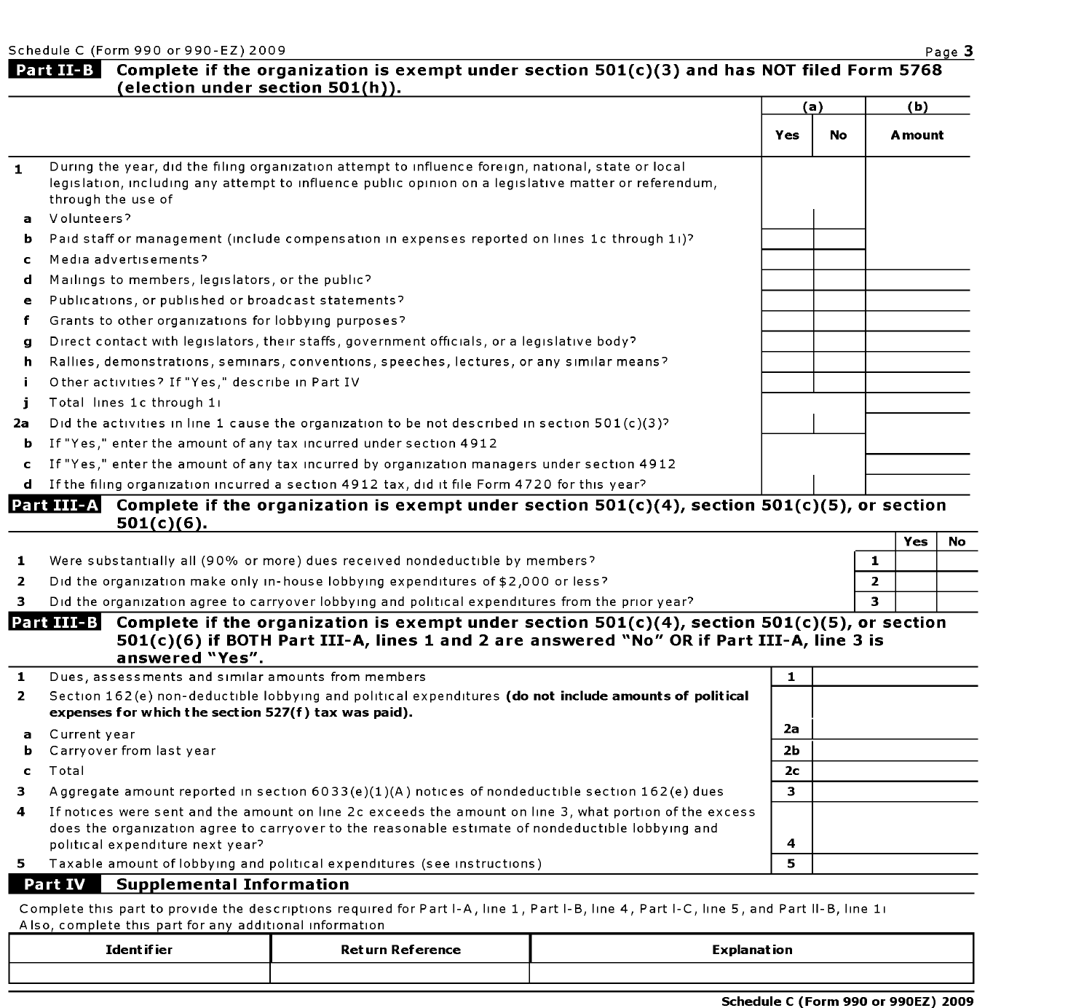Schedule C (Form 990 or 990-EZ) 2009 Page 3

## Part II-B Complete if the organization is exempt under section  $501(c)(3)$  and has NOT filed Form 5768 ( election under section 501(h)).

|              |                                                                                                                                                                                                                                    | (a) |    | (b)     |
|--------------|------------------------------------------------------------------------------------------------------------------------------------------------------------------------------------------------------------------------------------|-----|----|---------|
|              |                                                                                                                                                                                                                                    | Yes | No | A mount |
| $\mathbf{1}$ | During the year, did the filing organization attempt to influence foreign, national, state or local<br>legislation, including any attempt to influence public opinion on a legislative matter or referendum,<br>through the use of |     |    |         |
| $\mathbf{a}$ | Volunteers?                                                                                                                                                                                                                        |     |    |         |
| b.           | Paid staff or management (include compensation in expenses reported on lines 1c through 11)?                                                                                                                                       |     |    |         |
| C.           | Media advertisements?                                                                                                                                                                                                              |     |    |         |
| d            | Mailings to members, legislators, or the public?                                                                                                                                                                                   |     |    |         |
| e            | Publications, or published or broadcast statements?                                                                                                                                                                                |     |    |         |
| f            | Grants to other organizations for lobbying purposes?                                                                                                                                                                               |     |    |         |
| a            | Direct contact with legislators, their staffs, government officials, or a legislative body?                                                                                                                                        |     |    |         |
| h.           | Rallies, demonstrations, seminars, conventions, speeches, lectures, or any similar means?                                                                                                                                          |     |    |         |
| i.           | Other activities? If "Yes," describe in Part IV                                                                                                                                                                                    |     |    |         |
|              | Total lines 1c through 11                                                                                                                                                                                                          |     |    |         |
| 2a           | Did the activities in line 1 cause the organization to be not described in section $501(c)(3)^{2}$                                                                                                                                 |     |    |         |
| ь.           | If "Yes," enter the amount of any tax incurred under section 4912                                                                                                                                                                  |     |    |         |
| c.           | If "Yes," enter the amount of any tax incurred by organization managers under section 4912                                                                                                                                         |     |    |         |
| d.           | If the filing organization incurred a section 4912 tax, did it file Form 4720 for this year?                                                                                                                                       |     |    |         |

#### Complete if the organization is exempt under section  $501(c)(4)$ , section  $501(c)(5)$ , or section 501(c)(6).

|                                                                                                  | Yes |  |
|--------------------------------------------------------------------------------------------------|-----|--|
| Were substantially all (90% or more) dues received nondeductible by members?                     |     |  |
| Did the organization make only in-house lobbying expenditures of \$2,000 or less?                |     |  |
| Did the organization agree to carryover lobbying and political expenditures from the prior year? |     |  |

#### Part III-B Complete if the organization is exempt under section  $501(c)(4)$ , section  $501(c)(5)$ , or section 501(c)(6) if BOTH Part 111-A, lines <sup>1</sup> and 2 are answered "No" OR if Part III-A, line <sup>3</sup> is answered "Yes".

| 1            | Dues, assessments and similar amounts from members                                                                                                                                                                                               |                |  |
|--------------|--------------------------------------------------------------------------------------------------------------------------------------------------------------------------------------------------------------------------------------------------|----------------|--|
| $\mathbf{2}$ | Section 162(e) non-deductible lobbying and political expenditures (do not include amounts of political<br>expenses for which the section 527(f) tax was paid).                                                                                   |                |  |
|              | <b>a</b> Current year                                                                                                                                                                                                                            | 2a             |  |
| ь.           | Carryover from last year                                                                                                                                                                                                                         | 2 <sub>b</sub> |  |
|              | Total                                                                                                                                                                                                                                            | 2 <sub>c</sub> |  |
| з.           | Aggregate amount reported in section $6033(e)(1)(A)$ notices of nondeductible section $162(e)$ dues                                                                                                                                              | з              |  |
| 4            | If notices were sent and the amount on line 2c exceeds the amount on line 3, what portion of the excess<br>does the organization agree to carryover to the reasonable estimate of nondeductible lobbying and<br>political expenditure next year? | 4              |  |
| 5.           | Taxable amount of lobbying and political expenditures (see instructions)                                                                                                                                                                         | 5              |  |
|              | <b>Part IV</b><br><b>Supplemental Information</b>                                                                                                                                                                                                |                |  |

Complete this part to provide the descriptions required for Part I-A, line 1, Part I-B, line 4, Part I-C, line 5, and Part II-B, line 1i Also, complete this part for any additional information

| Ident if ier | Ret urn Reference | <b>Explanation</b> |
|--------------|-------------------|--------------------|
|              |                   |                    |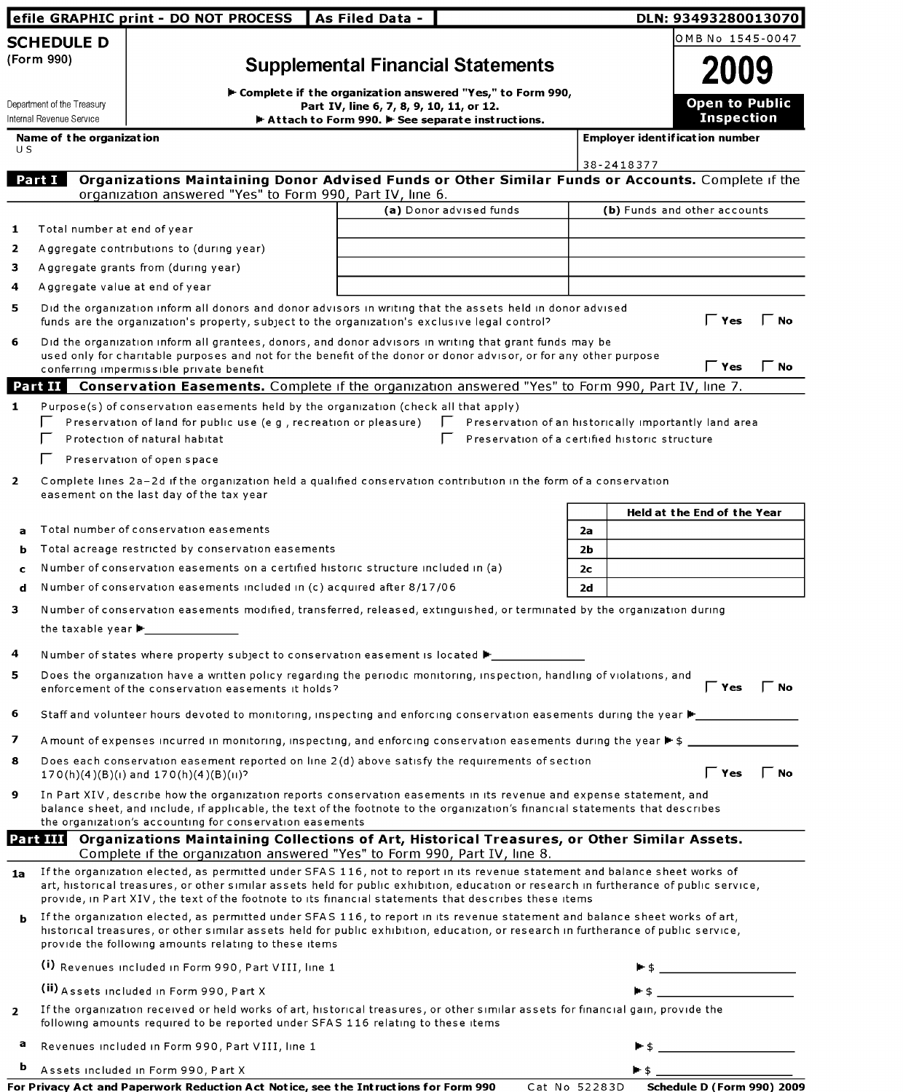|                                 | efile GRAPHIC print - DO NOT PROCESS                                                                                                                                                                                                                                                                                                                                           | As Filed Data -                                                                                         |                         |                | DLN: 93493280013070                                                                                                                     |
|---------------------------------|--------------------------------------------------------------------------------------------------------------------------------------------------------------------------------------------------------------------------------------------------------------------------------------------------------------------------------------------------------------------------------|---------------------------------------------------------------------------------------------------------|-------------------------|----------------|-----------------------------------------------------------------------------------------------------------------------------------------|
| <b>SCHEDULE D</b>               |                                                                                                                                                                                                                                                                                                                                                                                |                                                                                                         |                         |                | OMB No 1545-0047                                                                                                                        |
| (Form 990)                      |                                                                                                                                                                                                                                                                                                                                                                                | <b>Supplemental Financial Statements</b>                                                                |                         |                | <b>2009</b>                                                                                                                             |
|                                 |                                                                                                                                                                                                                                                                                                                                                                                |                                                                                                         |                         |                |                                                                                                                                         |
| Department of the Treasury      |                                                                                                                                                                                                                                                                                                                                                                                | F Complete if the organization answered "Yes," to Form 990,<br>Part IV, line 6, 7, 8, 9, 10, 11, or 12. |                         |                | <b>Open to Public</b>                                                                                                                   |
| Internal Revenue Service        |                                                                                                                                                                                                                                                                                                                                                                                | $\blacktriangleright$ Attach to Form 990. $\blacktriangleright$ See separate instructions.              |                         |                | <b>Inspection</b>                                                                                                                       |
| Name of the organization<br>U S |                                                                                                                                                                                                                                                                                                                                                                                |                                                                                                         |                         |                | <b>Employer identification number</b>                                                                                                   |
|                                 |                                                                                                                                                                                                                                                                                                                                                                                |                                                                                                         |                         |                | 38-2418377                                                                                                                              |
| Part I                          | organization answered "Yes" to Form 990, Part IV, line 6.                                                                                                                                                                                                                                                                                                                      |                                                                                                         |                         |                | Organizations Maintaining Donor Advised Funds or Other Similar Funds or Accounts. Complete if the                                       |
|                                 |                                                                                                                                                                                                                                                                                                                                                                                |                                                                                                         | (a) Donor advised funds |                | (b) Funds and other accounts                                                                                                            |
| Total number at end of year     |                                                                                                                                                                                                                                                                                                                                                                                |                                                                                                         |                         |                |                                                                                                                                         |
|                                 | Aggregate contributions to (during year)                                                                                                                                                                                                                                                                                                                                       |                                                                                                         |                         |                |                                                                                                                                         |
|                                 | Aggregate grants from (during year)                                                                                                                                                                                                                                                                                                                                            |                                                                                                         |                         |                |                                                                                                                                         |
| Aggregate value at end of year  |                                                                                                                                                                                                                                                                                                                                                                                |                                                                                                         |                         |                |                                                                                                                                         |
|                                 | Did the organization inform all donors and donor advisors in writing that the assets held in donor advised<br>funds are the organization's property, subject to the organization's exclusive legal control?                                                                                                                                                                    |                                                                                                         |                         |                | $\Gamma$ Yes<br><b>No</b>                                                                                                               |
|                                 | Did the organization inform all grantees, donors, and donor advisors in writing that grant funds may be<br>used only for charitable purposes and not for the benefit of the donor or donor advisor, or for any other purpose                                                                                                                                                   |                                                                                                         |                         |                |                                                                                                                                         |
|                                 | conferring impermissible private benefit                                                                                                                                                                                                                                                                                                                                       |                                                                                                         |                         |                | $\Gamma$ Yes<br>$\mathsf \Gamma$ No                                                                                                     |
| Part II                         | Conservation Easements. Complete if the organization answered "Yes" to Form 990, Part IV, line 7.                                                                                                                                                                                                                                                                              |                                                                                                         |                         |                |                                                                                                                                         |
|                                 | Purpose(s) of conservation easements held by the organization (check all that apply)                                                                                                                                                                                                                                                                                           |                                                                                                         |                         |                |                                                                                                                                         |
|                                 | Preservation of land for public use (e g, recreation or pleasure)<br>Protection of natural habitat                                                                                                                                                                                                                                                                             |                                                                                                         |                         |                | Preservation of an historically importantly land area<br>Preservation of a certified historic structure                                 |
|                                 | Preservation of open space                                                                                                                                                                                                                                                                                                                                                     |                                                                                                         |                         |                |                                                                                                                                         |
|                                 |                                                                                                                                                                                                                                                                                                                                                                                |                                                                                                         |                         |                |                                                                                                                                         |
|                                 | Complete lines 2a-2d if the organization held a qualified conservation contribution in the form of a conservation<br>easement on the last day of the tax year                                                                                                                                                                                                                  |                                                                                                         |                         |                |                                                                                                                                         |
|                                 |                                                                                                                                                                                                                                                                                                                                                                                |                                                                                                         |                         |                | Held at the End of the Year                                                                                                             |
| a                               | Total number of conservation easements                                                                                                                                                                                                                                                                                                                                         |                                                                                                         |                         | 2a             |                                                                                                                                         |
| ь                               | Total acreage restricted by conservation easements                                                                                                                                                                                                                                                                                                                             |                                                                                                         |                         | 2b             |                                                                                                                                         |
| c                               | Number of conservation easements on a certified historic structure included in (a)                                                                                                                                                                                                                                                                                             |                                                                                                         |                         | 2 <sub>c</sub> |                                                                                                                                         |
| d                               | Number of conservation easements included in (c) acquired after 8/17/06                                                                                                                                                                                                                                                                                                        |                                                                                                         |                         | 2d             |                                                                                                                                         |
|                                 | Number of conservation easements modified, transferred, released, extinguished, or terminated by the organization during                                                                                                                                                                                                                                                       |                                                                                                         |                         |                |                                                                                                                                         |
|                                 | the taxable year $\blacktriangleright$                                                                                                                                                                                                                                                                                                                                         |                                                                                                         |                         |                |                                                                                                                                         |
|                                 | Number of states where property subject to conservation easement is located $\blacktriangleright$                                                                                                                                                                                                                                                                              |                                                                                                         |                         |                |                                                                                                                                         |
|                                 | Does the organization have a written policy regarding the periodic monitoring, inspection, handling of violations, and                                                                                                                                                                                                                                                         |                                                                                                         |                         |                | $\Gamma$ Yes $\Gamma$ No                                                                                                                |
|                                 | enforcement of the conservation easements it holds?                                                                                                                                                                                                                                                                                                                            |                                                                                                         |                         |                |                                                                                                                                         |
|                                 |                                                                                                                                                                                                                                                                                                                                                                                |                                                                                                         |                         |                | Staff and volunteer hours devoted to monitoring, inspecting and enforcing conservation easements during the year $\blacktriangleright$  |
|                                 |                                                                                                                                                                                                                                                                                                                                                                                |                                                                                                         |                         |                | A mount of expenses incurred in monitoring, inspecting, and enforcing conservation easements during the year ▶ \$ _____________________ |
|                                 | Does each conservation easement reported on line 2(d) above satisfy the requirements of section<br>$170(h)(4)(B)(1)$ and $170(h)(4)(B)(1)$ ?                                                                                                                                                                                                                                   |                                                                                                         |                         |                | $\Gamma$ Yes $\Gamma$ No                                                                                                                |
|                                 | In Part XIV, describe how the organization reports conservation easements in its revenue and expense statement, and<br>balance sheet, and include, if applicable, the text of the footnote to the organization's financial statements that describes<br>the organization's accounting for conservation easements                                                               |                                                                                                         |                         |                |                                                                                                                                         |
| Part III                        | Organizations Maintaining Collections of Art, Historical Treasures, or Other Similar Assets.<br>Complete if the organization answered "Yes" to Form 990, Part IV, line 8.                                                                                                                                                                                                      |                                                                                                         |                         |                |                                                                                                                                         |
| 1a                              | If the organization elected, as permitted under SFAS 116, not to report in its revenue statement and balance sheet works of<br>art, historical treasures, or other similar assets held for public exhibition, education or research in furtherance of public service,<br>provide, in Part XIV, the text of the footnote to its financial statements that describes these items |                                                                                                         |                         |                |                                                                                                                                         |
| ь                               | If the organization elected, as permitted under SFAS 116, to report in its revenue statement and balance sheet works of art,<br>historical treasures, or other similar assets held for public exhibition, education, or research in furtherance of public service,<br>provide the following amounts relating to these items                                                    |                                                                                                         |                         |                |                                                                                                                                         |
|                                 | (i) Revenues included in Form 990, Part VIII, line 1                                                                                                                                                                                                                                                                                                                           |                                                                                                         |                         |                |                                                                                                                                         |
|                                 | (ii) Assets included in Form 990, Part X                                                                                                                                                                                                                                                                                                                                       |                                                                                                         |                         |                |                                                                                                                                         |
|                                 | If the organization received or held works of art, historical treasures, or other similar assets for financial gain, provide the<br>following amounts required to be reported under SFAS 116 relating to these items                                                                                                                                                           |                                                                                                         |                         |                |                                                                                                                                         |
| а                               | Revenues included in Form 990, Part VIII, line 1                                                                                                                                                                                                                                                                                                                               |                                                                                                         |                         |                |                                                                                                                                         |
| b                               | Assets included in Form 990, Part X                                                                                                                                                                                                                                                                                                                                            |                                                                                                         |                         |                |                                                                                                                                         |

| For Privacy Act and Paperwork Reduction Act Notice, see the Intructions for Form 990 |  | Cat No 52283D Schedule D (Form 990) 2009 |  |
|--------------------------------------------------------------------------------------|--|------------------------------------------|--|
|--------------------------------------------------------------------------------------|--|------------------------------------------|--|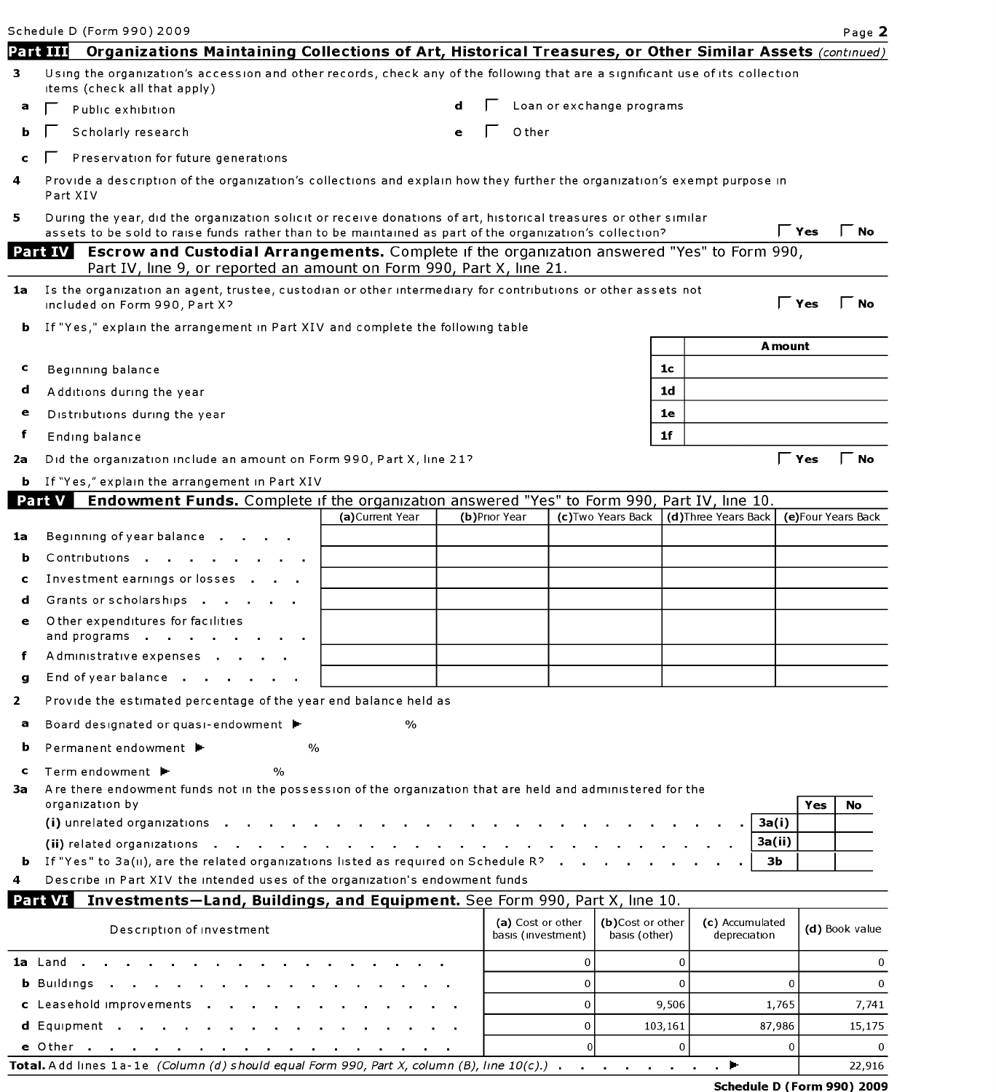|         | Schedule D (Form 990) 2009                                                                                                                                                                                                  |                  |   |               |                                         |                |                                   |                |                      |              |                     |                | Page 2   |
|---------|-----------------------------------------------------------------------------------------------------------------------------------------------------------------------------------------------------------------------------|------------------|---|---------------|-----------------------------------------|----------------|-----------------------------------|----------------|----------------------|--------------|---------------------|----------------|----------|
|         | Organizations Maintaining Collections of Art, Historical Treasures, or Other Similar Assets (continued)<br>Part III                                                                                                         |                  |   |               |                                         |                |                                   |                |                      |              |                     |                |          |
| 3       | Using the organization's accession and other records, check any of the following that are a significant use of its collection<br>items (check all that apply)                                                               |                  |   |               |                                         |                |                                   |                |                      |              |                     |                |          |
| а       | Public exhibition                                                                                                                                                                                                           |                  |   |               |                                         |                | Loan or exchange programs         |                |                      |              |                     |                |          |
| ь       | Scholarly research                                                                                                                                                                                                          |                  | e |               | Other                                   |                |                                   |                |                      |              |                     |                |          |
| c       | Preservation for future generations                                                                                                                                                                                         |                  |   |               |                                         |                |                                   |                |                      |              |                     |                |          |
| 4       | Provide a description of the organization's collections and explain how they further the organization's exempt purpose in<br>Part XIV                                                                                       |                  |   |               |                                         |                |                                   |                |                      |              |                     |                |          |
| 5       | During the year, did the organization solicit or receive donations of art, historical treasures or other similar<br>assets to be sold to raise funds rather than to be maintained as part of the organization's collection? |                  |   |               |                                         |                |                                   |                |                      |              | $\Gamma$ Yes        | $\Gamma$ No    |          |
|         | <b>Escrow and Custodial Arrangements.</b> Complete if the organization answered "Yes" to Form 990,<br><b>Part IV</b><br>Part IV, line 9, or reported an amount on Form 990, Part X, line 21.                                |                  |   |               |                                         |                |                                   |                |                      |              |                     |                |          |
| 1a      | Is the organization an agent, trustee, custodian or other intermediary for contributions or other assets not<br>included on Form 990, Part X?                                                                               |                  |   |               |                                         |                |                                   |                |                      |              | $\Gamma$ Yes        | $\Box$ No      |          |
| b       | If "Yes," explain the arrangement in Part XIV and complete the following table                                                                                                                                              |                  |   |               |                                         |                |                                   |                |                      |              |                     |                |          |
|         |                                                                                                                                                                                                                             |                  |   |               |                                         |                |                                   |                |                      |              | A mount             |                |          |
| c       | Beginning balance                                                                                                                                                                                                           |                  |   |               |                                         |                |                                   | 1c             |                      |              |                     |                |          |
| d       | Additions during the year                                                                                                                                                                                                   |                  |   |               |                                         |                |                                   | 1 <sub>d</sub> |                      |              |                     |                |          |
| е       | Distributions during the year                                                                                                                                                                                               |                  |   |               |                                         |                |                                   | 1e             |                      |              |                     |                |          |
| f       | Ending balance                                                                                                                                                                                                              |                  |   |               |                                         |                |                                   | 1f             |                      |              |                     |                |          |
| 2a      | Did the organization include an amount on Form 990, Part X, line 21?                                                                                                                                                        |                  |   |               |                                         |                |                                   |                |                      |              | $\Gamma$ Yes        | $\Gamma$ No    |          |
| ь.      | If "Yes," explain the arrangement in Part XIV                                                                                                                                                                               |                  |   |               |                                         |                |                                   |                |                      |              |                     |                |          |
|         | <b>Endowment Funds.</b> Complete if the organization answered "Yes" to Form 990, Part IV, line 10.<br>Part V                                                                                                                |                  |   |               |                                         |                |                                   |                |                      |              |                     |                |          |
|         | Beginning of year balance                                                                                                                                                                                                   | (a) Current Year |   | (b)Prior Year |                                         |                | (c) Two Years Back                |                | (d) Three Years Back |              | (e) Four Years Back |                |          |
| 1a<br>b | Contributions                                                                                                                                                                                                               |                  |   |               |                                         |                |                                   |                |                      |              |                     |                |          |
| c       | Investment earnings or losses                                                                                                                                                                                               |                  |   |               |                                         |                |                                   |                |                      |              |                     |                |          |
| d       | Grants or scholarships                                                                                                                                                                                                      |                  |   |               |                                         |                |                                   |                |                      |              |                     |                |          |
| e       | O ther expenditures for facilities<br>and programs                                                                                                                                                                          |                  |   |               |                                         |                |                                   |                |                      |              |                     |                |          |
|         | Administrative expenses                                                                                                                                                                                                     |                  |   |               |                                         |                |                                   |                |                      |              |                     |                |          |
| g       | End of year balance                                                                                                                                                                                                         |                  |   |               |                                         |                |                                   |                |                      |              |                     |                |          |
| 2       | Provide the estimated percentage of the year end balance held as                                                                                                                                                            |                  |   |               |                                         |                |                                   |                |                      |              |                     |                |          |
| а       | Board designated or quasi-endowment ▶                                                                                                                                                                                       | $\frac{0}{0}$    |   |               |                                         |                |                                   |                |                      |              |                     |                |          |
| b       | Permanent endowment ▶<br>$\%$                                                                                                                                                                                               |                  |   |               |                                         |                |                                   |                |                      |              |                     |                |          |
|         | $\frac{0}{0}$<br>Term endowment ▶                                                                                                                                                                                           |                  |   |               |                                         |                |                                   |                |                      |              |                     |                |          |
| c<br>За | Are there endowment funds not in the possession of the organization that are held and administered for the<br>organization by                                                                                               |                  |   |               |                                         |                |                                   |                |                      |              | Yes                 | No             |          |
|         | (i) unrelated organizations                                                                                                                                                                                                 |                  |   |               |                                         |                |                                   |                |                      | 3a(i)        |                     |                |          |
|         | (ii) related organizations $\cdot \cdot \cdot \cdot \cdot \cdot \cdot$                                                                                                                                                      |                  |   |               |                                         |                |                                   |                |                      | 3a(ii)       |                     |                |          |
| ь       | If "Yes" to $3a(II)$ , are the related organizations listed as required on Schedule R?                                                                                                                                      |                  |   |               |                                         |                |                                   |                |                      | зь           |                     |                |          |
| 4       | Describe in Part XIV the intended uses of the organization's endowment funds                                                                                                                                                |                  |   |               |                                         |                |                                   |                |                      |              |                     |                |          |
|         | Investments-Land, Buildings, and Equipment. See Form 990, Part X, line 10.<br>Part VI                                                                                                                                       |                  |   |               |                                         |                |                                   |                |                      |              |                     |                |          |
|         | Description of investment                                                                                                                                                                                                   |                  |   |               | (a) Cost or other<br>basis (investment) |                | (b)Cost or other<br>basis (other) |                | (c) Accumulated      | depreciation |                     | (d) Book value |          |
|         | 1a Land                                                                                                                                                                                                                     |                  |   |               |                                         | $\mathbf 0$    |                                   | $\mathbf 0$    |                      |              |                     |                | 0        |
|         | <b>b</b> Buildings                                                                                                                                                                                                          |                  |   |               |                                         | $\mathbf 0$    |                                   | $\Omega$       |                      |              | $\mathbf 0$         |                | $\Omega$ |
|         | c Leasehold improvements                                                                                                                                                                                                    |                  |   |               |                                         | $\overline{0}$ |                                   | 9,506          |                      |              | 1,765               |                | 7,741    |

|                                                                                                                            |  | 87.986 | 5.175  |
|----------------------------------------------------------------------------------------------------------------------------|--|--------|--------|
| e Other                                                                                                                    |  |        |        |
| <b>Total.</b> Add lines 1a-1e (Column (d) should equal Form 990, Part X, column (B), line $10(c)$ .) $\blacktriangleright$ |  |        | 22,916 |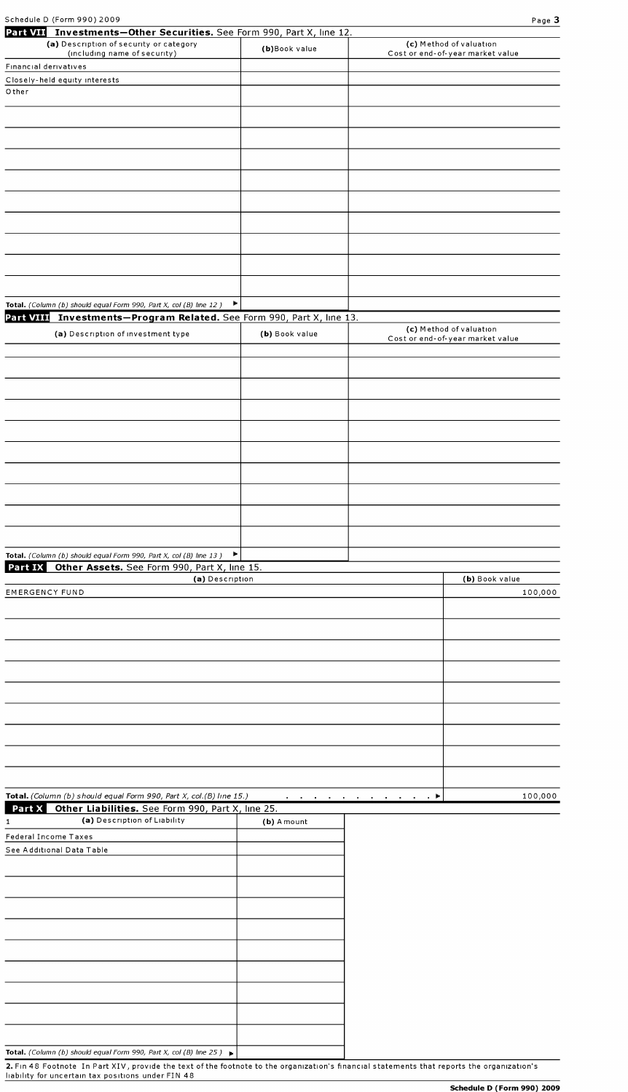| Schedule D (Form 990) 2009 | Page 3 |
|----------------------------|--------|
|                            |        |

|                             | Part VII Investments-Other Securities. See Form 990, Part X, line 12.                    |                 |                                                             |
|-----------------------------|------------------------------------------------------------------------------------------|-----------------|-------------------------------------------------------------|
|                             | (a) Description of security or category<br>(including name of security)                  | (b)Book value   | (c) Method of valuation<br>Cost or end-of-year market value |
| Financial derivatives       |                                                                                          |                 |                                                             |
|                             |                                                                                          |                 |                                                             |
| Other                       | Closely-held equity interests                                                            |                 |                                                             |
|                             |                                                                                          |                 |                                                             |
|                             |                                                                                          |                 |                                                             |
|                             |                                                                                          |                 |                                                             |
|                             |                                                                                          |                 |                                                             |
|                             |                                                                                          |                 |                                                             |
|                             |                                                                                          |                 |                                                             |
|                             |                                                                                          |                 |                                                             |
|                             |                                                                                          |                 |                                                             |
|                             |                                                                                          |                 |                                                             |
|                             |                                                                                          |                 |                                                             |
|                             |                                                                                          |                 |                                                             |
|                             |                                                                                          |                 |                                                             |
|                             |                                                                                          |                 |                                                             |
|                             |                                                                                          |                 |                                                             |
|                             |                                                                                          |                 |                                                             |
|                             |                                                                                          |                 |                                                             |
|                             |                                                                                          |                 |                                                             |
|                             | Total. (Column (b) should equal Form 990, Part X, col (B) line 12)                       | ÷.              |                                                             |
|                             |                                                                                          |                 |                                                             |
|                             | Part VIII Investments-Program Related. See Form 990, Part X, line 13.                    |                 |                                                             |
|                             | (a) Description of investment type                                                       | (b) Book value  | (c) Method of valuation<br>Cost or end-of-year market value |
|                             |                                                                                          |                 |                                                             |
|                             |                                                                                          |                 |                                                             |
|                             |                                                                                          |                 |                                                             |
|                             |                                                                                          |                 |                                                             |
|                             |                                                                                          |                 |                                                             |
|                             |                                                                                          |                 |                                                             |
|                             |                                                                                          |                 |                                                             |
|                             |                                                                                          |                 |                                                             |
|                             |                                                                                          |                 |                                                             |
|                             |                                                                                          |                 |                                                             |
|                             |                                                                                          |                 |                                                             |
|                             |                                                                                          |                 |                                                             |
|                             |                                                                                          |                 |                                                             |
|                             |                                                                                          |                 |                                                             |
|                             |                                                                                          |                 |                                                             |
|                             |                                                                                          |                 |                                                             |
|                             |                                                                                          |                 |                                                             |
|                             |                                                                                          |                 |                                                             |
|                             | Total. (Column (b) should equal Form 990, Part X, col (B) line 13)                       | Þ.              |                                                             |
|                             | Part IX Other Assets. See Form 990, Part X, line 15.                                     |                 |                                                             |
|                             |                                                                                          | (a) Description | (b) Book value                                              |
| <b>EMERGENCY FUND</b>       |                                                                                          |                 | 100,000                                                     |
|                             |                                                                                          |                 |                                                             |
|                             |                                                                                          |                 |                                                             |
|                             |                                                                                          |                 |                                                             |
|                             |                                                                                          |                 |                                                             |
|                             |                                                                                          |                 |                                                             |
|                             |                                                                                          |                 |                                                             |
|                             |                                                                                          |                 |                                                             |
|                             |                                                                                          |                 |                                                             |
|                             |                                                                                          |                 |                                                             |
|                             |                                                                                          |                 |                                                             |
|                             |                                                                                          |                 |                                                             |
|                             |                                                                                          |                 |                                                             |
|                             |                                                                                          |                 |                                                             |
|                             |                                                                                          |                 |                                                             |
|                             |                                                                                          |                 |                                                             |
|                             |                                                                                          |                 |                                                             |
|                             |                                                                                          |                 |                                                             |
|                             | Total. (Column (b) should equal Form 990, Part X, col.(B) line 15.)                      |                 | 100,000<br>and a series of the company of the series of     |
|                             |                                                                                          |                 |                                                             |
| 1                           | Part X Other Liabilities. See Form 990, Part X, line 25.<br>(a) Description of Liability |                 |                                                             |
|                             |                                                                                          | (b) A mount     |                                                             |
| <b>Federal Income Taxes</b> |                                                                                          |                 |                                                             |
|                             | See Additional Data Table                                                                |                 |                                                             |
|                             |                                                                                          |                 |                                                             |
|                             |                                                                                          |                 |                                                             |
|                             |                                                                                          |                 |                                                             |
|                             |                                                                                          |                 |                                                             |
|                             |                                                                                          |                 |                                                             |
|                             |                                                                                          |                 |                                                             |
|                             |                                                                                          |                 |                                                             |
|                             |                                                                                          |                 |                                                             |
|                             |                                                                                          |                 |                                                             |
|                             |                                                                                          |                 |                                                             |
|                             |                                                                                          |                 |                                                             |
|                             |                                                                                          |                 |                                                             |
|                             |                                                                                          |                 |                                                             |
|                             |                                                                                          |                 |                                                             |
|                             |                                                                                          |                 |                                                             |
|                             | Total. (Column (b) should equal Form 990, Part X, col (B) line $25$ )                    |                 |                                                             |

2. Fin 48 Footnote In Part XIV, provide the text of the footnote to the organization's financial statements that reports the organization's liability for uncertain tax positions under FIN 48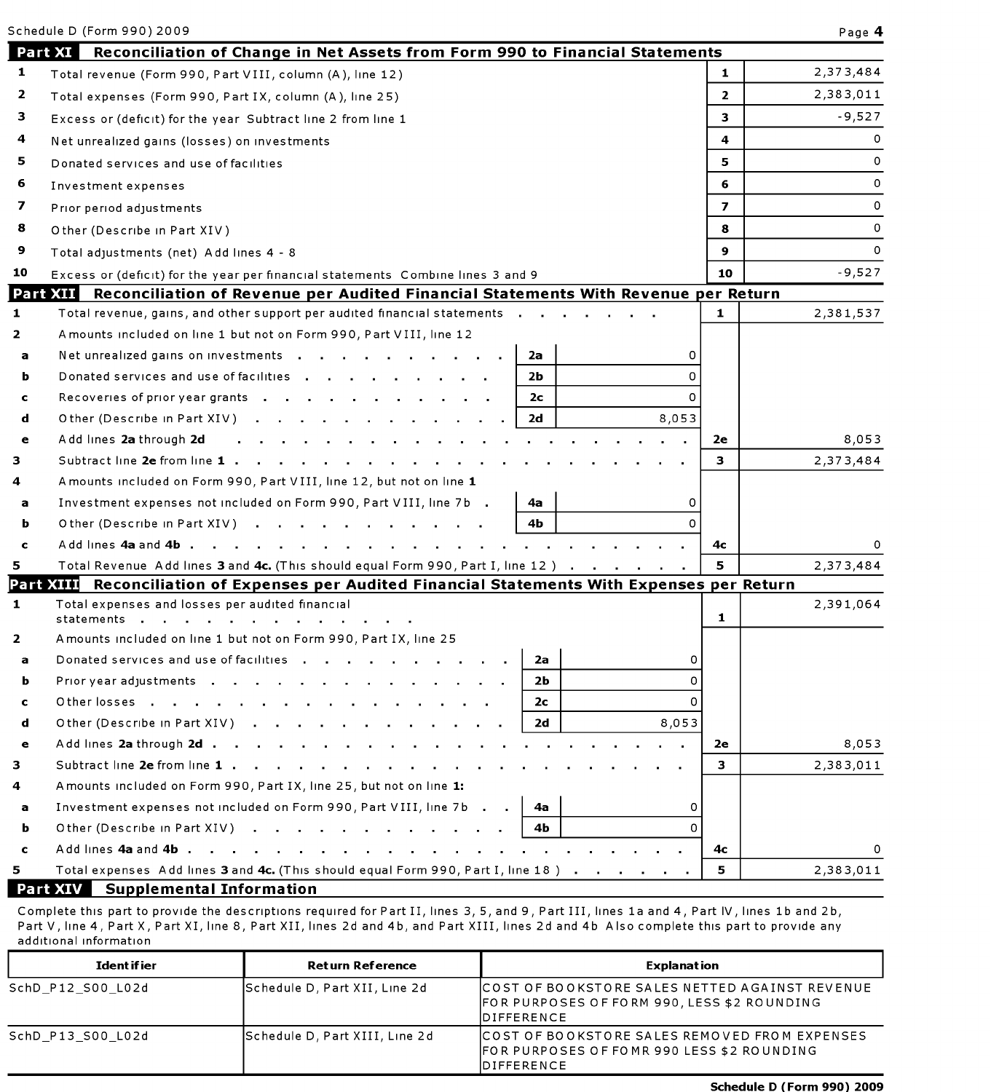|              | Schedule D (Form 990) 2009                                                                     |                | Page 4    |
|--------------|------------------------------------------------------------------------------------------------|----------------|-----------|
|              | Part XI<br>Reconciliation of Change in Net Assets from Form 990 to Financial Statements        |                |           |
| 1            | Total revenue (Form 990, Part VIII, column (A), line 12)                                       | 1.             | 2,373,484 |
| 2            | Total expenses (Form 990, Part IX, column (A), line 25)                                        | $\overline{2}$ | 2,383,011 |
| з            | Excess or (deficit) for the year Subtract line 2 from line 1                                   | 3              | $-9,527$  |
| 4            | Net unrealized gains (losses) on investments                                                   | 4              | 0         |
| 5            | Donated services and use of facilities                                                         | 5.             | 0         |
| 6            | Investment expenses                                                                            | 6              | 0         |
| 7            | Prior period adjustments                                                                       | 7              | 0         |
| 8            | Other (Describe in Part XIV)                                                                   | 8              | 0         |
| 9            | Total adjustments (net) Add lines 4 - 8                                                        | 9              | $\Omega$  |
| 10           | Excess or (deficit) for the year per financial statements Combine lines 3 and 9                | 10             | $-9,527$  |
|              | Part XII Reconciliation of Revenue per Audited Financial Statements With Revenue per Return    |                |           |
| 1            | Total revenue, gains, and other support per audited financial statements.                      | 1              | 2,381,537 |
| 2            | Amounts included on line 1 but not on Form 990, Part VIII, line 12                             |                |           |
| а            | Net unrealized gains on investments<br>2a<br>0                                                 |                |           |
| ь            | Donated services and use of facilities<br>$\Omega$<br>2b                                       |                |           |
| c            | Recoveries of prior year grants<br>2c<br>0                                                     |                |           |
| d            | Other (Describe in Part XIV)<br>8,053<br>2d                                                    |                |           |
| e            | Add lines 2a through 2d                                                                        | 2e             | 8,053     |
| 3.           | Subtract line 2e from line 1 .                                                                 | 3              | 2,373,484 |
| 4            | A mounts included on Form 990, Part VIII, line 12, but not on line 1                           |                |           |
| а            | Investment expenses not included on Form 990, Part VIII, line 7b.<br>4а<br>0                   |                |           |
| ь            | $\Omega$<br>4b<br>Other (Describe in Part XIV)                                                 |                |           |
| c            | Add lines 4a and 4b.                                                                           | 4с             |           |
| 5.           | Total Revenue Add lines 3 and 4c. (This should equal Form 990, Part I, line 12)                | 5              | 2,373,484 |
|              | Part XIII Reconciliation of Expenses per Audited Financial Statements With Expenses per Return |                |           |
| $\mathbf{1}$ | Total expenses and losses per audited financial<br>statements                                  | 1              | 2,391,064 |
| 2            | Amounts included on line 1 but not on Form 990, Part IX, line 25                               |                |           |
| а            | Donated services and use of facilities<br>0<br>2a                                              |                |           |
| b            | 2 <sub>b</sub><br>$\Omega$<br>Prior year adjustments                                           |                |           |
| c            | 0<br>2с                                                                                        |                |           |
| d            | Other (Describe in Part XIV)<br>8,053<br>2d                                                    |                |           |
| e            | Add lines 2a through 2d                                                                        | 2e             | 8,053     |
| 3            | Subtract line 2e from line 1                                                                   | 3              | 2,383,011 |
| 4            | A mounts included on Form 990, Part IX, line 25, but not on line 1:                            |                |           |
| a            | Investment expenses not included on Form 990, Part VIII, line 7b<br>0<br>4a                    |                |           |
| ь            | $\Omega$<br>Other (Describe in Part XIV)<br>4b                                                 |                |           |
| c            |                                                                                                | 4с             | 0         |
| 5            | Total expenses Add lines 3 and 4c. (This should equal Form 990, Part I, line 18)               | 5.             | 2,383,011 |
|              | <b>Part XIV</b> Supplemental Information                                                       |                |           |

Complete this part to provide the descriptions required for Part II, lines 3, 5, and 9, Part III, lines la and 4, Part IV, lines lb and 2b, Part V, line 4, Part X, Part XI, line 8, Part XII, lines 2d and 4b, and Part XIII, lines 2d and 4b Also complete this part to provide any additional information

| Ident if ier      | Ret urn Reference              | <b>Explanation</b>                                                                                                   |
|-------------------|--------------------------------|----------------------------------------------------------------------------------------------------------------------|
| SchD P12 S00 L02d | Schedule D, Part XII, Line 2d  | ICOST OF BOOKSTORE SALES NETTED AGAINST REVENUE<br>FOR PURPOSES OF FORM 990, LESS \$2 ROUNDING<br><b>IDIFFERENCE</b> |
| SchD P13 S00 L02d | Schedule D, Part XIII, Line 2d | ICOST OF BOOKSTORE SALES REMOVED FROM EXPENSES<br>FOR PURPOSES OF FOMR 990 LESS \$2 ROUNDING<br><b>IDIFFERENCE</b>   |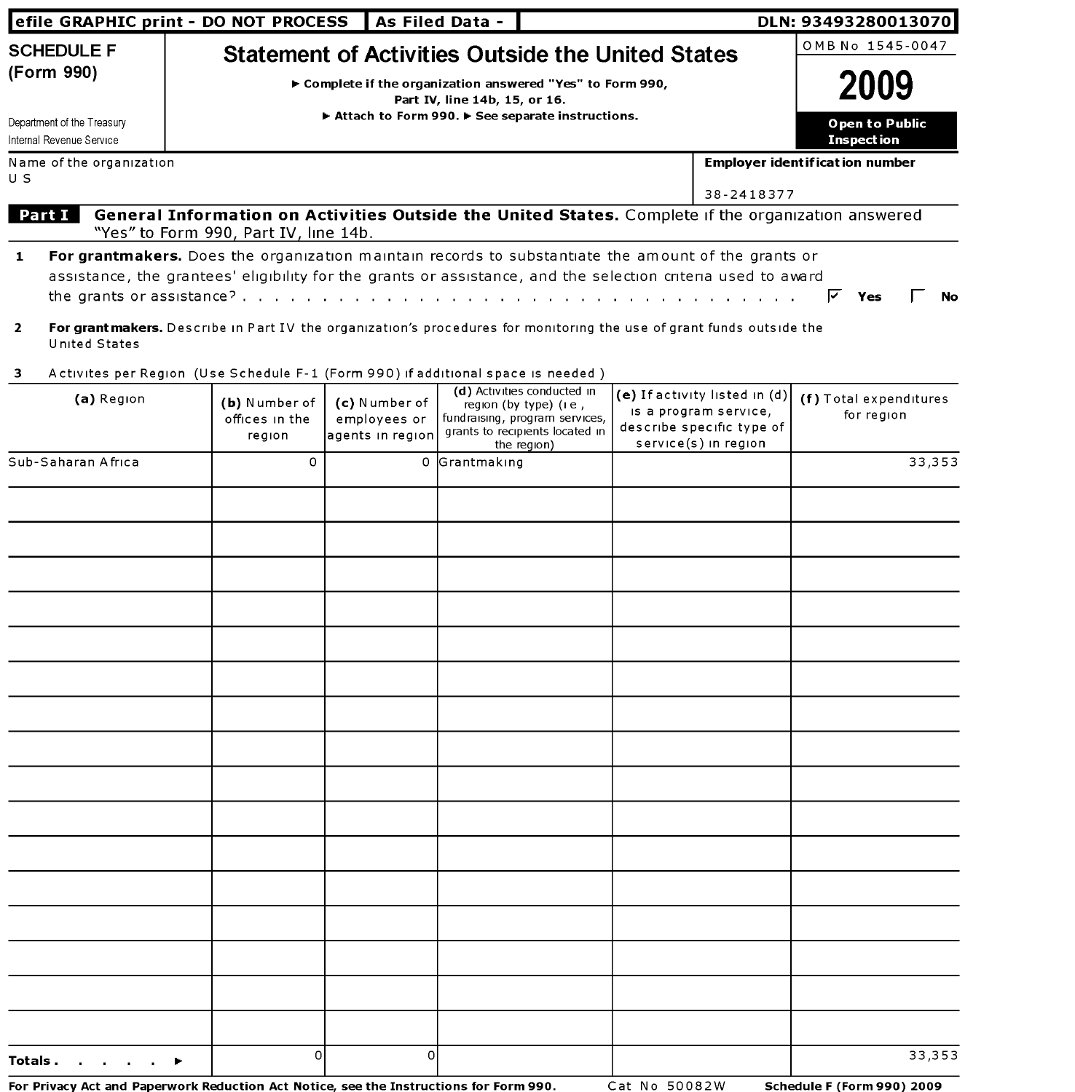|                                                                                           | efile GRAPHIC print - DO NOT PROCESS<br>As Filed Data -                                                                                                                                                                                                             |            | DLN: 93493280013070                                                    |  |
|-------------------------------------------------------------------------------------------|---------------------------------------------------------------------------------------------------------------------------------------------------------------------------------------------------------------------------------------------------------------------|------------|------------------------------------------------------------------------|--|
| <b>SCHEDULE F</b><br>(Form 990)<br>Department of the Treasury<br>Internal Revenue Service | <b>Statement of Activities Outside the United States</b><br>► Complete if the organization answered "Yes" to Form 990,<br>Part IV, line 14b, 15, or 16.<br>Attach to Form 990. F See separate instructions.                                                         |            | OMB No 1545-0047<br>2009<br><b>Open to Public</b><br><b>Inspection</b> |  |
| Name of the organization<br>U S                                                           | General Information on Activities Outside the United States. Complete if the organization answered                                                                                                                                                                  | 38-2418377 | <b>Employer identification number</b>                                  |  |
| <b>Part I</b>                                                                             | "Yes" to Form 990, Part IV, line 14b.<br><b>For grantmakers.</b> Does the organization maintain records to substantiate the amount of the grants or<br>assistance, the grantees' eligibility for the grants or assistance, and the selection criteria used to award |            | Yes<br>No                                                              |  |

- **2 For grant makers.** Describe in Part IV the organization's procedures for monitoring the use of grant funds outside the United States
- 3 Activites per Region (Use Schedule F-1 (Form 990) if additional space is needed)

| (a) Region                                                                             | (b) Number of<br>offices in the<br>region | (c) Number of<br>employees or<br>agents in region | (d) Activities conducted in<br>region (by type) (i e,<br>fundraising, program services,<br>grants to recipients located in<br>the region) | (e) If activity listed in $(d)$<br>is a program service,<br>describe specific type of<br>service(s) in region | (f) Total expenditures<br>for region |
|----------------------------------------------------------------------------------------|-------------------------------------------|---------------------------------------------------|-------------------------------------------------------------------------------------------------------------------------------------------|---------------------------------------------------------------------------------------------------------------|--------------------------------------|
| Sub-Saharan Africa                                                                     | 0                                         |                                                   | 0 Grantmaking                                                                                                                             |                                                                                                               | 33,353                               |
|                                                                                        |                                           |                                                   |                                                                                                                                           |                                                                                                               |                                      |
|                                                                                        |                                           |                                                   |                                                                                                                                           |                                                                                                               |                                      |
|                                                                                        |                                           |                                                   |                                                                                                                                           |                                                                                                               |                                      |
|                                                                                        |                                           |                                                   |                                                                                                                                           |                                                                                                               |                                      |
|                                                                                        |                                           |                                                   |                                                                                                                                           |                                                                                                               |                                      |
|                                                                                        |                                           |                                                   |                                                                                                                                           |                                                                                                               |                                      |
|                                                                                        |                                           |                                                   |                                                                                                                                           |                                                                                                               |                                      |
|                                                                                        |                                           |                                                   |                                                                                                                                           |                                                                                                               |                                      |
|                                                                                        |                                           |                                                   |                                                                                                                                           |                                                                                                               |                                      |
|                                                                                        |                                           |                                                   |                                                                                                                                           |                                                                                                               |                                      |
|                                                                                        |                                           |                                                   |                                                                                                                                           |                                                                                                               |                                      |
|                                                                                        |                                           |                                                   |                                                                                                                                           |                                                                                                               |                                      |
|                                                                                        |                                           |                                                   |                                                                                                                                           |                                                                                                               |                                      |
|                                                                                        |                                           |                                                   |                                                                                                                                           |                                                                                                               |                                      |
|                                                                                        |                                           |                                                   |                                                                                                                                           |                                                                                                               |                                      |
|                                                                                        |                                           |                                                   |                                                                                                                                           |                                                                                                               |                                      |
| Totals.<br>٠                                                                           | $\mathsf{o}$                              | <sub>0</sub>                                      |                                                                                                                                           |                                                                                                               | 33,353                               |
| For Privacy Act and Paperwork Reduction Act Notice, see the Instructions for Form 990. |                                           |                                                   |                                                                                                                                           | Cat No 50082W                                                                                                 | <b>Schedule F (Form 990) 2009</b>    |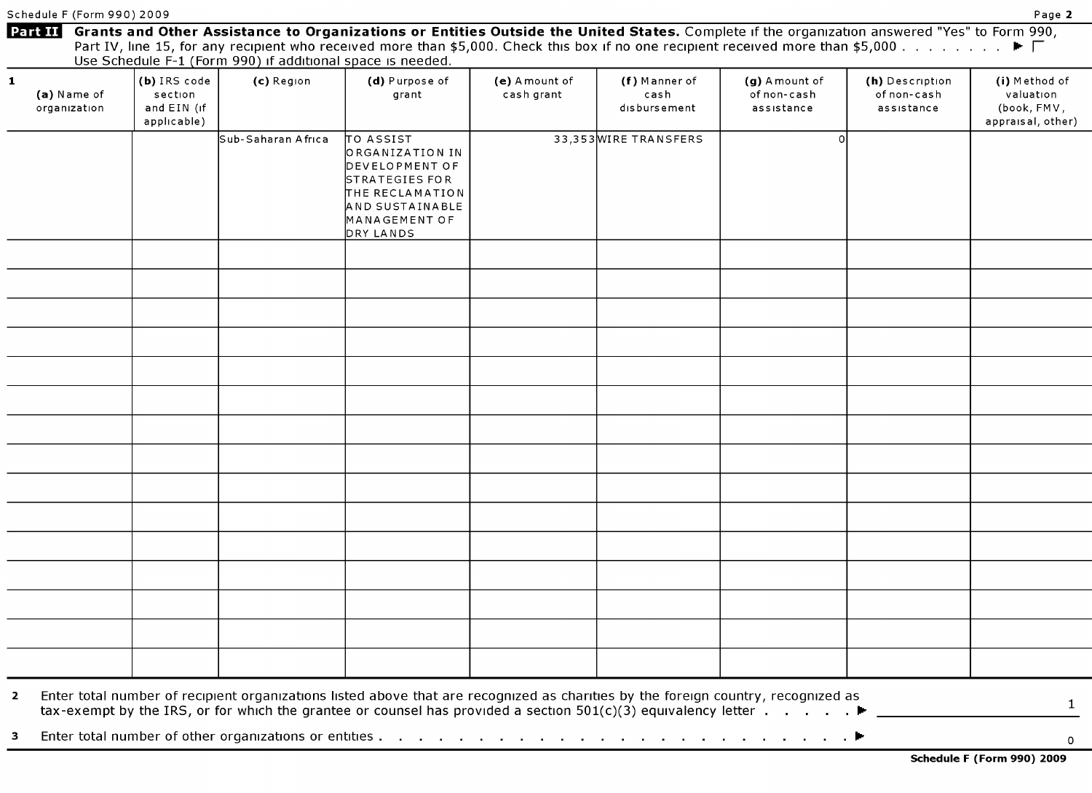| $\mathbf{1}$<br>(a) Name of<br>organization | (b) IRS code<br>section<br>and EIN (if<br>applicable) | (c) Region         | (d) Purpose of<br>grant                                                                                                              | (e) A mount of<br>cash grant | (f) Manner of<br>cash<br>disbursement | (g) A mount of<br>of non-cash<br>assistance | (h) Description<br>of non-cash<br>assistance | (i) Method of<br>valuation<br>(book, FMV,<br>appraisal, other) |
|---------------------------------------------|-------------------------------------------------------|--------------------|--------------------------------------------------------------------------------------------------------------------------------------|------------------------------|---------------------------------------|---------------------------------------------|----------------------------------------------|----------------------------------------------------------------|
|                                             |                                                       | Sub-Saharan Africa | TO ASSIST<br>ORGANIZATION IN<br>DEVELOPMENT OF<br>STRATEGIES FOR<br>THE RECLAMATION<br>AND SUSTAINABLE<br>MANAGEMENT OF<br>DRY LANDS |                              | 33,353 WIRE TRANSFERS                 |                                             |                                              |                                                                |
|                                             |                                                       |                    |                                                                                                                                      |                              |                                       |                                             |                                              |                                                                |
|                                             |                                                       |                    |                                                                                                                                      |                              |                                       |                                             |                                              |                                                                |
|                                             |                                                       |                    |                                                                                                                                      |                              |                                       |                                             |                                              |                                                                |
|                                             |                                                       |                    |                                                                                                                                      |                              |                                       |                                             |                                              |                                                                |
|                                             |                                                       |                    |                                                                                                                                      |                              |                                       |                                             |                                              |                                                                |
|                                             |                                                       |                    |                                                                                                                                      |                              |                                       |                                             |                                              |                                                                |
|                                             |                                                       |                    |                                                                                                                                      |                              |                                       |                                             |                                              |                                                                |
|                                             |                                                       |                    |                                                                                                                                      |                              |                                       |                                             |                                              |                                                                |
|                                             |                                                       |                    |                                                                                                                                      |                              |                                       |                                             |                                              |                                                                |
|                                             |                                                       |                    |                                                                                                                                      |                              |                                       |                                             |                                              |                                                                |
|                                             |                                                       |                    |                                                                                                                                      |                              |                                       |                                             |                                              |                                                                |
|                                             |                                                       |                    |                                                                                                                                      |                              |                                       |                                             |                                              |                                                                |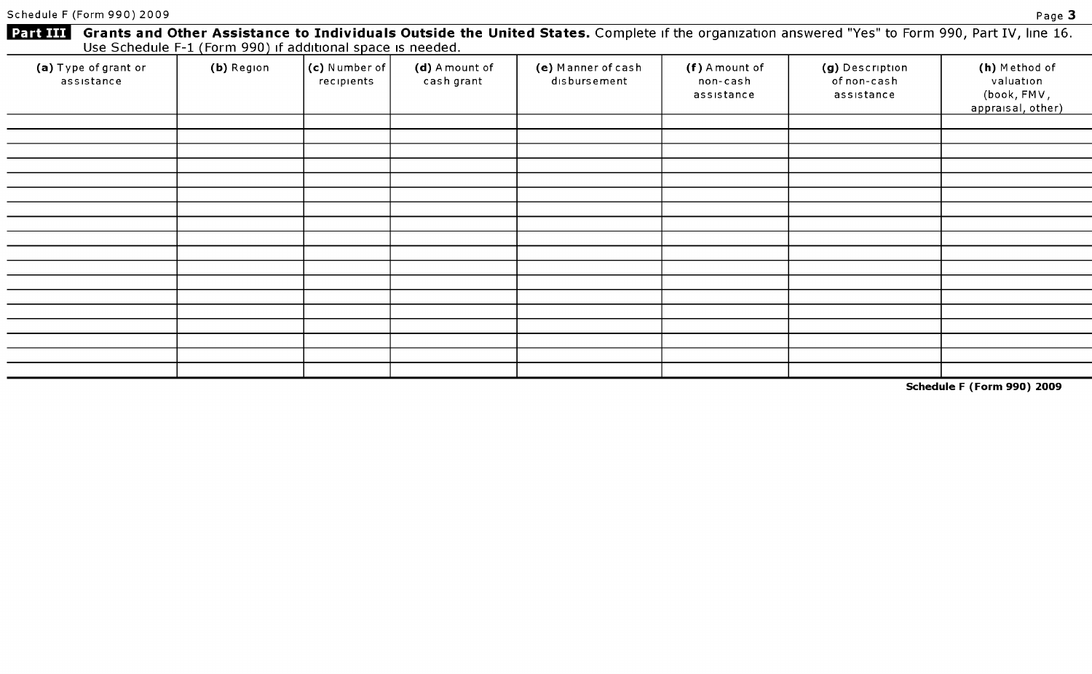Schedule F (Form 990) 2009 Page 3

| <b>Part III</b>                    | Use Schedule F-1 (Form 990) if additional space is needed. |                             |                              |                                    |                                          | Grants and Other Assistance to Individuals Outside the United States. Complete if the organization answered "Yes" to Form 990, Part IV, line 16. |                                                                |
|------------------------------------|------------------------------------------------------------|-----------------------------|------------------------------|------------------------------------|------------------------------------------|--------------------------------------------------------------------------------------------------------------------------------------------------|----------------------------------------------------------------|
| (a) Type of grant or<br>assistance | (b) Region                                                 | (c) Number of<br>recipients | (d) A mount of<br>cash grant | (e) Manner of cash<br>disbursement | (f) A mount of<br>non-cash<br>assistance | (g) Description<br>of non-cash<br>assistance                                                                                                     | (h) Method of<br>valuation<br>(book, FMV,<br>appraisal, other) |
|                                    |                                                            |                             |                              |                                    |                                          |                                                                                                                                                  |                                                                |
|                                    |                                                            |                             |                              |                                    |                                          |                                                                                                                                                  |                                                                |
|                                    |                                                            |                             |                              |                                    |                                          |                                                                                                                                                  |                                                                |
|                                    |                                                            |                             |                              |                                    |                                          |                                                                                                                                                  |                                                                |
|                                    |                                                            |                             |                              |                                    |                                          |                                                                                                                                                  |                                                                |
|                                    |                                                            |                             |                              |                                    |                                          |                                                                                                                                                  |                                                                |
|                                    |                                                            |                             |                              |                                    |                                          |                                                                                                                                                  |                                                                |
|                                    |                                                            |                             |                              |                                    |                                          |                                                                                                                                                  |                                                                |
|                                    |                                                            |                             |                              |                                    |                                          |                                                                                                                                                  |                                                                |
|                                    |                                                            |                             |                              |                                    |                                          |                                                                                                                                                  |                                                                |
|                                    |                                                            |                             |                              |                                    |                                          |                                                                                                                                                  |                                                                |
|                                    |                                                            |                             |                              |                                    |                                          |                                                                                                                                                  |                                                                |
|                                    |                                                            |                             |                              |                                    |                                          |                                                                                                                                                  |                                                                |
|                                    |                                                            |                             |                              |                                    |                                          |                                                                                                                                                  |                                                                |
|                                    |                                                            |                             |                              |                                    |                                          |                                                                                                                                                  |                                                                |
|                                    |                                                            |                             |                              |                                    |                                          |                                                                                                                                                  |                                                                |

Schedule F (Form 990) 2009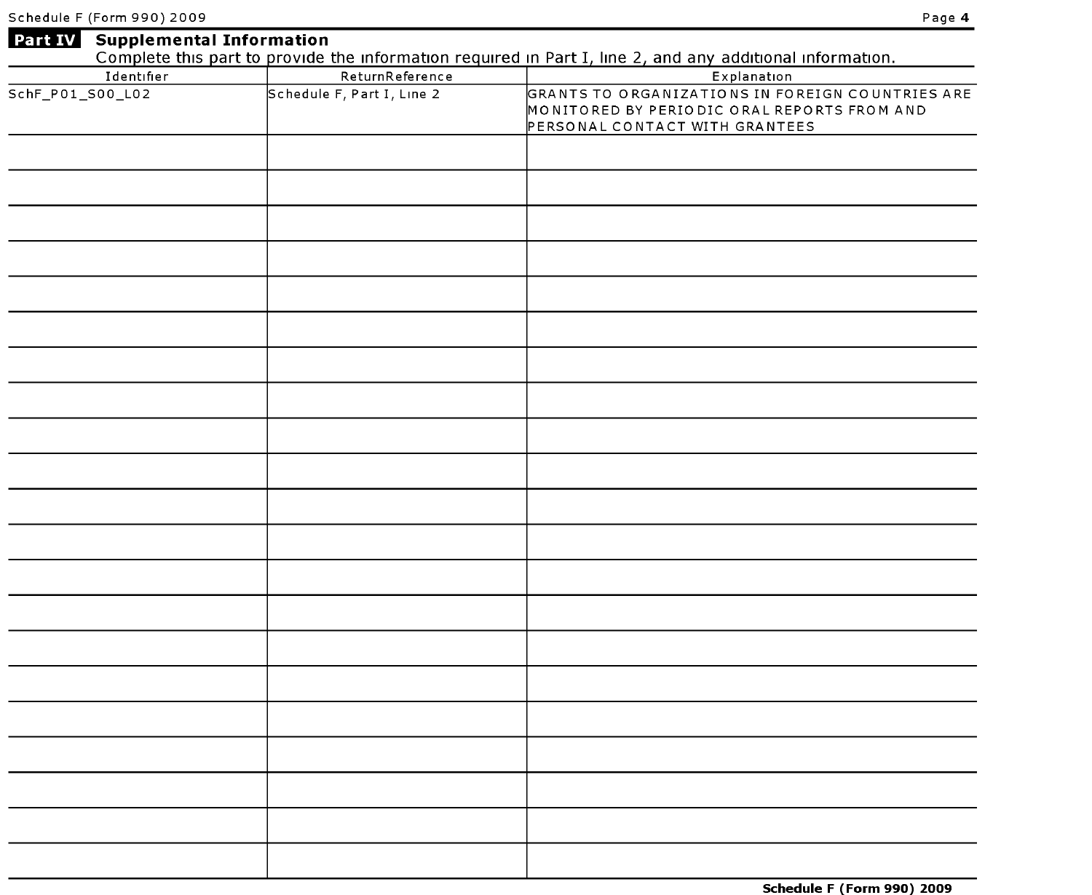|                  |                            | <b>Part IV</b> Supplemental Information<br>Complete this part to provide the information required in Part I, line 2, and any additional information. |
|------------------|----------------------------|------------------------------------------------------------------------------------------------------------------------------------------------------|
|                  |                            |                                                                                                                                                      |
| Identifier       | ReturnReference            | Explanation                                                                                                                                          |
| SchF_P01_S00_L02 | Schedule F, Part I, Line 2 | GRANTS TO ORGANIZATIONS IN FOREIGN COUNTRIES ARE<br>MONITORED BY PERIODIC ORAL REPORTS FROM AND<br>PERSONAL CONTACT WITH GRANTEES                    |
|                  |                            |                                                                                                                                                      |
|                  |                            |                                                                                                                                                      |
|                  |                            |                                                                                                                                                      |
|                  |                            |                                                                                                                                                      |
|                  |                            |                                                                                                                                                      |
|                  |                            |                                                                                                                                                      |
|                  |                            |                                                                                                                                                      |
|                  |                            |                                                                                                                                                      |
|                  |                            |                                                                                                                                                      |
|                  |                            |                                                                                                                                                      |
|                  |                            |                                                                                                                                                      |
|                  |                            |                                                                                                                                                      |
|                  |                            |                                                                                                                                                      |
|                  |                            |                                                                                                                                                      |
|                  |                            |                                                                                                                                                      |
|                  |                            |                                                                                                                                                      |
|                  |                            |                                                                                                                                                      |
|                  |                            |                                                                                                                                                      |
|                  |                            |                                                                                                                                                      |
|                  |                            |                                                                                                                                                      |
|                  |                            |                                                                                                                                                      |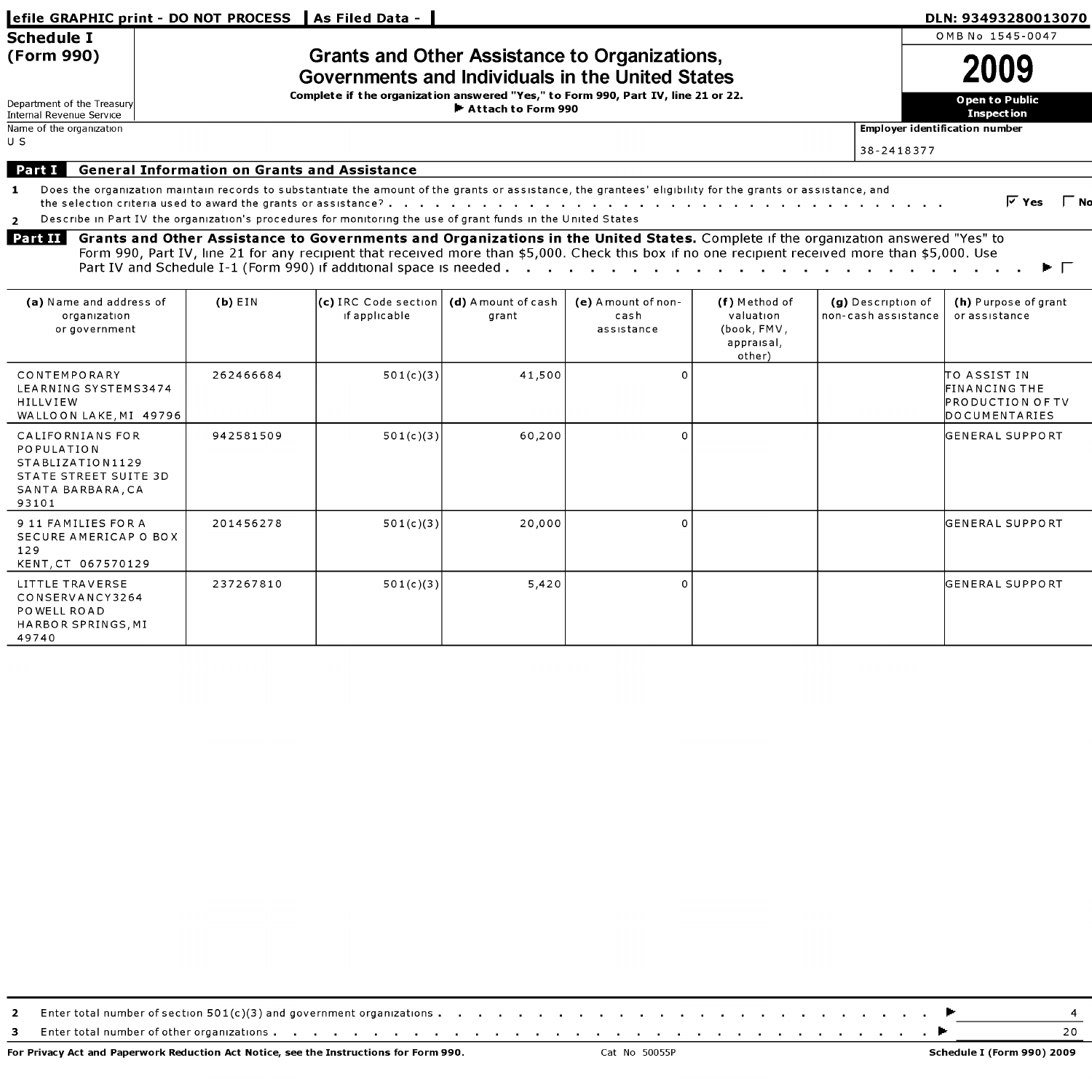| OMB No 1545-0047<br><b>Schedule I</b><br><b>Grants and Other Assistance to Organizations,</b><br>(Form 990)<br>Governments and Individuals in the United States<br>Complete if the organization answered "Yes," to Form 990, Part IV, line 21 or 22.<br>Open to Public<br>Department of the Treasury<br>Attach to Form 990<br><b>Inspection</b><br>Internal Revenue Service<br>Name of the organization<br>Employer identification number<br>U S<br>38-2418377<br><b>General Information on Grants and Assistance</b><br>Part I<br>Does the organization maintain records to substantiate the amount of the grants or assistance, the grantees' eligibility for the grants or assistance, and<br>$\mathbf{1}$<br>Describe in Part IV the organization's procedures for monitoring the use of grant funds in the United States<br>$\overline{2}$<br>Part II<br>Grants and Other Assistance to Governments and Organizations in the United States. Complete if the organization answered "Yes" to<br>Form 990, Part IV, line 21 for any recipient that received more than \$5,000. Check this box if no one recipient received more than \$5,000. Use<br>(a) Name and address of<br>(c) IRC Code section<br>(d) A mount of cash<br>(f) Method of<br>(g) Description of<br>$(b)$ EIN<br>(e) A mount of non-<br>if applicable<br>valuation<br>non-cash assistance<br>or assistance<br>organization<br>cash<br>grant<br>(book, FMV,<br>or government<br>assistance<br>appraisal,<br>other) | DLN: 93493280013070               |
|---------------------------------------------------------------------------------------------------------------------------------------------------------------------------------------------------------------------------------------------------------------------------------------------------------------------------------------------------------------------------------------------------------------------------------------------------------------------------------------------------------------------------------------------------------------------------------------------------------------------------------------------------------------------------------------------------------------------------------------------------------------------------------------------------------------------------------------------------------------------------------------------------------------------------------------------------------------------------------------------------------------------------------------------------------------------------------------------------------------------------------------------------------------------------------------------------------------------------------------------------------------------------------------------------------------------------------------------------------------------------------------------------------------------------------------------------------------------------------------|-----------------------------------|
|                                                                                                                                                                                                                                                                                                                                                                                                                                                                                                                                                                                                                                                                                                                                                                                                                                                                                                                                                                                                                                                                                                                                                                                                                                                                                                                                                                                                                                                                                       |                                   |
|                                                                                                                                                                                                                                                                                                                                                                                                                                                                                                                                                                                                                                                                                                                                                                                                                                                                                                                                                                                                                                                                                                                                                                                                                                                                                                                                                                                                                                                                                       |                                   |
|                                                                                                                                                                                                                                                                                                                                                                                                                                                                                                                                                                                                                                                                                                                                                                                                                                                                                                                                                                                                                                                                                                                                                                                                                                                                                                                                                                                                                                                                                       |                                   |
|                                                                                                                                                                                                                                                                                                                                                                                                                                                                                                                                                                                                                                                                                                                                                                                                                                                                                                                                                                                                                                                                                                                                                                                                                                                                                                                                                                                                                                                                                       |                                   |
|                                                                                                                                                                                                                                                                                                                                                                                                                                                                                                                                                                                                                                                                                                                                                                                                                                                                                                                                                                                                                                                                                                                                                                                                                                                                                                                                                                                                                                                                                       |                                   |
|                                                                                                                                                                                                                                                                                                                                                                                                                                                                                                                                                                                                                                                                                                                                                                                                                                                                                                                                                                                                                                                                                                                                                                                                                                                                                                                                                                                                                                                                                       | $\overline{V}$ Yes<br>$\Gamma$ No |
|                                                                                                                                                                                                                                                                                                                                                                                                                                                                                                                                                                                                                                                                                                                                                                                                                                                                                                                                                                                                                                                                                                                                                                                                                                                                                                                                                                                                                                                                                       | (h) Purpose of grant              |
| TO ASSIST IN<br><b>CONTEMPORARY</b><br>262466684<br>501(c)(3)<br>41,500<br>$\Omega$<br>LEARNING SYSTEMS3474<br>FINANCING THE<br>HILLVIEW<br>PRODUCTION OF TV<br>WALLOON LAKE, MI 49796<br>DOCUMENTARIES                                                                                                                                                                                                                                                                                                                                                                                                                                                                                                                                                                                                                                                                                                                                                                                                                                                                                                                                                                                                                                                                                                                                                                                                                                                                               |                                   |
| CALIFORNIANS FOR<br>942581509<br>501(c)(3)<br>60,200<br>$\Omega$<br>IGENERAL SUPPORT<br><b>POPULATION</b><br>STABLIZATION1129<br>STATE STREET SUITE 3D<br>SANTA BARBARA, CA<br>93101                                                                                                                                                                                                                                                                                                                                                                                                                                                                                                                                                                                                                                                                                                                                                                                                                                                                                                                                                                                                                                                                                                                                                                                                                                                                                                  |                                   |
| 9 11 FAMILIES FOR A<br>201456278<br>501(c)(3)<br>20,000<br>$\circ$<br>IGENERAL SUPPORT<br>SECURE AMERICAP O BOX<br>129<br>KENT, CT 067570129                                                                                                                                                                                                                                                                                                                                                                                                                                                                                                                                                                                                                                                                                                                                                                                                                                                                                                                                                                                                                                                                                                                                                                                                                                                                                                                                          |                                   |
| LITTLE TRAVERSE<br>237267810<br>5,420<br>$\Omega$<br>IGENERAL SUPPORT<br>501(c)(3)<br>CONSERVANCY3264<br>POWELL ROAD<br>HARBOR SPRINGS, MI<br>49740                                                                                                                                                                                                                                                                                                                                                                                                                                                                                                                                                                                                                                                                                                                                                                                                                                                                                                                                                                                                                                                                                                                                                                                                                                                                                                                                   |                                   |

| - | $\gamma$ r total number of section 501(c)(3) and government organizations. |  |
|---|----------------------------------------------------------------------------|--|
|   | - Enter total number of other organizations                                |  |

For Privacy Act and Paperwork Reduction Act Notice, see the Instructions for Form 990. Cat No 50055P Schedule I (Form 990) 2009 Schedule I (Form 990) 2009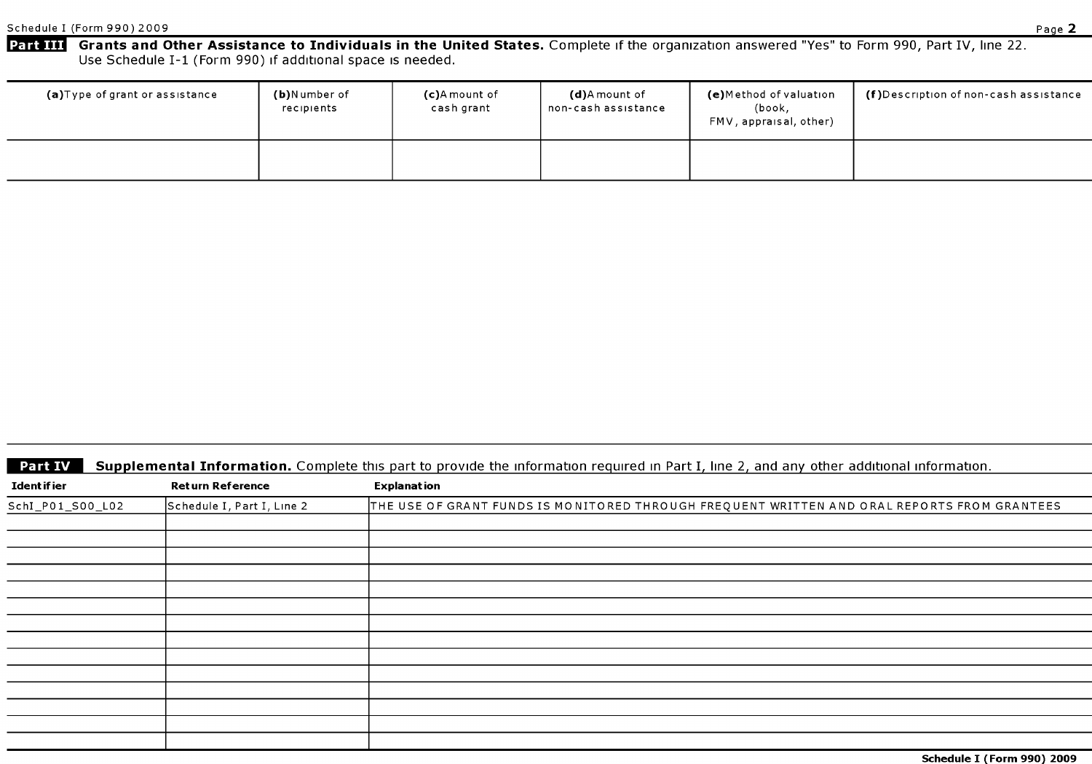Part III Grants and Other Assistance to Individuals in the United States. Complete if the organization answered "Yes" to Form 990, Part IV, line 22. Use Schedule I-1 (Form 990) if additional space is needed.

| (a)Type of grant or assistance | (b)Number of<br>recipients | (c)A mount of<br>cash grant | <b>(d)</b> A mount of<br>  non-cash assistance | (e)Method of valuation<br>(book,<br>FMV, appraisal, other) | $(f)$ Description of non-cash assistance |
|--------------------------------|----------------------------|-----------------------------|------------------------------------------------|------------------------------------------------------------|------------------------------------------|
|                                |                            |                             |                                                |                                                            |                                          |

|  | <b>Part IV</b> Supplemental Information. Complete this part to provide the information required in Part I, line 2, and any other additional information. |  |  |  |  |
|--|----------------------------------------------------------------------------------------------------------------------------------------------------------|--|--|--|--|
|--|----------------------------------------------------------------------------------------------------------------------------------------------------------|--|--|--|--|

| <b>Part IV</b>      |                            | Supplemental Information. Complete this part to provide the information required in Part I, line 2, and any other additional information. |
|---------------------|----------------------------|-------------------------------------------------------------------------------------------------------------------------------------------|
| <b>Ident if ier</b> | <b>Return Reference</b>    | <b>Explanation</b>                                                                                                                        |
| SchI_P01_S00_L02    | Schedule I, Part I, Line 2 | THE USE OF GRANT FUNDS IS MONITORED THROUGH FREQUENT WRITTEN AND ORAL REPORTS FROM GRANTEES                                               |
|                     |                            |                                                                                                                                           |
|                     |                            |                                                                                                                                           |
|                     |                            |                                                                                                                                           |
|                     |                            |                                                                                                                                           |
|                     |                            |                                                                                                                                           |
|                     |                            |                                                                                                                                           |
|                     |                            |                                                                                                                                           |
|                     |                            |                                                                                                                                           |
|                     |                            |                                                                                                                                           |
|                     |                            |                                                                                                                                           |
|                     |                            |                                                                                                                                           |
|                     |                            |                                                                                                                                           |
|                     |                            |                                                                                                                                           |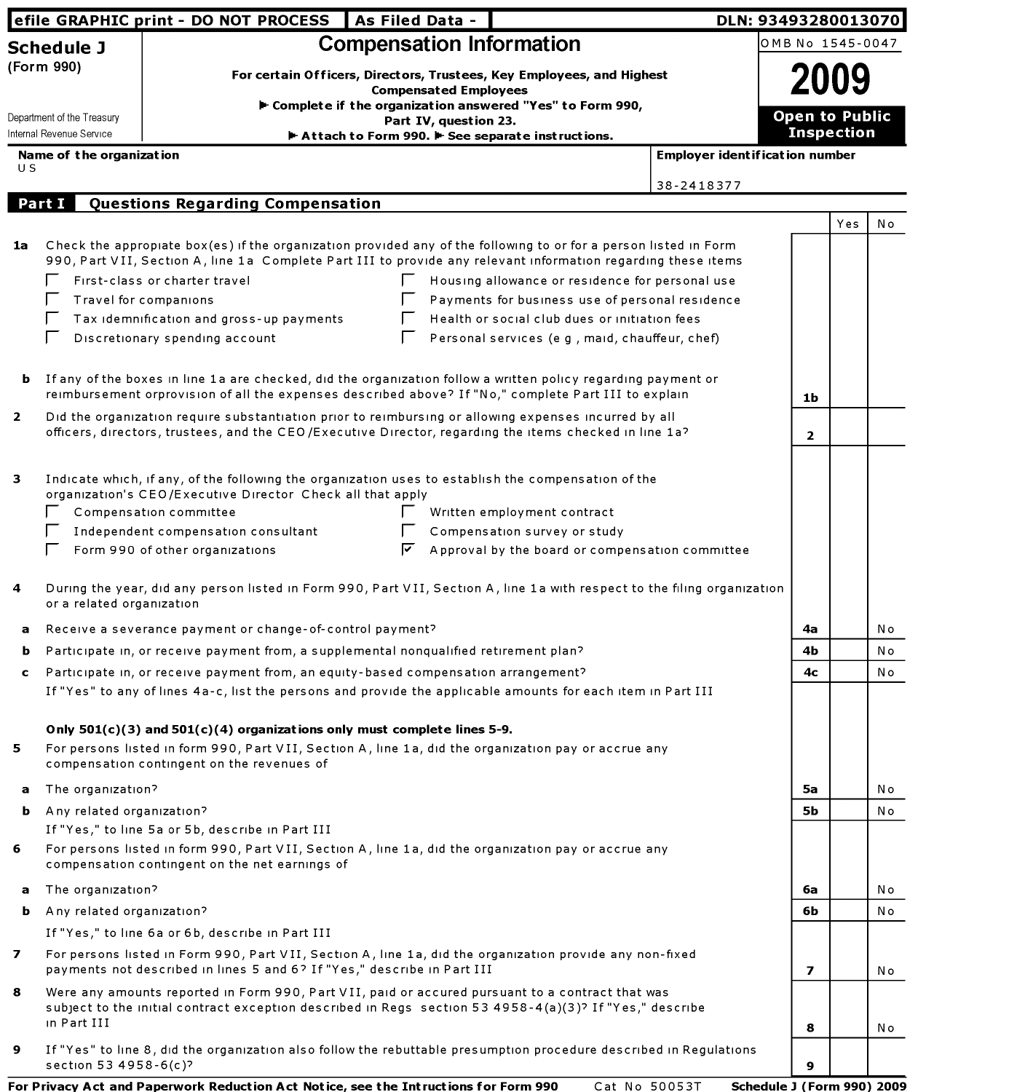|                                          |                                    | efile GRAPHIC print - DO NOT PROCESS   As Filed Data -                                                                                                                                                                                                                |                                                                                                                                                                     |                                                                                                                |                                       | DLN: 93493280013070     |                       |     |  |
|------------------------------------------|------------------------------------|-----------------------------------------------------------------------------------------------------------------------------------------------------------------------------------------------------------------------------------------------------------------------|---------------------------------------------------------------------------------------------------------------------------------------------------------------------|----------------------------------------------------------------------------------------------------------------|---------------------------------------|-------------------------|-----------------------|-----|--|
|                                          | <b>Schedule J</b>                  |                                                                                                                                                                                                                                                                       | <b>Compensation Information</b>                                                                                                                                     |                                                                                                                |                                       | OMB No 1545-0047        |                       |     |  |
| (Form 990)<br>Department of the Treasury |                                    |                                                                                                                                                                                                                                                                       | For certain Officers, Directors, Trustees, Key Employees, and Highest<br><b>Compensated Employees</b><br>► Complete if the organization answered "Yes" to Form 990, |                                                                                                                |                                       |                         | <b>Open to Public</b> |     |  |
|                                          | Internal Revenue Service           |                                                                                                                                                                                                                                                                       | Part IV, question 23.<br>Attach to Form 990. F See separate instructions.                                                                                           |                                                                                                                |                                       | <b>Inspection</b>       |                       |     |  |
|                                          | Name of the organization           |                                                                                                                                                                                                                                                                       |                                                                                                                                                                     |                                                                                                                | <b>Employer identification number</b> |                         |                       |     |  |
| U S                                      |                                    |                                                                                                                                                                                                                                                                       |                                                                                                                                                                     |                                                                                                                |                                       |                         |                       |     |  |
|                                          | Part I                             | Questions Regarding Compensation                                                                                                                                                                                                                                      |                                                                                                                                                                     |                                                                                                                | 38-2418377                            |                         |                       |     |  |
|                                          |                                    |                                                                                                                                                                                                                                                                       |                                                                                                                                                                     |                                                                                                                |                                       |                         | Yes                   | N o |  |
| 1a                                       |                                    | Check the appropiate box(es) if the organization provided any of the following to or for a person listed in Form<br>990, Part VII, Section A, line 1a Complete Part III to provide any relevant information regarding these items                                     |                                                                                                                                                                     |                                                                                                                |                                       |                         |                       |     |  |
|                                          |                                    | First-class or charter travel                                                                                                                                                                                                                                         |                                                                                                                                                                     | Housing allowance or residence for personal use                                                                |                                       |                         |                       |     |  |
|                                          |                                    | Travel for companions                                                                                                                                                                                                                                                 |                                                                                                                                                                     | Payments for business use of personal residence                                                                |                                       |                         |                       |     |  |
|                                          |                                    | Tax idemnification and gross-up payments                                                                                                                                                                                                                              |                                                                                                                                                                     | Health or social club dues or initiation fees                                                                  |                                       |                         |                       |     |  |
|                                          | Е                                  | Discretionary spending account                                                                                                                                                                                                                                        |                                                                                                                                                                     | Personal services (e g , maid, chauffeur, chef)                                                                |                                       |                         |                       |     |  |
|                                          |                                    | <b>b</b> If any of the boxes in line 1a are checked, did the organization follow a written policy regarding payment or<br>reimbursement orprovision of all the expenses described above? If "No," complete Part III to explain                                        |                                                                                                                                                                     |                                                                                                                |                                       | 1b                      |                       |     |  |
| $\overline{2}$                           |                                    | Did the organization require substantiation prior to reimbursing or allowing expenses incurred by all<br>officers, directors, trustees, and the CEO/Executive Director, regarding the items checked in line 1a?                                                       |                                                                                                                                                                     |                                                                                                                |                                       | $\overline{2}$          |                       |     |  |
| з                                        |                                    | Indicate which, if any, of the following the organization uses to establish the compensation of the<br>organization's CEO/Executive Director Check all that apply<br>Compensation committee<br>Independent compensation consultant<br>Form 990 of other organizations | ⊵                                                                                                                                                                   | Written employment contract<br>Compensation survey or study<br>Approval by the board or compensation committee |                                       |                         |                       |     |  |
| 4                                        | or a related organization          | During the year, did any person listed in Form 990, Part VII, Section A, line 1a with respect to the filing organization                                                                                                                                              |                                                                                                                                                                     |                                                                                                                |                                       |                         |                       |     |  |
| a                                        |                                    | Receive a severance payment or change-of-control payment?                                                                                                                                                                                                             |                                                                                                                                                                     |                                                                                                                |                                       | 4a                      |                       | Νo  |  |
| ь                                        |                                    | Participate in, or receive payment from, a supplemental nonqualified retirement plan?                                                                                                                                                                                 |                                                                                                                                                                     |                                                                                                                |                                       | 4b                      |                       | No  |  |
| c                                        |                                    | Participate in, or receive payment from, an equity-based compensation arrangement?                                                                                                                                                                                    |                                                                                                                                                                     |                                                                                                                |                                       | 4с                      |                       | Νo  |  |
|                                          |                                    | If "Yes" to any of lines 4a-c, list the persons and provide the applicable amounts for each item in Part III                                                                                                                                                          |                                                                                                                                                                     |                                                                                                                |                                       |                         |                       |     |  |
| 5                                        |                                    | Only $501(c)(3)$ and $501(c)(4)$ organizations only must complete lines 5-9.<br>For persons listed in form 990, Part VII, Section A, line 1a, did the organization pay or accrue any<br>compensation contingent on the revenues of                                    |                                                                                                                                                                     |                                                                                                                |                                       |                         |                       |     |  |
| a                                        | The organization?                  |                                                                                                                                                                                                                                                                       |                                                                                                                                                                     |                                                                                                                |                                       | 5а                      |                       | Νo  |  |
|                                          | <b>b</b> Any related organization? |                                                                                                                                                                                                                                                                       |                                                                                                                                                                     |                                                                                                                |                                       | 5Ь                      |                       | No  |  |
|                                          |                                    | If "Yes," to line 5a or 5b, describe in Part III                                                                                                                                                                                                                      |                                                                                                                                                                     |                                                                                                                |                                       |                         |                       |     |  |
| 6                                        |                                    | For persons listed in form 990, Part VII, Section A, line 1a, did the organization pay or accrue any<br>compensation contingent on the net earnings of                                                                                                                |                                                                                                                                                                     |                                                                                                                |                                       |                         |                       |     |  |
| a                                        | The organization?                  |                                                                                                                                                                                                                                                                       |                                                                                                                                                                     |                                                                                                                |                                       | 6а                      |                       | No  |  |
|                                          | <b>b</b> Any related organization? |                                                                                                                                                                                                                                                                       |                                                                                                                                                                     |                                                                                                                |                                       | 6b                      |                       | Νo  |  |
|                                          |                                    | If "Yes," to line 6a or 6b, describe in Part III                                                                                                                                                                                                                      |                                                                                                                                                                     |                                                                                                                |                                       |                         |                       |     |  |
| 7                                        |                                    | For persons listed in Form 990, Part VII, Section A, line 1a, did the organization provide any non-fixed<br>payments not described in lines 5 and 6? If "Yes," describe in Part III                                                                                   |                                                                                                                                                                     |                                                                                                                |                                       | $\overline{\mathbf{z}}$ |                       | No  |  |
| 8                                        | in Part III                        | Were any amounts reported in Form 990, Part VII, paid or accured pursuant to a contract that was<br>subject to the initial contract exception described in Regs section 53 4958-4(a)(3)? If "Yes," describe                                                           |                                                                                                                                                                     |                                                                                                                |                                       | 8                       |                       | No  |  |
| 9                                        | section 53 4958-6(c)?              | If "Yes" to line 8, did the organization also follow the rebuttable presumption procedure described in Regulations                                                                                                                                                    |                                                                                                                                                                     |                                                                                                                |                                       | 9                       |                       |     |  |

For Privacy Act and Paperwork Reduction Act Notice, see the Intructions for Form 990 Cat No 50053T Schedule <sup>3</sup> (Form 990) 2009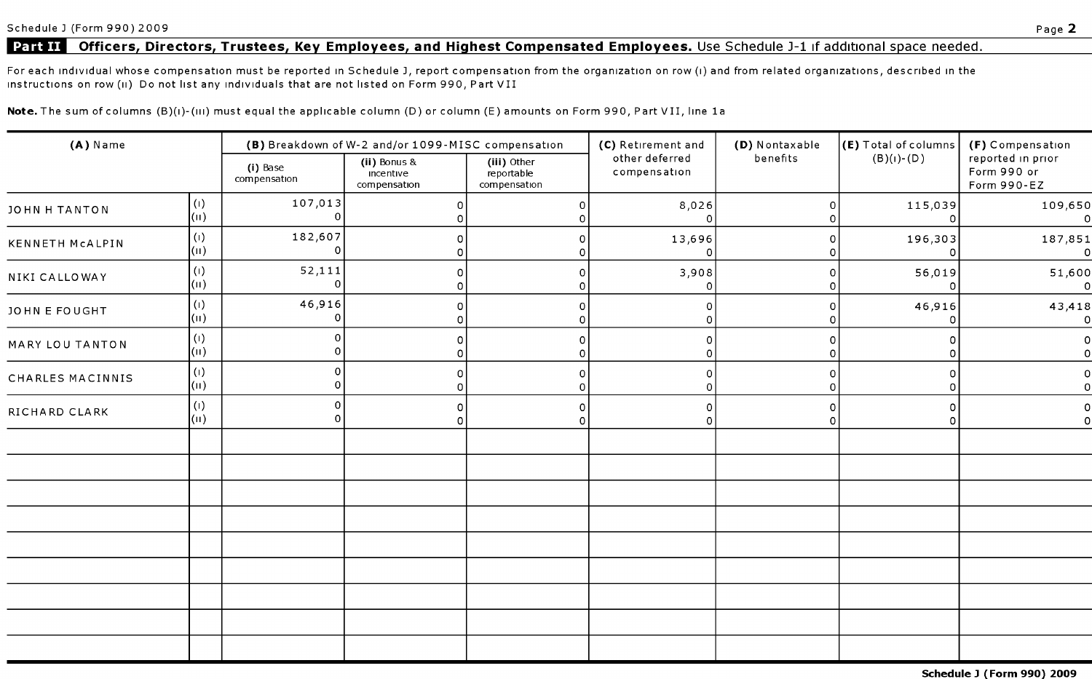# Part II Officers, Directors, Trustees, Key Employees, and Highest Compensated Employees. Use Schedule J-1 if additional space needed.

For each individual whose compensation must be reported in Schedule J, report compensation from the organization on row (i) and from related organizations, described in the instructions on row (ii) Do not list any individuals that are not listed on Form 990, Part VII

Note. The sum of columns (B)(i)-(iii) must equal the applicable column (D) or column (E) amounts on Form 990, Part VII, line 1a

| (A) Name         |                                   | (B) Breakdown of W-2 and/or 1099-MISC compensation |                                           |                                           | (C) Retirement and             | (D) Nontaxable | (E) Total of columns | (F) Compensation                                |  |
|------------------|-----------------------------------|----------------------------------------------------|-------------------------------------------|-------------------------------------------|--------------------------------|----------------|----------------------|-------------------------------------------------|--|
|                  |                                   | (i) Base<br>compensation                           | (ii) Bonus &<br>incentive<br>compensation | (iii) Other<br>reportable<br>compensation | other deferred<br>compensation | benefits       | $(B)(I)$ - $(D)$     | reported in prior<br>Form 990 or<br>Form 990-EZ |  |
| JOHN H TANTON    | $\left( 1\right)$<br>$\vert$ (ii) | 107,013                                            | 0                                         | $\Omega$                                  | 8,026                          | 0              | 115,039<br>∩         | 109,650<br>0                                    |  |
| KENNETH MCALPIN  | (1)<br>$\vert$ (II)               | 182,607                                            | 0                                         |                                           | 13,696                         | n              | 196,303              | 187,851<br>0                                    |  |
| NIKI CALLOWAY    | $\left( 1\right)$<br>$\vert$ (ii) | 52,111                                             | 0<br>$\Omega$                             | 0                                         | 3,908                          | $\circ$        | 56,019<br>∩          | 51,600<br>$\Omega$                              |  |
| JOHN E FOUGHT    | (1)<br>$\vert$ (ii)               | 46,916                                             | 0<br>∩                                    | 0                                         | 0                              |                | 46,916               | 43,418<br>$\circ$                               |  |
| MARY LOU TANTON  | (1)<br>$\vert$ (ii)               | C                                                  | $\Omega$<br>∩                             | $\Omega$                                  | $\Omega$                       |                |                      | 0<br>0                                          |  |
| CHARLES MACINNIS | $\left( 1\right)$<br>$\vert$ (ii) | 0                                                  | O                                         | $\Omega$                                  | 0                              |                |                      |                                                 |  |
| RICHARD CLARK    | (1)<br>$\vert$ (ii)               | $\Omega$                                           | 0<br>n                                    | 0                                         | $\Omega$                       | $\Omega$<br>O. | n                    |                                                 |  |
|                  |                                   |                                                    |                                           |                                           |                                |                |                      |                                                 |  |
|                  |                                   |                                                    |                                           |                                           |                                |                |                      |                                                 |  |
|                  |                                   |                                                    |                                           |                                           |                                |                |                      |                                                 |  |
|                  |                                   |                                                    |                                           |                                           |                                |                |                      |                                                 |  |
|                  |                                   |                                                    |                                           |                                           |                                |                |                      |                                                 |  |
|                  |                                   |                                                    |                                           |                                           |                                |                |                      |                                                 |  |
|                  |                                   |                                                    |                                           |                                           |                                |                |                      |                                                 |  |
|                  |                                   |                                                    |                                           |                                           |                                |                |                      |                                                 |  |
|                  |                                   |                                                    |                                           |                                           |                                |                |                      |                                                 |  |

Schedule <sup>3</sup> (Form 990) 2009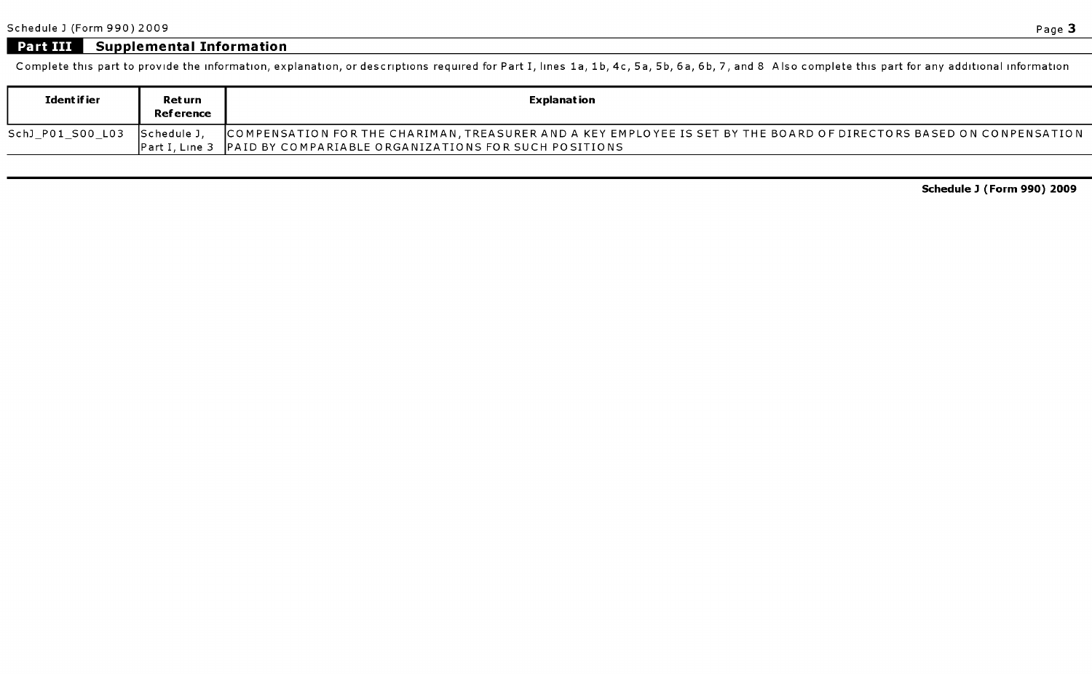# **Part III Supplemental Information**

Complete this part to provide the information, explanation, or descriptions required for Part I, lines la, 1b, 4c, 5a, 5b, 6a, 6b, 7, and 8 Also complete this part for any additional information

| Ident if ier     | Ret urn<br><b>Reference</b> | Explanat ion                                                                                                                                                                                 |
|------------------|-----------------------------|----------------------------------------------------------------------------------------------------------------------------------------------------------------------------------------------|
| SchJ PO1 SOO LO3 | - ISchedule J.              | COMPENSATION FOR THE CHARIMAN, TREASURER AND A KEY EMPLOYEE IS SET BY THE BOARD OF DIRECTORS BASED ON CONPENSATION<br> Part I, Line 3   PAID BY COMPARIABLE ORGANIZATIONS FOR SUCH POSITIONS |

Schedule <sup>3</sup> (Form 990) 2009